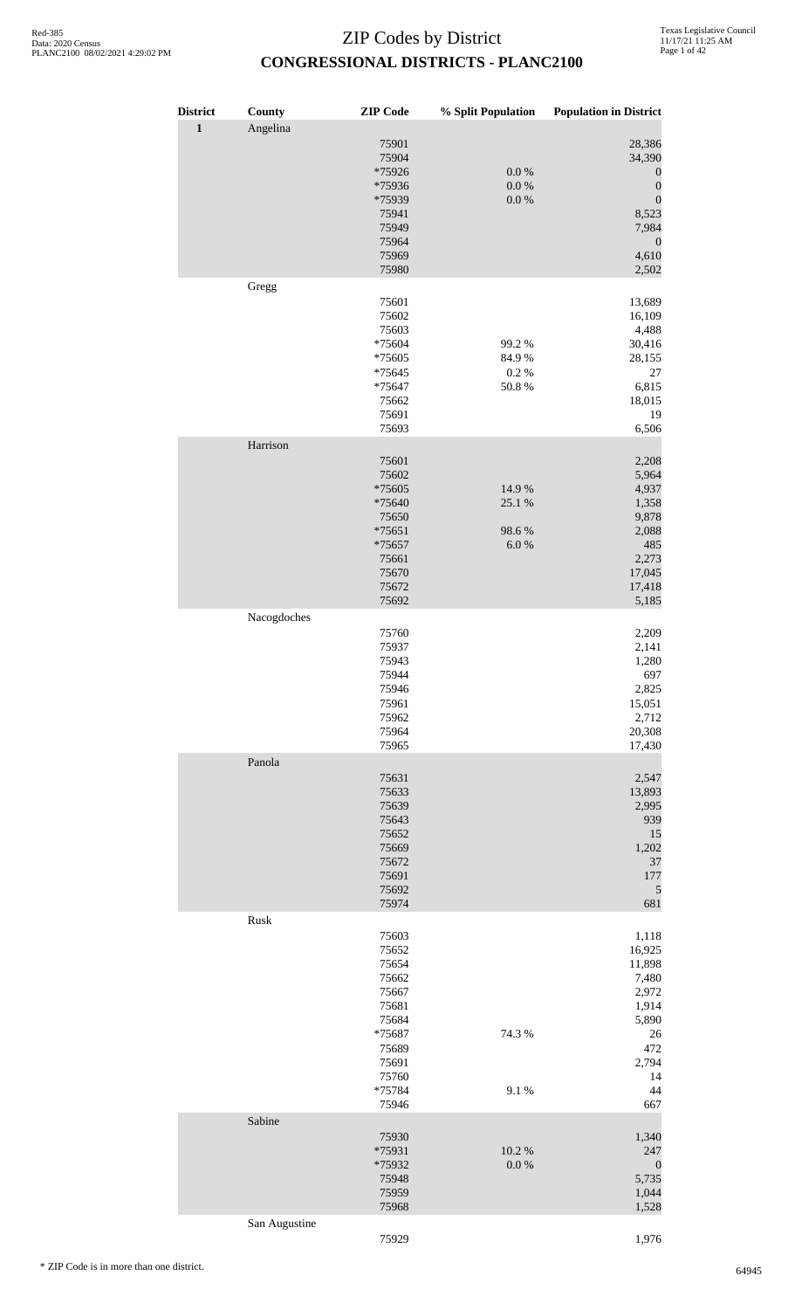| <b>District</b> | County        | <b>ZIP</b> Code                                                                                                     | % Split Population                   | <b>Population in District</b>                                                                                                        |
|-----------------|---------------|---------------------------------------------------------------------------------------------------------------------|--------------------------------------|--------------------------------------------------------------------------------------------------------------------------------------|
| $\mathbf 1$     | Angelina      | 75901<br>75904<br>*75926<br>*75936<br>*75939<br>75941<br>75949<br>75964<br>75969<br>75980                           | $0.0\ \%$<br>$0.0\ \%$<br>$0.0\ \%$  | 28,386<br>34,390<br>$\boldsymbol{0}$<br>$\boldsymbol{0}$<br>$\boldsymbol{0}$<br>8,523<br>7,984<br>$\boldsymbol{0}$<br>4,610<br>2,502 |
|                 | Gregg         |                                                                                                                     |                                      |                                                                                                                                      |
|                 |               | 75601<br>75602<br>75603<br>*75604<br>*75605<br>*75645<br>*75647<br>75662<br>75691<br>75693                          | 99.2 %<br>84.9%<br>$0.2~\%$<br>50.8% | 13,689<br>16,109<br>4,488<br>30,416<br>28,155<br>27<br>6,815<br>18,015<br>19<br>6,506                                                |
|                 | Harrison      |                                                                                                                     |                                      |                                                                                                                                      |
|                 |               | 75601<br>75602<br>*75605<br>*75640<br>75650<br>$*75651$<br>*75657<br>75661<br>75670<br>75672<br>75692               | 14.9%<br>25.1 %<br>98.6%<br>6.0%     | 2,208<br>5,964<br>4,937<br>1,358<br>9,878<br>2,088<br>485<br>2,273<br>17,045<br>17,418<br>5,185                                      |
|                 | Nacogdoches   |                                                                                                                     |                                      |                                                                                                                                      |
|                 |               | 75760<br>75937<br>75943<br>75944<br>75946<br>75961<br>75962<br>75964<br>75965                                       |                                      | 2,209<br>2,141<br>1,280<br>697<br>2,825<br>15,051<br>2,712<br>20,308<br>17,430                                                       |
|                 | Panola        | 75631<br>75633<br>75639<br>75643<br>75652<br>75669<br>75672<br>75691<br>75692<br>75974                              |                                      | 2,547<br>13,893<br>2,995<br>939<br>15<br>1,202<br>37<br>177<br>5<br>681                                                              |
|                 | Rusk          |                                                                                                                     |                                      |                                                                                                                                      |
|                 |               | 75603<br>75652<br>75654<br>75662<br>75667<br>75681<br>75684<br>*75687<br>75689<br>75691<br>75760<br>*75784<br>75946 | 74.3 %<br>9.1%                       | 1,118<br>16,925<br>11,898<br>7,480<br>2,972<br>1,914<br>5,890<br>$26\,$<br>472<br>2,794<br>14<br>44<br>667                           |
|                 | Sabine        | 75930<br>*75931<br>*75932<br>75948<br>75959                                                                         | 10.2 %<br>$0.0\ \%$                  | 1,340<br>247<br>$\boldsymbol{0}$<br>5,735<br>1,044                                                                                   |
|                 | San Augustine | 75968                                                                                                               |                                      | 1,528                                                                                                                                |
|                 |               | 75929                                                                                                               |                                      | 1,976                                                                                                                                |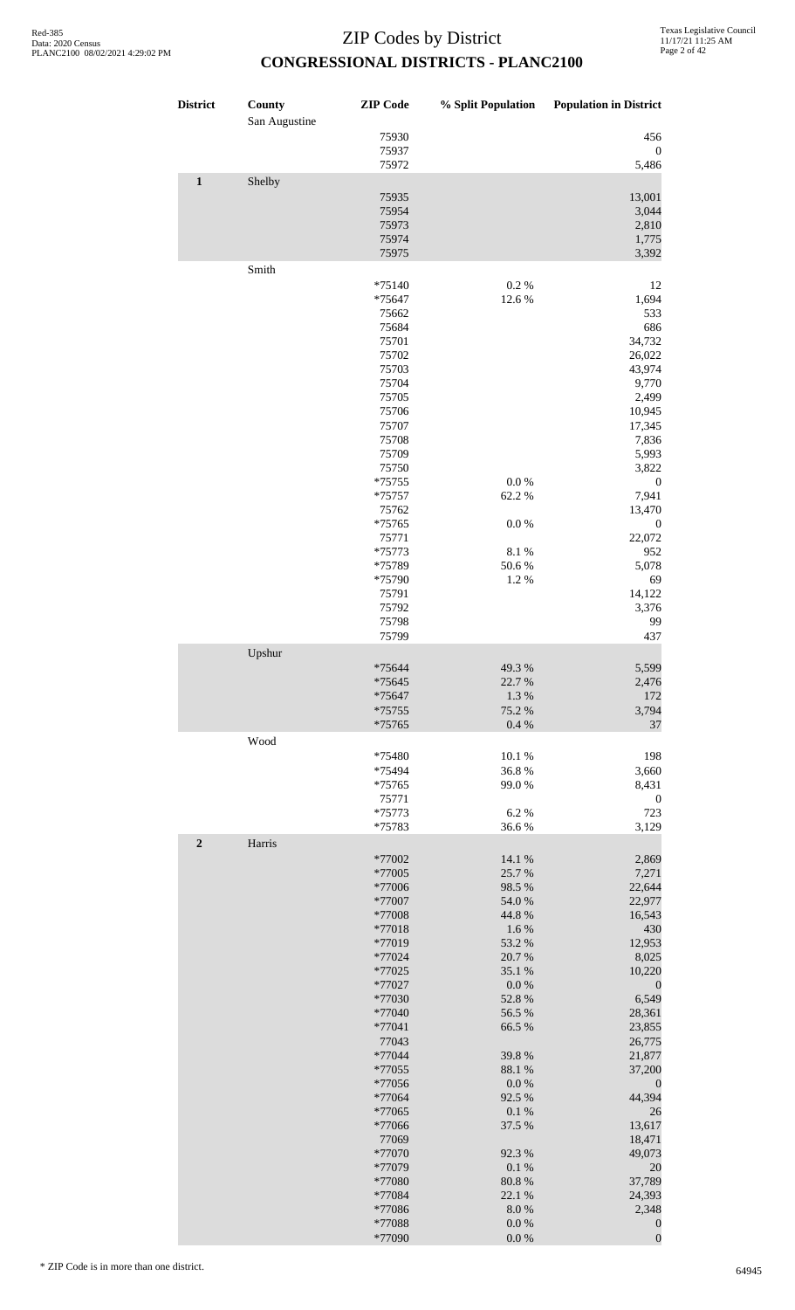# Texas Legislative Council 11/17/21 11:25 AM Page 2 of 42

| District    | County<br>San Augustine | <b>ZIP</b> Code    | % Split Population     | <b>Population in District</b>        |
|-------------|-------------------------|--------------------|------------------------|--------------------------------------|
|             |                         | 75930              |                        | 456                                  |
|             |                         | 75937              |                        | $\boldsymbol{0}$                     |
|             |                         | 75972              |                        | 5,486                                |
| $\mathbf 1$ | Shelby                  | 75935              |                        | 13,001                               |
|             |                         | 75954              |                        | 3,044                                |
|             |                         | 75973              |                        | 2,810                                |
|             |                         | 75974              |                        | 1,775                                |
|             |                         | 75975              |                        | 3,392                                |
|             | Smith                   | $*75140$           | $0.2~\%$               | 12                                   |
|             |                         | *75647             | 12.6%                  | 1,694                                |
|             |                         | 75662              |                        | 533                                  |
|             |                         | 75684              |                        | 686                                  |
|             |                         | 75701<br>75702     |                        | 34,732<br>26,022                     |
|             |                         | 75703              |                        | 43,974                               |
|             |                         | 75704              |                        | 9,770                                |
|             |                         | 75705<br>75706     |                        | 2,499<br>10,945                      |
|             |                         | 75707              |                        | 17,345                               |
|             |                         | 75708              |                        | 7,836                                |
|             |                         | 75709              |                        | 5,993                                |
|             |                         | 75750<br>*75755    | $0.0\ \%$              | 3,822<br>$\boldsymbol{0}$            |
|             |                         | $*75757$           | 62.2%                  | 7,941                                |
|             |                         | 75762              |                        | 13,470                               |
|             |                         | *75765             | $0.0\ \%$              | $\boldsymbol{0}$                     |
|             |                         | 75771<br>*75773    | 8.1 %                  | 22,072<br>952                        |
|             |                         | *75789             | 50.6%                  | 5,078                                |
|             |                         | *75790             | 1.2%                   | 69                                   |
|             |                         | 75791<br>75792     |                        | 14,122<br>3,376                      |
|             |                         | 75798              |                        | 99                                   |
|             |                         | 75799              |                        | 437                                  |
|             | Upshur                  |                    |                        |                                      |
|             |                         | $*75644$           | 49.3 %                 | 5,599                                |
|             |                         | *75645<br>$*75647$ | 22.7 %<br>1.3 %        | 2,476<br>172                         |
|             |                         | *75755             | 75.2 %                 | 3,794                                |
|             |                         | *75765             | 0.4 %                  | 37                                   |
|             | Wood                    |                    |                        |                                      |
|             |                         | *75480<br>*75494   | 10.1 %<br>36.8%        | 198<br>3,660                         |
|             |                         | *75765             | 99.0%                  | 8,431                                |
|             |                         | 75771              |                        | $\boldsymbol{0}$                     |
|             |                         | *75773             | 6.2%                   | 723                                  |
| $\mathbf 2$ | Harris                  | *75783             | 36.6%                  | 3,129                                |
|             |                         | *77002             | 14.1 %                 | 2,869                                |
|             |                         | *77005             | 25.7 %                 | 7,271                                |
|             |                         | *77006             | 98.5 %                 | 22,644                               |
|             |                         | *77007<br>*77008   | $54.0\ \%$<br>44.8 %   | 22,977<br>16,543                     |
|             |                         | *77018             | 1.6 %                  | 430                                  |
|             |                         | *77019             | 53.2 %                 | 12,953                               |
|             |                         | *77024             | 20.7 %                 | 8,025                                |
|             |                         | *77025<br>*77027   | 35.1 %<br>$0.0\ \%$    | 10,220<br>$\boldsymbol{0}$           |
|             |                         | *77030             | 52.8 %                 | 6,549                                |
|             |                         | *77040             | 56.5 %                 | 28,361                               |
|             |                         | *77041<br>77043    | 66.5 %                 | 23,855<br>26,775                     |
|             |                         | *77044             | 39.8%                  | 21,877                               |
|             |                         | *77055             | 88.1 %                 | 37,200                               |
|             |                         | *77056             | 0.0 %                  | $\boldsymbol{0}$                     |
|             |                         | *77064<br>*77065   | 92.5 %<br>$0.1~\%$     | 44,394<br>26                         |
|             |                         | *77066             | 37.5 %                 | 13,617                               |
|             |                         | 77069              |                        | 18,471                               |
|             |                         | *77070             | 92.3%                  | 49,073                               |
|             |                         | *77079<br>*77080   | $0.1~\%$<br>80.8 %     | 20<br>37,789                         |
|             |                         | *77084             | 22.1 %                 | 24,393                               |
|             |                         | *77086             | $8.0\ \%$              | 2,348                                |
|             |                         | *77088<br>*77090   | $0.0\ \%$<br>$0.0\ \%$ | $\boldsymbol{0}$<br>$\boldsymbol{0}$ |
|             |                         |                    |                        |                                      |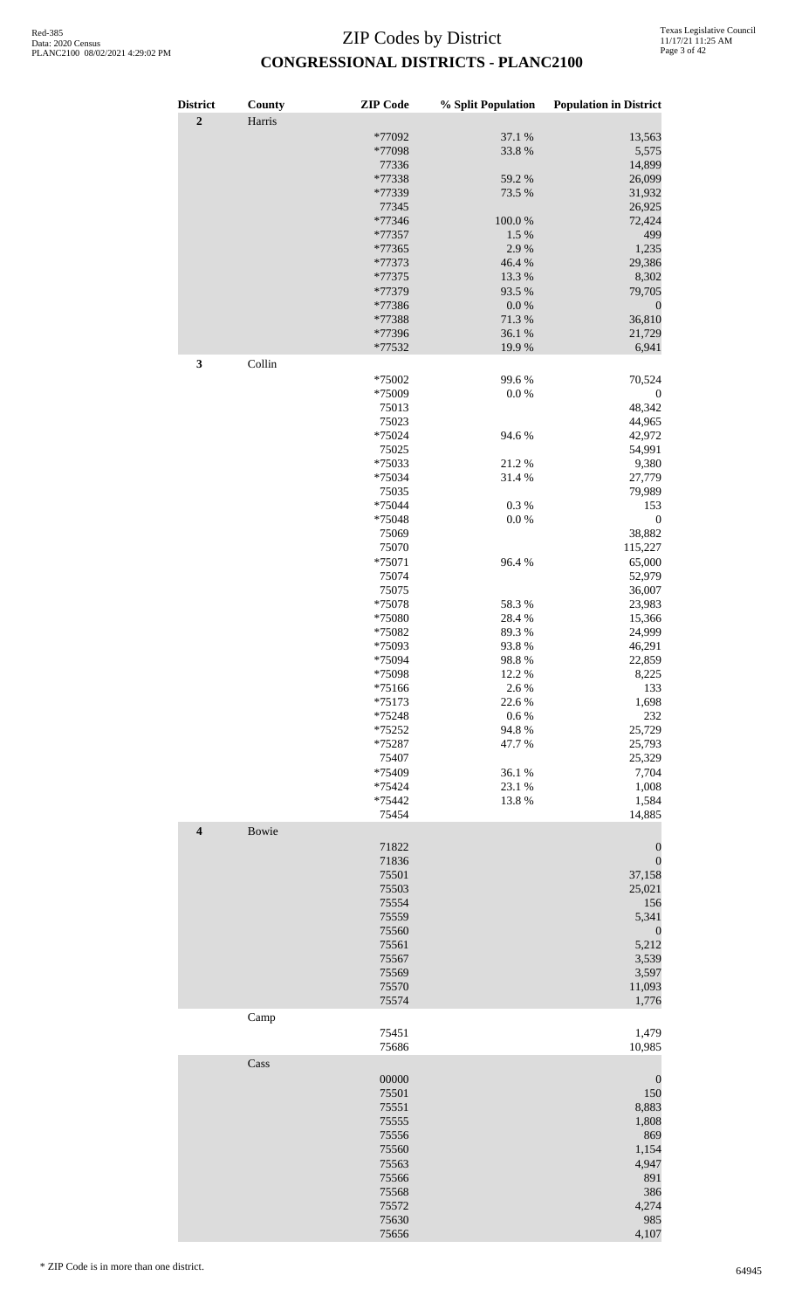| <b>District</b>  | County | <b>ZIP</b> Code  | % Split Population | <b>Population in District</b> |
|------------------|--------|------------------|--------------------|-------------------------------|
| $\overline{2}$   | Harris |                  |                    |                               |
|                  |        | *77092           | 37.1 %             | 13,563                        |
|                  |        | *77098           | 33.8%              | 5,575                         |
|                  |        | 77336            |                    | 14,899                        |
|                  |        | *77338           | 59.2 %             | 26,099                        |
|                  |        | *77339<br>77345  | 73.5 %             | 31,932<br>26,925              |
|                  |        | *77346           | 100.0%             | 72,424                        |
|                  |        | *77357           | 1.5 %              | 499                           |
|                  |        | *77365           | 2.9%               | 1,235                         |
|                  |        | *77373           | 46.4%              | 29,386                        |
|                  |        | *77375           | 13.3 %             | 8,302                         |
|                  |        | *77379           | 93.5 %             | 79,705                        |
|                  |        | *77386           | $0.0\ \%$          | $\boldsymbol{0}$              |
|                  |        | *77388           | 71.3%              | 36,810                        |
|                  |        | *77396           | 36.1 %             | 21,729                        |
|                  |        | *77532           | 19.9%              | 6,941                         |
| $\mathbf{3}$     | Collin |                  |                    |                               |
|                  |        | *75002           | 99.6%              | 70,524                        |
|                  |        | *75009           | 0.0 %              | $\boldsymbol{0}$              |
|                  |        | 75013            |                    | 48,342                        |
|                  |        | 75023            |                    | 44,965                        |
|                  |        | *75024           | 94.6%              | 42,972                        |
|                  |        | 75025            |                    | 54,991                        |
|                  |        | *75033           | 21.2%              | 9,380                         |
|                  |        | *75034           | 31.4 %             | 27,779                        |
|                  |        | 75035            |                    | 79,989                        |
|                  |        | *75044<br>*75048 | 0.3%<br>$0.0\ \%$  | 153<br>$\boldsymbol{0}$       |
|                  |        | 75069            |                    | 38,882                        |
|                  |        | 75070            |                    | 115,227                       |
|                  |        | *75071           | 96.4%              | 65,000                        |
|                  |        | 75074            |                    | 52,979                        |
|                  |        | 75075            |                    | 36,007                        |
|                  |        | *75078           | 58.3%              | 23,983                        |
|                  |        | *75080           | 28.4 %             | 15,366                        |
|                  |        | *75082           | 89.3%              | 24,999                        |
|                  |        | *75093           | 93.8%              | 46,291                        |
|                  |        | *75094           | 98.8%              | 22,859                        |
|                  |        | *75098           | 12.2 %             | 8,225                         |
|                  |        | *75166           | 2.6%               | 133                           |
|                  |        | *75173           | 22.6 %             | 1,698                         |
|                  |        | *75248           | 0.6 %              | 232                           |
|                  |        | *75252           | 94.8%              | 25,729                        |
|                  |        | *75287           | 47.7%              | 25,793                        |
|                  |        | 75407            |                    | 25,329                        |
|                  |        | *75409           | 36.1%              | 7,704                         |
|                  |        | *75424           | 23.1 %             | 1,008                         |
|                  |        | *75442           | 13.8%              | 1,584                         |
|                  |        | 75454            |                    | 14,885                        |
| $\boldsymbol{4}$ | Bowie  |                  |                    |                               |
|                  |        | 71822            |                    | $\boldsymbol{0}$              |
|                  |        | 71836            |                    | $\boldsymbol{0}$              |
|                  |        | 75501            |                    | 37,158                        |
|                  |        | 75503            |                    | 25,021                        |
|                  |        | 75554<br>75559   |                    | 156<br>5,341                  |
|                  |        | 75560            |                    | $\boldsymbol{0}$              |
|                  |        | 75561            |                    | 5,212                         |
|                  |        | 75567            |                    | 3,539                         |
|                  |        | 75569            |                    | 3,597                         |
|                  |        | 75570            |                    | 11,093                        |
|                  |        | 75574            |                    | 1,776                         |
|                  | Camp   |                  |                    |                               |
|                  |        | 75451            |                    | 1,479                         |
|                  |        | 75686            |                    | 10,985                        |
|                  | Cass   |                  |                    |                               |
|                  |        | 00000            |                    | $\boldsymbol{0}$              |
|                  |        | 75501            |                    | 150                           |
|                  |        | 75551            |                    | 8,883                         |
|                  |        | 75555            |                    | 1,808                         |
|                  |        | 75556            |                    | 869                           |
|                  |        | 75560            |                    | 1,154                         |
|                  |        | 75563            |                    | 4,947                         |
|                  |        | 75566            |                    | 891                           |
|                  |        | 75568            |                    | 386                           |
|                  |        | 75572            |                    | 4,274                         |
|                  |        | 75630            |                    | 985                           |
|                  |        | 75656            |                    | 4,107                         |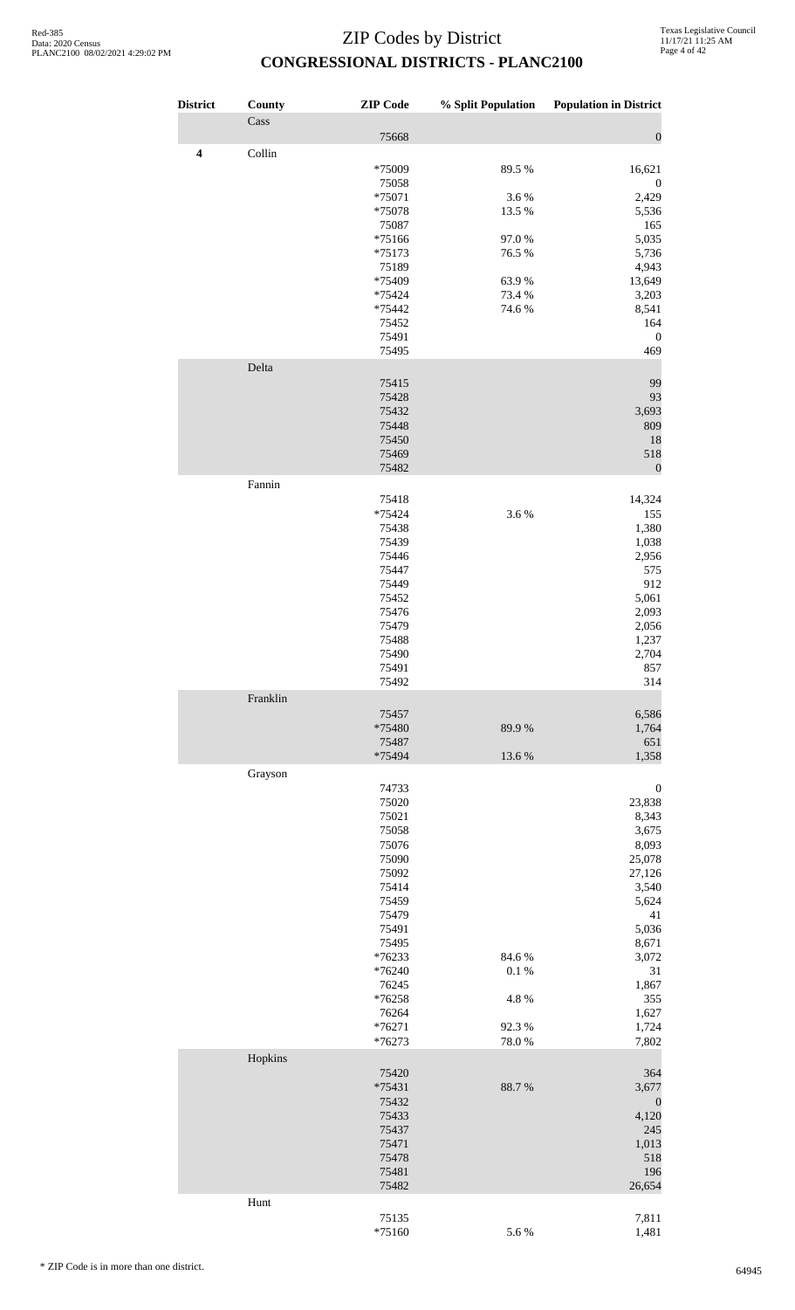| <b>District</b>  | County   | <b>ZIP</b> Code   |           | % Split Population Population in District |
|------------------|----------|-------------------|-----------|-------------------------------------------|
|                  | Cass     | 75668             |           | $\boldsymbol{0}$                          |
| $\boldsymbol{4}$ | Collin   | *75009            | 89.5%     | 16,621                                    |
|                  |          | 75058             |           | $\boldsymbol{0}$                          |
|                  |          | *75071            | 3.6%      | 2,429                                     |
|                  |          | *75078            | 13.5 %    | 5,536                                     |
|                  |          | 75087<br>*75166   | 97.0%     | 165<br>5,035                              |
|                  |          | $*75173$          | 76.5 %    | 5,736                                     |
|                  |          | 75189             |           | 4,943                                     |
|                  |          | *75409            | 63.9%     | 13,649                                    |
|                  |          | *75424            | 73.4 %    | 3,203                                     |
|                  |          | *75442<br>75452   | 74.6%     | 8,541<br>164                              |
|                  |          | 75491             |           | $\boldsymbol{0}$                          |
|                  |          | 75495             |           | 469                                       |
|                  | Delta    |                   |           |                                           |
|                  |          | 75415<br>75428    |           | 99<br>93                                  |
|                  |          | 75432             |           | 3,693                                     |
|                  |          | 75448             |           | 809                                       |
|                  |          | 75450             |           | 18                                        |
|                  |          | 75469             |           | 518                                       |
|                  |          | 75482             |           | $\mathbf{0}$                              |
|                  | Fannin   | 75418             |           | 14,324                                    |
|                  |          | *75424            | 3.6%      | 155                                       |
|                  |          | 75438             |           | 1,380                                     |
|                  |          | 75439             |           | 1,038                                     |
|                  |          | 75446             |           | 2,956                                     |
|                  |          | 75447<br>75449    |           | 575<br>912                                |
|                  |          | 75452             |           | 5,061                                     |
|                  |          | 75476             |           | 2,093                                     |
|                  |          | 75479             |           | 2,056                                     |
|                  |          | 75488             |           | 1,237<br>2,704                            |
|                  |          | 75490<br>75491    |           | 857                                       |
|                  |          | 75492             |           | 314                                       |
|                  | Franklin |                   |           |                                           |
|                  |          | 75457             |           | 6,586                                     |
|                  |          | *75480            | 89.9%     | 1,764                                     |
|                  |          | 75487<br>*75494   | 13.6 %    | 651<br>1,358                              |
|                  | Grayson  |                   |           |                                           |
|                  |          | 74733             |           | $\boldsymbol{0}$                          |
|                  |          | 75020             |           | 23,838                                    |
|                  |          | 75021             |           | 8,343                                     |
|                  |          | 75058<br>75076    |           | 3,675<br>8,093                            |
|                  |          | 75090             |           | 25,078                                    |
|                  |          | 75092             |           | 27,126                                    |
|                  |          | 75414             |           | 3,540                                     |
|                  |          | 75459             |           | 5,624                                     |
|                  |          | 75479<br>75491    |           | 41<br>5,036                               |
|                  |          | 75495             |           | 8,671                                     |
|                  |          | *76233            | 84.6%     | 3,072                                     |
|                  |          | $*76240$          | $0.1\ \%$ | 31                                        |
|                  |          | 76245<br>$*76258$ | 4.8%      | 1,867<br>355                              |
|                  |          | 76264             |           | 1,627                                     |
|                  |          | $*76271$          | 92.3%     | 1,724                                     |
|                  |          | *76273            | 78.0%     | 7,802                                     |
|                  | Hopkins  |                   |           |                                           |
|                  |          | 75420<br>*75431   | 88.7%     | 364<br>3,677                              |
|                  |          | 75432             |           | $\mathbf{0}$                              |
|                  |          | 75433             |           | 4,120                                     |
|                  |          | 75437             |           | 245                                       |
|                  |          | 75471             |           | 1,013                                     |
|                  |          | 75478<br>75481    |           | 518<br>196                                |
|                  |          | 75482             |           | 26,654                                    |
|                  | Hunt     |                   |           |                                           |
|                  |          | 75135             |           | 7,811                                     |
|                  |          | $*75160$          | 5.6%      | 1,481                                     |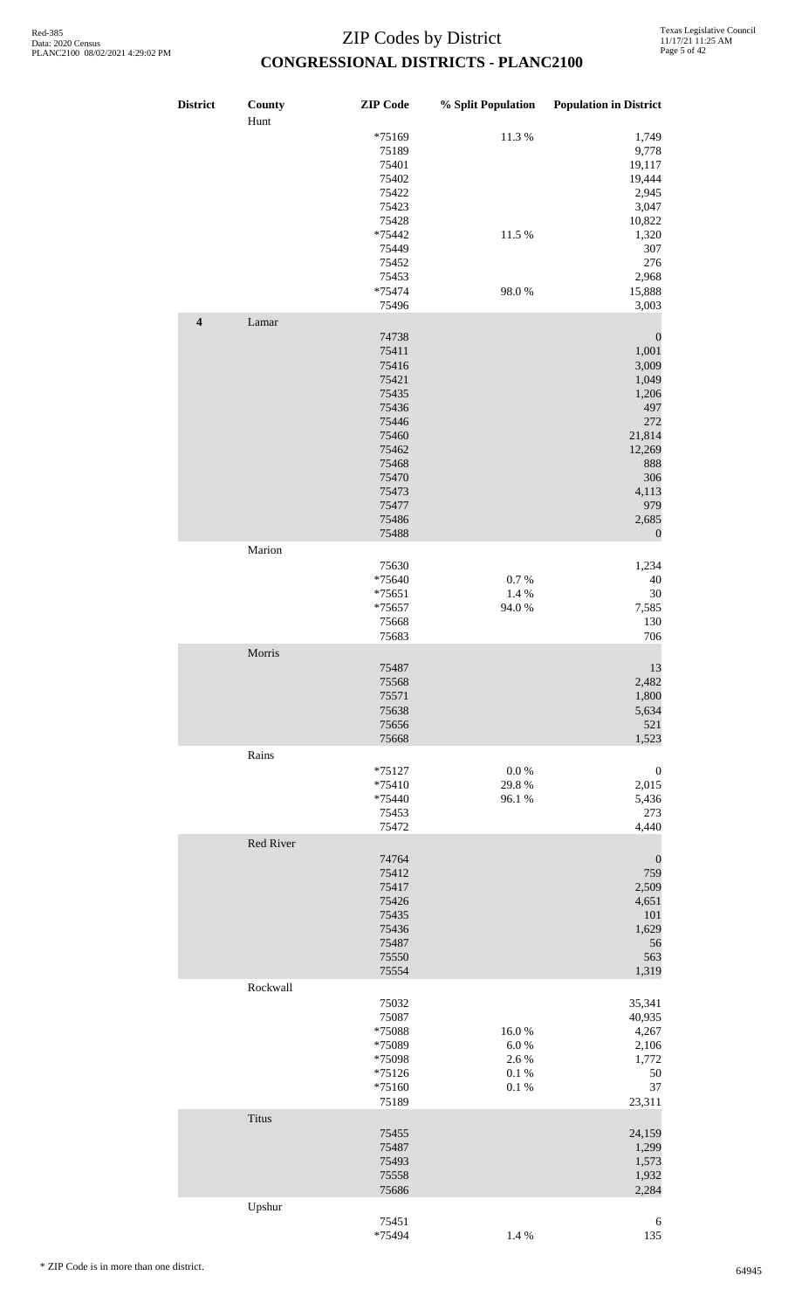| <b>District</b>         | <b>County</b><br>Hunt | <b>ZIP</b> Code                                                                                                                     | % Split Population                             | <b>Population in District</b>                                                                                                                     |
|-------------------------|-----------------------|-------------------------------------------------------------------------------------------------------------------------------------|------------------------------------------------|---------------------------------------------------------------------------------------------------------------------------------------------------|
|                         |                       | *75169<br>75189<br>75401<br>75402<br>75422<br>75423                                                                                 | 11.3%                                          | 1,749<br>9,778<br>19,117<br>19,444<br>2,945<br>3,047                                                                                              |
|                         |                       | 75428<br>*75442<br>75449<br>75452<br>75453<br>*75474<br>75496                                                                       | 11.5 %<br>98.0%                                | 10,822<br>1,320<br>307<br>276<br>2,968<br>15,888<br>3,003                                                                                         |
| $\overline{\mathbf{4}}$ | Lamar                 | 74738<br>75411<br>75416<br>75421<br>75435<br>75436<br>75446<br>75460<br>75462<br>75468<br>75470<br>75473<br>75477<br>75486<br>75488 |                                                | $\boldsymbol{0}$<br>1,001<br>3,009<br>1,049<br>1,206<br>497<br>272<br>21,814<br>12,269<br>888<br>306<br>4,113<br>979<br>2,685<br>$\boldsymbol{0}$ |
|                         | Marion                | 75630<br>*75640<br>$*75651$<br>$*75657$<br>75668<br>75683                                                                           | 0.7 %<br>1.4 %<br>94.0%                        | 1,234<br>40<br>30<br>7,585<br>130<br>706                                                                                                          |
|                         | Morris                | 75487<br>75568<br>75571<br>75638<br>75656<br>75668                                                                                  |                                                | 13<br>2,482<br>1,800<br>5,634<br>521<br>1,523                                                                                                     |
|                         | Rains                 | $*75127$<br>*75410<br>*75440<br>75453<br>75472                                                                                      | $0.0\ \%$<br>29.8%<br>96.1%                    | $\boldsymbol{0}$<br>2,015<br>5,436<br>273<br>4,440                                                                                                |
|                         | Red River             | 74764<br>75412<br>75417<br>75426<br>75435<br>75436<br>75487<br>75550<br>75554                                                       |                                                | $\mathbf{0}$<br>759<br>2,509<br>4,651<br>$101\,$<br>1,629<br>56<br>563<br>1,319                                                                   |
|                         | Rockwall              | 75032<br>75087<br>*75088<br>*75089<br>*75098<br>$*75126$<br>$*75160$<br>75189                                                       | 16.0%<br>6.0%<br>2.6 %<br>$0.1~\%$<br>$0.1~\%$ | 35,341<br>40,935<br>4,267<br>2,106<br>1,772<br>50<br>37<br>23,311                                                                                 |
|                         | <b>Titus</b>          | 75455<br>75487<br>75493<br>75558<br>75686                                                                                           |                                                | 24,159<br>1,299<br>1,573<br>1,932<br>2,284                                                                                                        |
|                         | Upshur                | 75451<br>*75494                                                                                                                     | 1.4 %                                          | 6<br>135                                                                                                                                          |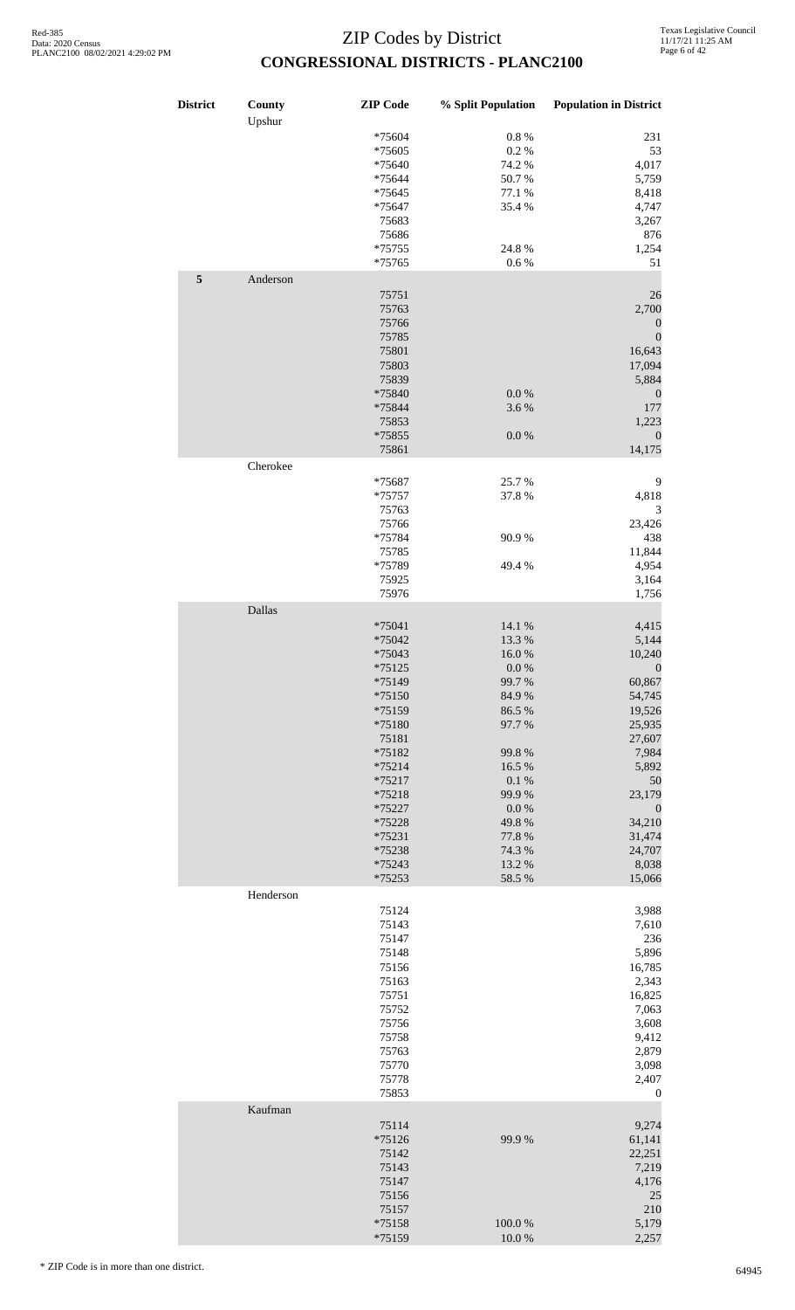| District | County<br>Upshur | <b>ZIP</b> Code | % Split Population | <b>Population in District</b> |
|----------|------------------|-----------------|--------------------|-------------------------------|
|          |                  | *75604          | $0.8~\%$           | 231                           |
|          |                  | *75605          | 0.2 %              | 53                            |
|          |                  | *75640          | 74.2 %             | 4,017                         |
|          |                  | *75644          | 50.7%              | 5,759                         |
|          |                  | *75645          | 77.1 %             | 8,418                         |
|          |                  | *75647          | 35.4 %             | 4,747                         |
|          |                  | 75683           |                    | 3,267                         |
|          |                  | 75686           |                    | 876                           |
|          |                  | *75755          | 24.8%              | 1,254                         |
|          |                  | *75765          | 0.6%               | 51                            |
| 5        | Anderson         |                 |                    |                               |
|          |                  | 75751           |                    | 26                            |
|          |                  | 75763           |                    | 2,700                         |
|          |                  | 75766           |                    | $\boldsymbol{0}$              |
|          |                  | 75785           |                    | $\boldsymbol{0}$              |
|          |                  | 75801           |                    | 16,643                        |
|          |                  | 75803           |                    | 17,094                        |
|          |                  | 75839           |                    | 5,884                         |
|          |                  | *75840          | 0.0 %              | $\boldsymbol{0}$              |
|          |                  | *75844          | 3.6%               | 177                           |
|          |                  | 75853           |                    | 1,223                         |
|          |                  | *75855          | 0.0 %              | $\boldsymbol{0}$              |
|          |                  | 75861           |                    | 14,175                        |
|          | Cherokee         |                 |                    |                               |
|          |                  | *75687          | 25.7%              | 9                             |
|          |                  | *75757          | 37.8%              | 4,818                         |
|          |                  | 75763           |                    | 3                             |
|          |                  | 75766           |                    | 23,426                        |
|          |                  | *75784          | 90.9%              | 438                           |
|          |                  | 75785           |                    | 11,844                        |
|          |                  | *75789          | 49.4 %             | 4,954                         |
|          |                  | 75925           |                    | 3,164                         |
|          |                  | 75976           |                    | 1,756                         |
|          | Dallas           |                 |                    |                               |
|          |                  | *75041          | 14.1 %             | 4,415                         |
|          |                  | *75042          | 13.3 %             | 5,144                         |
|          |                  | *75043          | 16.0%              | 10,240                        |
|          |                  | $*75125$        | 0.0 %              | $\boldsymbol{0}$              |
|          |                  | *75149          | 99.7%              | 60,867                        |
|          |                  | $*75150$        | 84.9%              | 54,745                        |
|          |                  | *75159          | 86.5 %             | 19,526                        |
|          |                  | *75180          | 97.7%              | 25,935                        |
|          |                  | 75181           |                    | 27,607                        |
|          |                  | *75182          | 99.8%              | 7,984                         |
|          |                  | *75214          | 16.5 %             | 5,892                         |
|          |                  | $*75217$        | $0.1~\%$           | 50                            |
|          |                  | *75218          | 99.9%              | 23,179                        |
|          |                  | *75227          | 0.0 %              | $\boldsymbol{0}$              |
|          |                  | *75228          | 49.8%              | 34,210                        |
|          |                  | *75231          | 77.8 %             | 31,474                        |
|          |                  | *75238          | 74.3 %             | 24,707                        |
|          |                  | *75243          | 13.2 %             | 8,038                         |
|          |                  | *75253          | 58.5 %             | 15,066                        |
|          | Henderson        |                 |                    |                               |
|          |                  | 75124           |                    | 3,988                         |
|          |                  | 75143           |                    | 7,610                         |
|          |                  | 75147           |                    | 236                           |
|          |                  | 75148           |                    | 5,896                         |
|          |                  | 75156           |                    | 16,785                        |
|          |                  | 75163           |                    | 2,343                         |
|          |                  | 75751           |                    | 16,825                        |
|          |                  | 75752           |                    | 7,063                         |
|          |                  | 75756           |                    | 3,608                         |
|          |                  | 75758           |                    | 9,412                         |
|          |                  | 75763           |                    | 2,879                         |
|          |                  | 75770           |                    | 3,098                         |
|          |                  | 75778<br>75853  |                    | 2,407<br>$\boldsymbol{0}$     |
|          | Kaufman          |                 |                    |                               |
|          |                  | 75114           |                    | 9,274                         |
|          |                  | *75126          | 99.9%              | 61,141                        |
|          |                  | 75142           |                    | 22,251                        |
|          |                  | 75143           |                    | 7,219                         |
|          |                  | 75147           |                    | 4,176                         |
|          |                  | 75156           |                    | 25                            |
|          |                  | 75157           |                    | 210                           |
|          |                  | *75158          | $100.0~\%$         | 5,179                         |
|          |                  | *75159          | 10.0%              | 2,257                         |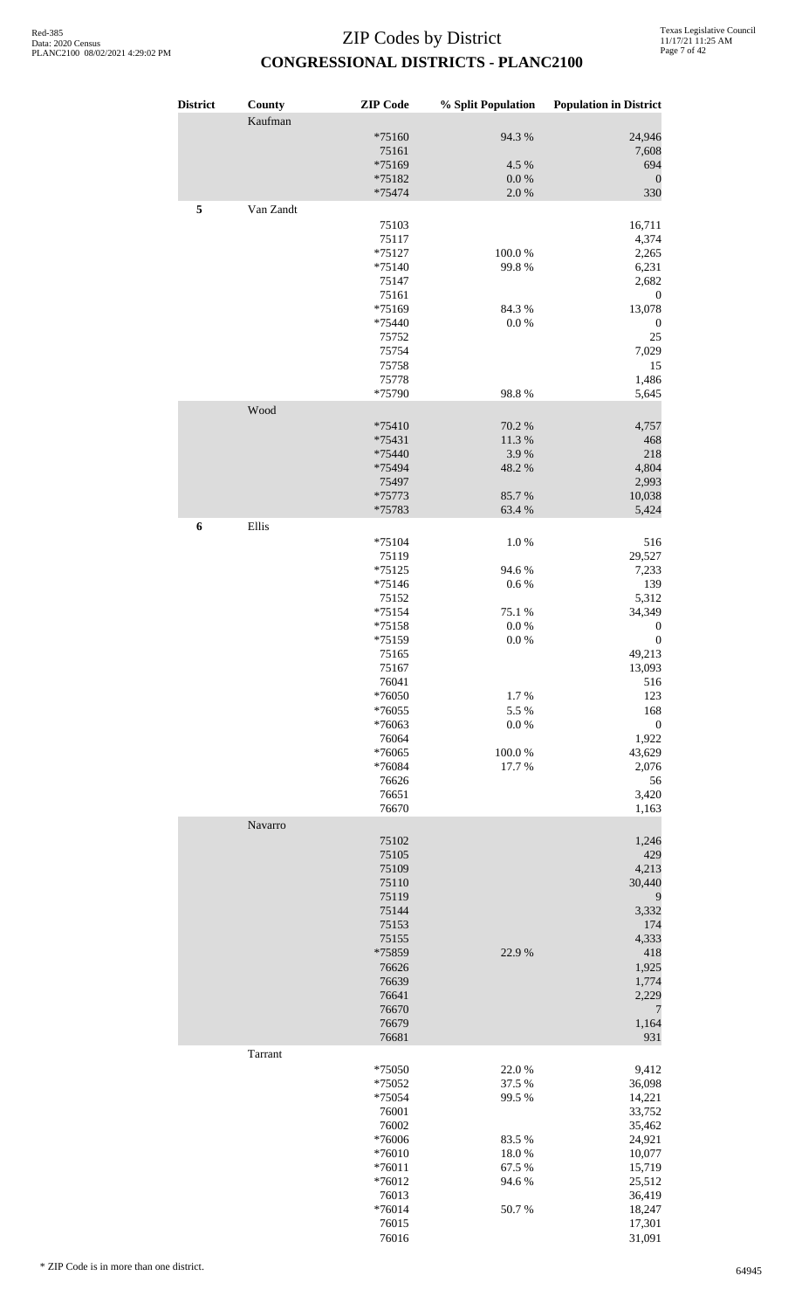| <b>District</b> | County           | <b>ZIP</b> Code                                                                                                                                                                                       | % Split Population                                                                                        | <b>Population in District</b>                                                                                                                                                                             |
|-----------------|------------------|-------------------------------------------------------------------------------------------------------------------------------------------------------------------------------------------------------|-----------------------------------------------------------------------------------------------------------|-----------------------------------------------------------------------------------------------------------------------------------------------------------------------------------------------------------|
|                 | Kaufman          | *75160<br>75161<br>*75169<br>*75182<br>*75474                                                                                                                                                         | 94.3 %<br>4.5 %<br>0.0 %<br>$2.0\ \%$                                                                     | 24,946<br>7,608<br>694<br>$\boldsymbol{0}$<br>330                                                                                                                                                         |
| 5               | Van Zandt        | 75103<br>75117<br>$*75127$<br>$*75140$<br>75147<br>75161<br>*75169<br>*75440<br>75752<br>75754<br>75758<br>75778<br>*75790                                                                            | 100.0%<br>99.8%<br>84.3 %<br>0.0 %<br>98.8%                                                               | 16,711<br>4,374<br>2,265<br>6,231<br>2,682<br>$\boldsymbol{0}$<br>13,078<br>$\boldsymbol{0}$<br>25<br>7,029<br>15<br>1,486<br>5,645                                                                       |
|                 | Wood             | *75410<br>*75431<br>*75440<br>*75494<br>75497<br>*75773<br>*75783                                                                                                                                     | 70.2 %<br>11.3 %<br>3.9%<br>48.2%<br>85.7%<br>63.4%                                                       | 4,757<br>468<br>218<br>4,804<br>2,993<br>10,038<br>5,424                                                                                                                                                  |
| 6               | Ellis<br>Navarro | $*75104$<br>75119<br>$*75125$<br>$*75146$<br>75152<br>$*75154$<br>$*75158$<br>*75159<br>75165<br>75167<br>76041<br>*76050<br>*76055<br>*76063<br>76064<br>*76065<br>*76084<br>76626<br>76651<br>76670 | $1.0\ \%$<br>94.6%<br>0.6 %<br>75.1 %<br>0.0 %<br>$0.0\ \%$<br>1.7%<br>5.5 %<br>0.0 %<br>100.0%<br>17.7 % | 516<br>29,527<br>7,233<br>139<br>5,312<br>34,349<br>$\boldsymbol{0}$<br>$\boldsymbol{0}$<br>49,213<br>13,093<br>516<br>123<br>168<br>$\boldsymbol{0}$<br>1,922<br>43,629<br>2,076<br>56<br>3,420<br>1,163 |
|                 |                  | 75102<br>75105<br>75109<br>75110<br>75119<br>75144<br>75153<br>75155<br>*75859<br>76626<br>76639<br>76641<br>76670<br>76679<br>76681                                                                  | 22.9 %                                                                                                    | 1,246<br>429<br>4,213<br>30,440<br>9<br>3,332<br>174<br>4,333<br>418<br>1,925<br>1,774<br>2,229<br>7<br>1,164<br>931                                                                                      |
|                 | Tarrant          | *75050<br>*75052<br>*75054<br>76001<br>76002<br>*76006<br>*76010<br>$*76011$<br>*76012<br>76013<br>$*76014$<br>76015<br>76016                                                                         | 22.0%<br>37.5 %<br>99.5 %<br>83.5%<br>18.0%<br>67.5 %<br>94.6%<br>50.7%                                   | 9,412<br>36,098<br>14,221<br>33,752<br>35,462<br>24,921<br>10,077<br>15,719<br>25,512<br>36,419<br>18,247<br>17,301<br>31,091                                                                             |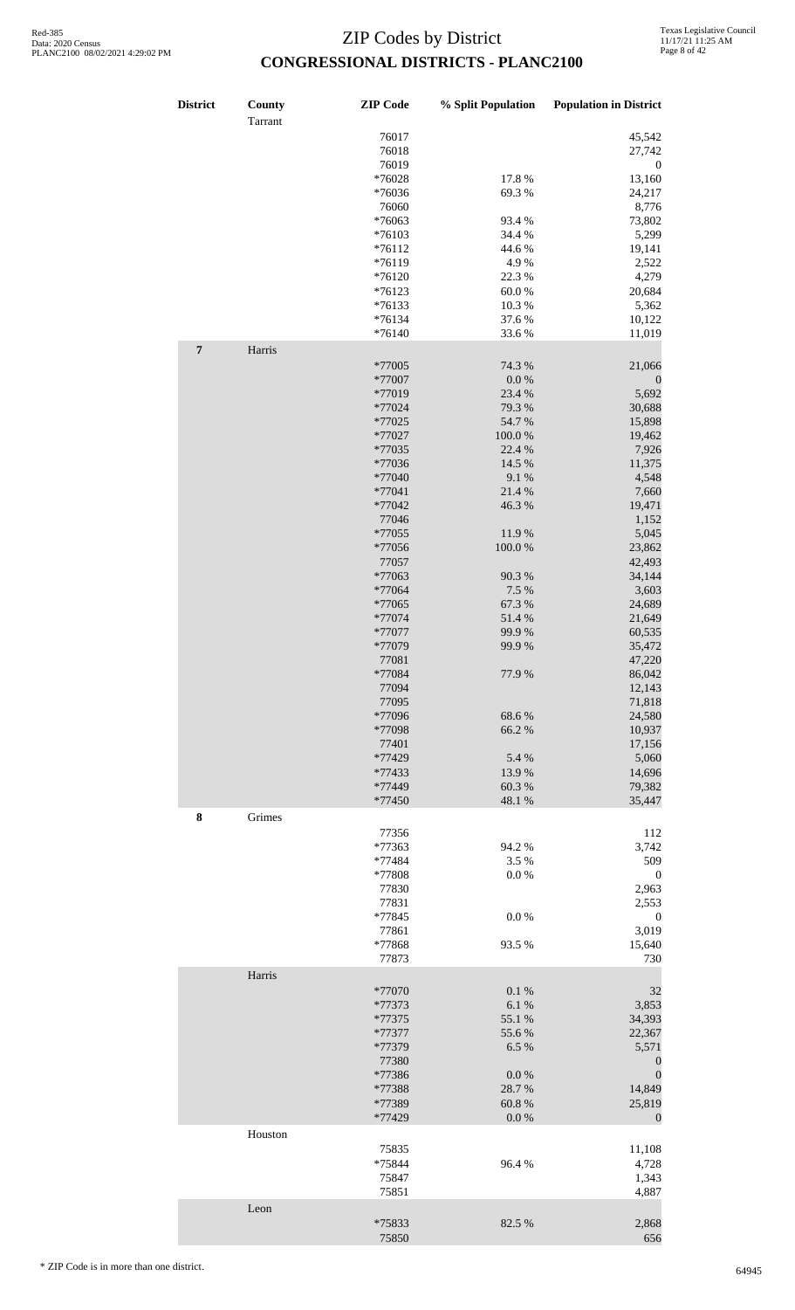| <b>District</b>  | County<br>Tarrant | <b>ZIP</b> Code      | % Split Population | <b>Population in District</b> |
|------------------|-------------------|----------------------|--------------------|-------------------------------|
|                  |                   | 76017                |                    | 45,542                        |
|                  |                   | 76018                |                    | 27,742                        |
|                  |                   | 76019                |                    | $\boldsymbol{0}$              |
|                  |                   | *76028               | 17.8 %             | 13,160                        |
|                  |                   | *76036               | 69.3%              | 24,217                        |
|                  |                   | 76060                |                    | 8,776                         |
|                  |                   | *76063               | 93.4 %             | 73,802                        |
|                  |                   | *76103               | 34.4 %             | 5,299                         |
|                  |                   | $*76112$             | 44.6%              | 19,141                        |
|                  |                   | $*76119$             | 4.9%               | 2,522                         |
|                  |                   | $*76120$             | 22.3 %             | 4,279                         |
|                  |                   | *76123               | 60.0%              | 20,684                        |
|                  |                   | $*76133$<br>$*76134$ | 10.3%<br>37.6%     | 5,362                         |
|                  |                   | $*76140$             | 33.6%              | 10,122<br>11,019              |
| $\boldsymbol{7}$ |                   |                      |                    |                               |
|                  | Harris            |                      | 74.3 %             |                               |
|                  |                   | *77005<br>*77007     | 0.0 %              | 21,066                        |
|                  |                   | *77019               | 23.4 %             | $\boldsymbol{0}$<br>5,692     |
|                  |                   | *77024               | 79.3 %             | 30,688                        |
|                  |                   | *77025               | 54.7 %             | 15,898                        |
|                  |                   | *77027               | 100.0%             | 19,462                        |
|                  |                   | *77035               | 22.4 %             | 7,926                         |
|                  |                   | *77036               | 14.5 %             | 11,375                        |
|                  |                   | *77040               | 9.1%               | 4,548                         |
|                  |                   | *77041               | 21.4%              | 7,660                         |
|                  |                   | *77042               | 46.3%              | 19,471                        |
|                  |                   | 77046                |                    | 1,152                         |
|                  |                   | *77055               | 11.9%              | 5,045                         |
|                  |                   | *77056               | 100.0%             | 23,862                        |
|                  |                   | 77057                |                    | 42,493                        |
|                  |                   | *77063               | 90.3%              | 34,144                        |
|                  |                   | *77064               | 7.5 %              | 3,603                         |
|                  |                   | *77065               | 67.3 %             | 24,689                        |
|                  |                   | *77074               | 51.4%              | 21,649                        |
|                  |                   | *77077               | 99.9%              | 60,535                        |
|                  |                   | *77079               | 99.9%              | 35,472                        |
|                  |                   | 77081                |                    | 47,220                        |
|                  |                   | $*77084$             | 77.9 %             | 86,042                        |
|                  |                   | 77094<br>77095       |                    | 12,143<br>71,818              |
|                  |                   | *77096               | 68.6%              | 24,580                        |
|                  |                   | *77098               | 66.2%              | 10,937                        |
|                  |                   | 77401                |                    | 17,156                        |
|                  |                   | *77429               | 5.4 %              | 5,060                         |
|                  |                   | *77433               | 13.9%              | 14,696                        |
|                  |                   | *77449               | 60.3%              | 79,382                        |
|                  |                   | *77450               | 48.1%              | 35,447                        |
| 8                | Grimes            |                      |                    |                               |
|                  |                   | 77356                |                    | 112                           |
|                  |                   | *77363               | 94.2 %             | 3,742                         |
|                  |                   | *77484               | 3.5%               | 509                           |
|                  |                   | *77808               | 0.0 %              | $\mathbf{0}$                  |
|                  |                   | 77830                |                    | 2,963                         |
|                  |                   | 77831                |                    | 2,553                         |
|                  |                   | *77845               | 0.0 %              | $\boldsymbol{0}$              |
|                  |                   | 77861                |                    | 3,019                         |
|                  |                   | *77868<br>77873      | 93.5 %             | 15,640<br>730                 |
|                  | Harris            |                      |                    |                               |
|                  |                   |                      |                    |                               |
|                  |                   | *77070<br>*77373     | 0.1 %<br>6.1%      | 32<br>3,853                   |
|                  |                   | *77375               | 55.1 %             | 34,393                        |
|                  |                   | *77377               | 55.6%              | 22,367                        |
|                  |                   | *77379               | 6.5 %              | 5,571                         |
|                  |                   | 77380                |                    | $\boldsymbol{0}$              |
|                  |                   | *77386               | $0.0\ \%$          | $\boldsymbol{0}$              |
|                  |                   | *77388               | 28.7%              | 14,849                        |
|                  |                   | *77389               | 60.8%              | 25,819                        |
|                  |                   | *77429               | $0.0\ \%$          | $\mathbf{0}$                  |
|                  | Houston           |                      |                    |                               |
|                  |                   | 75835                |                    | 11,108                        |
|                  |                   | *75844               | 96.4%              | 4,728                         |
|                  |                   | 75847                |                    | 1,343                         |
|                  |                   | 75851                |                    | 4,887                         |
|                  | Leon              |                      |                    |                               |
|                  |                   | *75833               | 82.5 %             | 2,868                         |
|                  |                   | 75850                |                    | 656                           |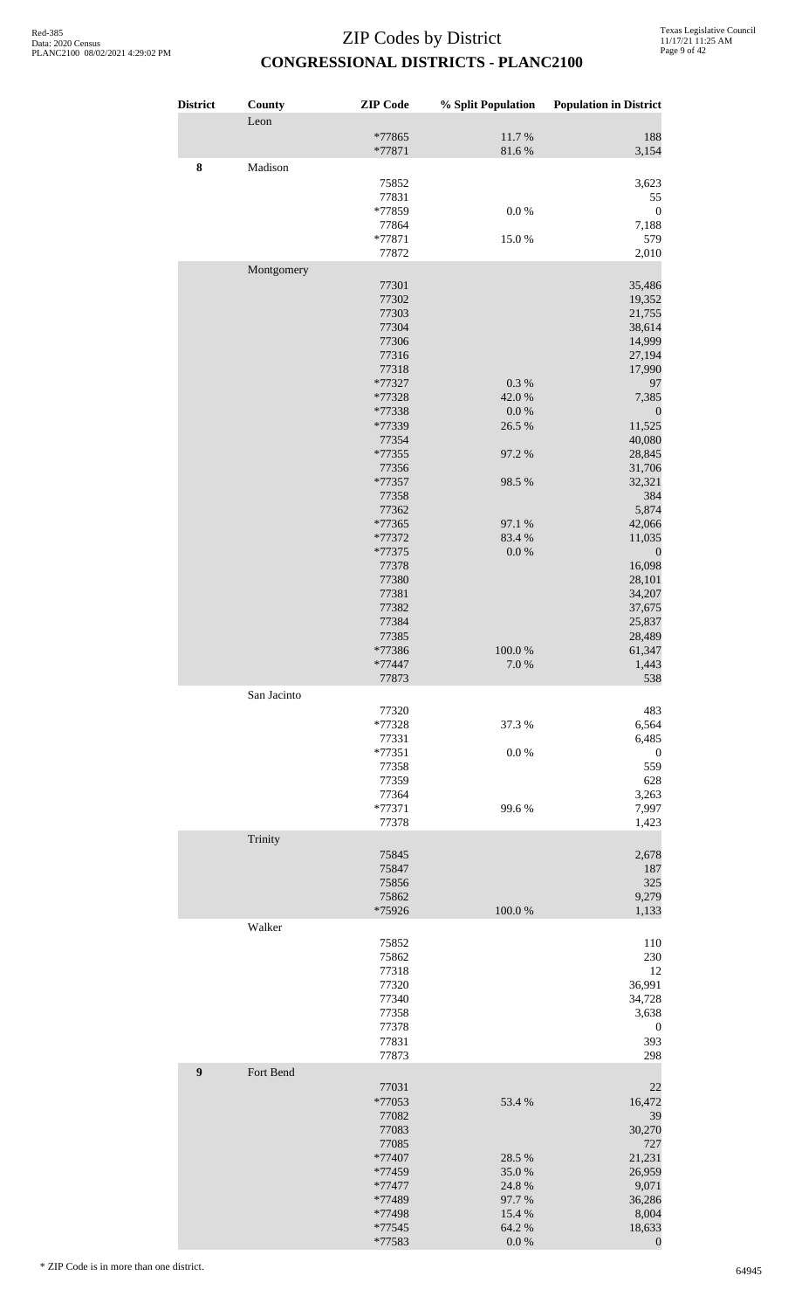| <b>District</b>  | County      | <b>ZIP</b> Code  | % Split Population | <b>Population in District</b> |
|------------------|-------------|------------------|--------------------|-------------------------------|
|                  | Leon        |                  |                    |                               |
|                  |             | *77865<br>*77871 | 11.7%<br>81.6%     | 188<br>3,154                  |
| 8                | Madison     |                  |                    |                               |
|                  |             | 75852            |                    | 3,623                         |
|                  |             | 77831            |                    | 55                            |
|                  |             | *77859<br>77864  | $0.0\ \%$          | $\boldsymbol{0}$<br>7,188     |
|                  |             | *77871           | 15.0%              | 579                           |
|                  |             | 77872            |                    | 2,010                         |
|                  | Montgomery  |                  |                    |                               |
|                  |             | 77301<br>77302   |                    | 35,486<br>19,352              |
|                  |             | 77303            |                    | 21,755                        |
|                  |             | 77304            |                    | 38,614                        |
|                  |             | 77306<br>77316   |                    | 14,999<br>27,194              |
|                  |             | 77318            |                    | 17,990                        |
|                  |             | *77327           | 0.3%               | 97                            |
|                  |             | *77328<br>*77338 | 42.0%<br>$0.0\ \%$ | 7,385<br>$\boldsymbol{0}$     |
|                  |             | *77339           | 26.5 %             | 11,525                        |
|                  |             | 77354            |                    | 40,080                        |
|                  |             | *77355<br>77356  | 97.2 %             | 28,845                        |
|                  |             | *77357           | 98.5 %             | 31,706<br>32,321              |
|                  |             | 77358            |                    | 384                           |
|                  |             | 77362            |                    | 5,874                         |
|                  |             | *77365<br>*77372 | 97.1 %<br>83.4%    | 42,066<br>11,035              |
|                  |             | *77375           | $0.0\ \%$          | $\boldsymbol{0}$              |
|                  |             | 77378            |                    | 16,098                        |
|                  |             | 77380<br>77381   |                    | 28,101<br>34,207              |
|                  |             | 77382            |                    | 37,675                        |
|                  |             | 77384            |                    | 25,837                        |
|                  |             | 77385            |                    | 28,489<br>61,347              |
|                  |             | *77386<br>*77447 | $100.0~\%$<br>7.0% | 1,443                         |
|                  |             | 77873            |                    | 538                           |
|                  | San Jacinto |                  |                    |                               |
|                  |             | 77320            |                    | 483                           |
|                  |             | *77328<br>77331  | 37.3 %             | 6,564<br>6,485                |
|                  |             | $*77351$         | 0.0 %              | $\boldsymbol{0}$              |
|                  |             | 77358            |                    | 559                           |
|                  |             | 77359<br>77364   |                    | 628<br>3,263                  |
|                  |             | *77371           | 99.6%              | 7,997                         |
|                  |             | 77378            |                    | 1,423                         |
|                  | Trinity     |                  |                    |                               |
|                  |             | 75845<br>75847   |                    | 2,678<br>187                  |
|                  |             | 75856            |                    | 325                           |
|                  |             | 75862            |                    | 9,279                         |
|                  |             | *75926           | 100.0%             | 1,133                         |
|                  | Walker      | 75852            |                    | 110                           |
|                  |             | 75862            |                    | 230                           |
|                  |             | 77318            |                    | 12                            |
|                  |             | 77320            |                    | 36,991                        |
|                  |             | 77340<br>77358   |                    | 34,728<br>3,638               |
|                  |             | 77378            |                    | $\boldsymbol{0}$              |
|                  |             | 77831            |                    | 393                           |
| $\boldsymbol{9}$ | Fort Bend   | 77873            |                    | 298                           |
|                  |             | 77031            |                    | 22                            |
|                  |             | *77053           | 53.4 %             | 16,472                        |
|                  |             | 77082            |                    | 39                            |
|                  |             | 77083<br>77085   |                    | 30,270<br>727                 |
|                  |             | *77407           | 28.5 %             | 21,231                        |
|                  |             | *77459           | 35.0%              | 26,959                        |
|                  |             | *77477<br>*77489 | 24.8 %<br>97.7%    | 9,071<br>36,286               |
|                  |             | *77498           | 15.4 %             | 8,004                         |
|                  |             | *77545           | 64.2 %             | 18,633                        |
|                  |             | *77583           | $0.0\ \%$          | $\boldsymbol{0}$              |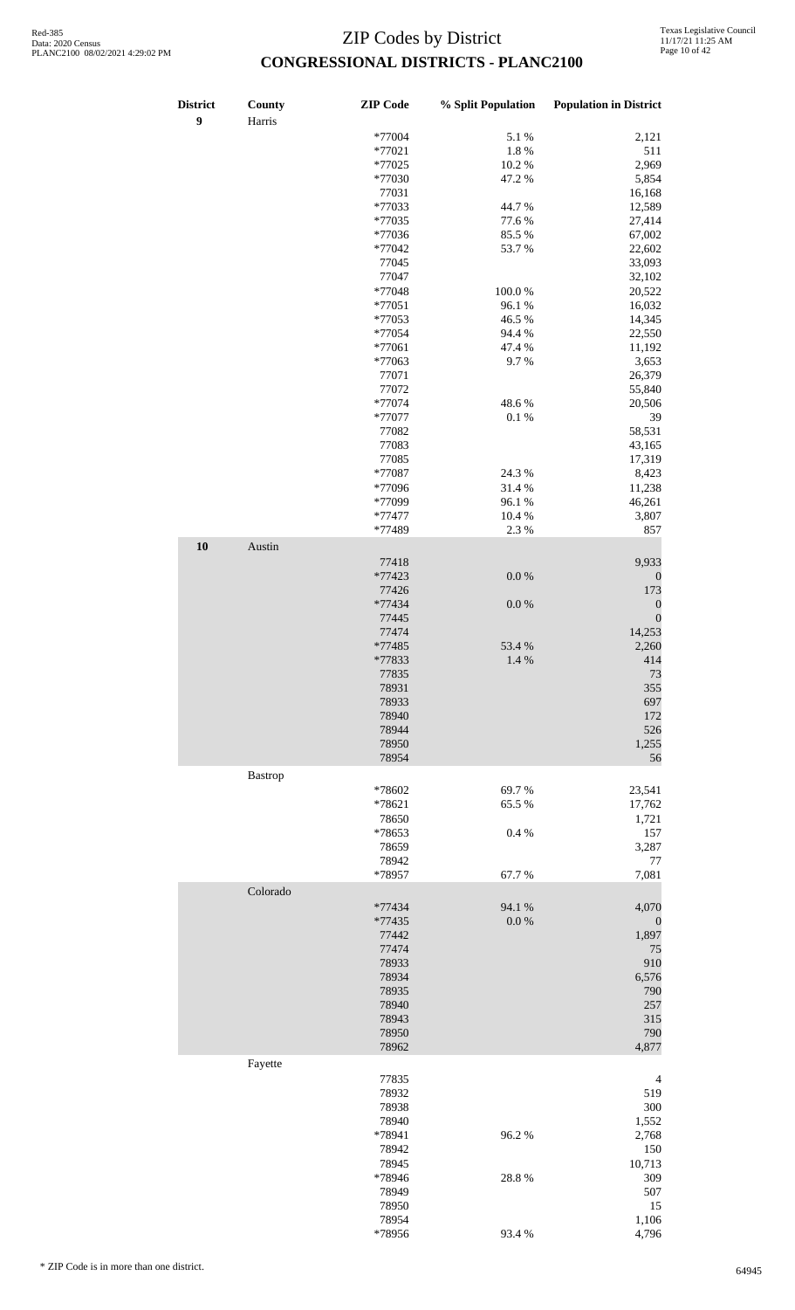| <b>District</b><br>$\boldsymbol{9}$ | County<br>Harris | <b>ZIP</b> Code | % Split Population | <b>Population in District</b> |
|-------------------------------------|------------------|-----------------|--------------------|-------------------------------|
|                                     |                  | *77004          | 5.1 %              | 2,121                         |
|                                     |                  |                 |                    |                               |
|                                     |                  | *77021          | 1.8%               | 511                           |
|                                     |                  | *77025          | 10.2%              | 2,969                         |
|                                     |                  | *77030          | 47.2%              | 5,854                         |
|                                     |                  | 77031           |                    | 16,168                        |
|                                     |                  |                 |                    |                               |
|                                     |                  | *77033          | 44.7%              | 12,589                        |
|                                     |                  | *77035          | 77.6 %             | 27,414                        |
|                                     |                  | *77036          | 85.5 %             | 67,002                        |
|                                     |                  | *77042          | 53.7%              | 22,602                        |
|                                     |                  |                 |                    |                               |
|                                     |                  | 77045           |                    | 33,093                        |
|                                     |                  | 77047           |                    | 32,102                        |
|                                     |                  | *77048          | 100.0%             | 20,522                        |
|                                     |                  | $*77051$        | 96.1%              | 16,032                        |
|                                     |                  |                 |                    |                               |
|                                     |                  | *77053          | 46.5 %             | 14,345                        |
|                                     |                  | *77054          | 94.4 %             | 22,550                        |
|                                     |                  | *77061          | 47.4 %             | 11,192                        |
|                                     |                  |                 |                    |                               |
|                                     |                  | *77063          | 9.7%               | 3,653                         |
|                                     |                  | 77071           |                    | 26,379                        |
|                                     |                  | 77072           |                    | 55,840                        |
|                                     |                  |                 |                    |                               |
|                                     |                  | *77074          | 48.6%              | 20,506                        |
|                                     |                  | *77077          | 0.1%               | 39                            |
|                                     |                  | 77082           |                    | 58,531                        |
|                                     |                  |                 |                    |                               |
|                                     |                  | 77083           |                    | 43,165                        |
|                                     |                  | 77085           |                    | 17,319                        |
|                                     |                  | *77087          | 24.3 %             | 8,423                         |
|                                     |                  |                 |                    |                               |
|                                     |                  | *77096          | 31.4 %             | 11,238                        |
|                                     |                  | *77099          | 96.1%              | 46,261                        |
|                                     |                  | *77477          | 10.4 %             | 3,807                         |
|                                     |                  |                 |                    |                               |
|                                     |                  | *77489          | 2.3 %              | 857                           |
| 10                                  | Austin           |                 |                    |                               |
|                                     |                  |                 |                    |                               |
|                                     |                  | 77418           |                    | 9,933                         |
|                                     |                  | *77423          | $0.0\ \%$          | $\boldsymbol{0}$              |
|                                     |                  | 77426           |                    | 173                           |
|                                     |                  |                 |                    |                               |
|                                     |                  | *77434          | 0.0 %              | $\boldsymbol{0}$              |
|                                     |                  | 77445           |                    | $\boldsymbol{0}$              |
|                                     |                  | 77474           |                    | 14,253                        |
|                                     |                  |                 |                    |                               |
|                                     |                  | *77485          | 53.4 %             | 2,260                         |
|                                     |                  | *77833          | 1.4 %              | 414                           |
|                                     |                  |                 |                    |                               |
|                                     |                  | 77835           |                    | 73                            |
|                                     |                  | 78931           |                    | 355                           |
|                                     |                  | 78933           |                    | 697                           |
|                                     |                  |                 |                    |                               |
|                                     |                  | 78940           |                    | 172                           |
|                                     |                  | 78944           |                    | 526                           |
|                                     |                  | 78950           |                    | 1,255                         |
|                                     |                  |                 |                    |                               |
|                                     |                  | 78954           |                    | 56                            |
|                                     |                  |                 |                    |                               |
|                                     | Bastrop          |                 |                    |                               |
|                                     |                  | *78602          | 69.7%              | 23,541                        |
|                                     |                  | *78621          | 65.5 %             | 17,762                        |
|                                     |                  |                 |                    |                               |
|                                     |                  | 78650           |                    | 1,721                         |
|                                     |                  | *78653          | 0.4%               | 157                           |
|                                     |                  | 78659           |                    | 3,287                         |
|                                     |                  |                 |                    |                               |
|                                     |                  | 78942           |                    | 77                            |
|                                     |                  | *78957          | 67.7%              | 7,081                         |
|                                     |                  |                 |                    |                               |
|                                     | Colorado         |                 |                    |                               |
|                                     |                  | *77434          | 94.1 %             | 4,070                         |
|                                     |                  | *77435          | 0.0 %              | $\boldsymbol{0}$              |
|                                     |                  |                 |                    |                               |
|                                     |                  | 77442           |                    | 1,897                         |
|                                     |                  | 77474           |                    | 75                            |
|                                     |                  | 78933           |                    | 910                           |
|                                     |                  |                 |                    |                               |
|                                     |                  | 78934           |                    | 6,576                         |
|                                     |                  | 78935           |                    | 790                           |
|                                     |                  | 78940           |                    | 257                           |
|                                     |                  |                 |                    |                               |
|                                     |                  | 78943           |                    | 315                           |
|                                     |                  | 78950           |                    | 790                           |
|                                     |                  | 78962           |                    |                               |
|                                     |                  |                 |                    | 4,877                         |
|                                     | Fayette          |                 |                    |                               |
|                                     |                  |                 |                    |                               |
|                                     |                  | 77835           |                    | $\overline{4}$                |
|                                     |                  | 78932           |                    | 519                           |
|                                     |                  | 78938           |                    | 300                           |
|                                     |                  |                 |                    |                               |
|                                     |                  | 78940           |                    | 1,552                         |
|                                     |                  | *78941          | 96.2%              | 2,768                         |
|                                     |                  | 78942           |                    | 150                           |
|                                     |                  |                 |                    |                               |
|                                     |                  | 78945           |                    | 10,713                        |
|                                     |                  | *78946          | 28.8%              | 309                           |
|                                     |                  |                 |                    |                               |
|                                     |                  | 78949           |                    | 507                           |
|                                     |                  | 78950           |                    | 15                            |
|                                     |                  | 78954           |                    | 1,106                         |
|                                     |                  |                 |                    |                               |
|                                     |                  | *78956          | 93.4%              | 4,796                         |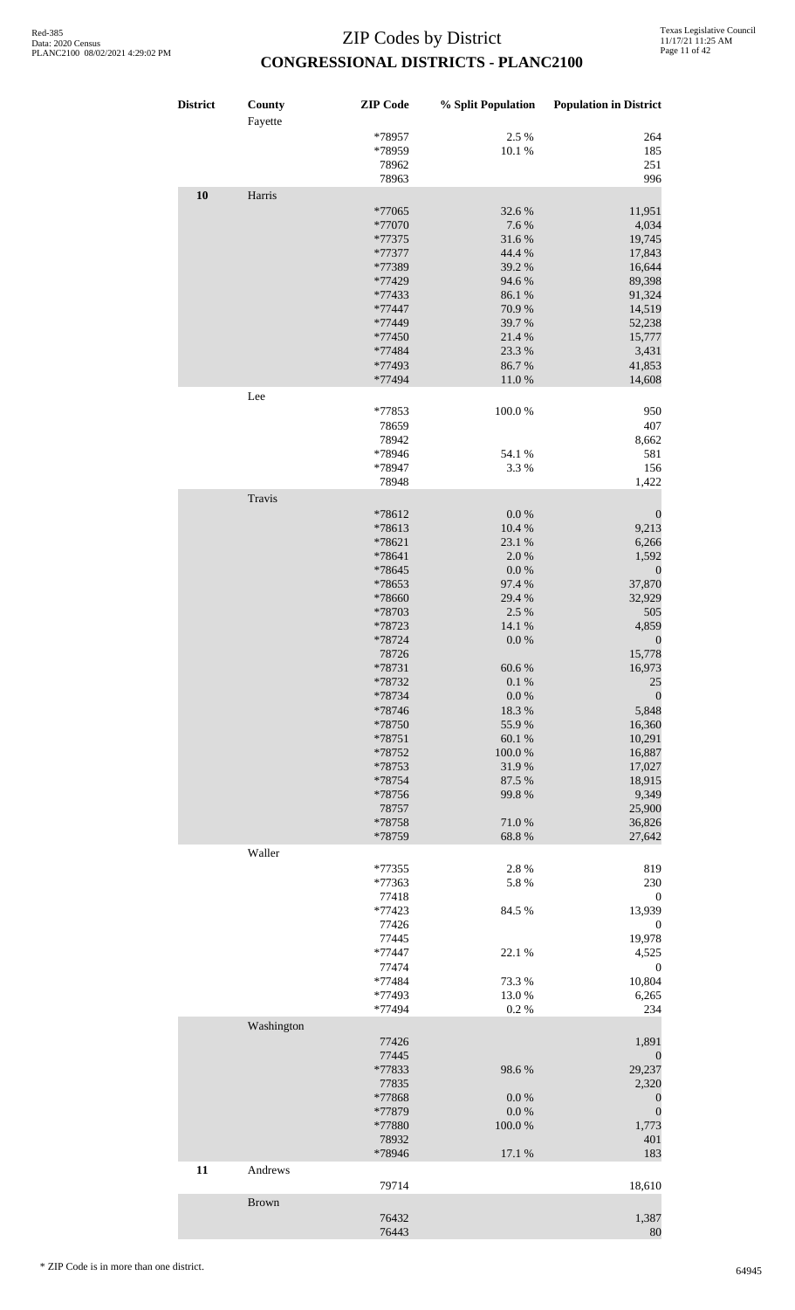| <b>District</b> | County<br>Fayette | <b>ZIP</b> Code                                                                                                                                                                                                                              | % Split Population                                                                                                                                                                                                               | <b>Population in District</b>                                                                                                                                                                                                                                   |
|-----------------|-------------------|----------------------------------------------------------------------------------------------------------------------------------------------------------------------------------------------------------------------------------------------|----------------------------------------------------------------------------------------------------------------------------------------------------------------------------------------------------------------------------------|-----------------------------------------------------------------------------------------------------------------------------------------------------------------------------------------------------------------------------------------------------------------|
|                 |                   | *78957<br>*78959<br>78962<br>78963                                                                                                                                                                                                           | 2.5 %<br>10.1 %                                                                                                                                                                                                                  | 264<br>185<br>251<br>996                                                                                                                                                                                                                                        |
| 10              | Harris            | *77065<br>*77070<br>*77375<br>*77377<br>*77389<br>*77429<br>*77433<br>*77447<br>*77449<br>*77450<br>*77484<br>*77493<br>*77494                                                                                                               | 32.6%<br>7.6 %<br>31.6%<br>44.4 %<br>39.2 %<br>94.6%<br>86.1 %<br>70.9%<br>39.7%<br>21.4%<br>23.3 %<br>86.7%<br>11.0%                                                                                                            | 11,951<br>4,034<br>19,745<br>17,843<br>16,644<br>89,398<br>91,324<br>14,519<br>52,238<br>15,777<br>3,431<br>41,853<br>14,608                                                                                                                                    |
|                 | Lee               | *77853<br>78659<br>78942<br>*78946<br>*78947<br>78948                                                                                                                                                                                        | $100.0~\%$<br>54.1 %<br>3.3%                                                                                                                                                                                                     | 950<br>407<br>8,662<br>581<br>156<br>1,422                                                                                                                                                                                                                      |
|                 | Travis            | *78612<br>*78613<br>*78621<br>*78641<br>*78645<br>*78653<br>*78660<br>*78703<br>*78723<br>*78724<br>78726<br>$*78731$<br>*78732<br>*78734<br>*78746<br>*78750<br>*78751<br>*78752<br>*78753<br>*78754<br>*78756<br>78757<br>*78758<br>*78759 | $0.0\ \%$<br>10.4 %<br>23.1 %<br>2.0%<br>$0.0\ \%$<br>97.4 %<br>29.4 %<br>2.5 %<br>14.1 %<br>$0.0\ \%$<br>60.6%<br>0.1 %<br>$0.0\ \%$<br>18.3%<br>55.9%<br>$60.1~\%$<br>$100.0~\%$<br>31.9%<br>87.5 %<br>99.8%<br>71.0%<br>68.8% | $\boldsymbol{0}$<br>9,213<br>6,266<br>1,592<br>$\boldsymbol{0}$<br>37,870<br>32,929<br>505<br>4,859<br>$\theta$<br>15,778<br>16,973<br>25<br>$\boldsymbol{0}$<br>5,848<br>16,360<br>10,291<br>16,887<br>17,027<br>18,915<br>9,349<br>25,900<br>36,826<br>27,642 |
|                 | Waller            | $*77355$<br>*77363<br>77418<br>*77423<br>77426<br>77445<br>*77447<br>77474<br>*77484<br>*77493<br>*77494                                                                                                                                     | 2.8 %<br>5.8 %<br>84.5 %<br>22.1 %<br>73.3 %<br>13.0%<br>0.2 %                                                                                                                                                                   | 819<br>230<br>$\boldsymbol{0}$<br>13,939<br>$\boldsymbol{0}$<br>19,978<br>4,525<br>$\boldsymbol{0}$<br>10,804<br>6,265<br>234                                                                                                                                   |
|                 | Washington        | 77426<br>77445<br>*77833<br>77835<br>*77868<br>*77879<br>*77880<br>78932<br>*78946                                                                                                                                                           | 98.6%<br>$0.0\ \%$<br>$0.0\ \%$<br>100.0%<br>17.1 %                                                                                                                                                                              | 1,891<br>$\boldsymbol{0}$<br>29,237<br>2,320<br>$\boldsymbol{0}$<br>$\boldsymbol{0}$<br>1,773<br>401<br>183                                                                                                                                                     |
| 11              | Andrews           | 79714                                                                                                                                                                                                                                        |                                                                                                                                                                                                                                  | 18,610                                                                                                                                                                                                                                                          |
|                 | Brown             | 76432<br>76443                                                                                                                                                                                                                               |                                                                                                                                                                                                                                  | 1,387<br>80                                                                                                                                                                                                                                                     |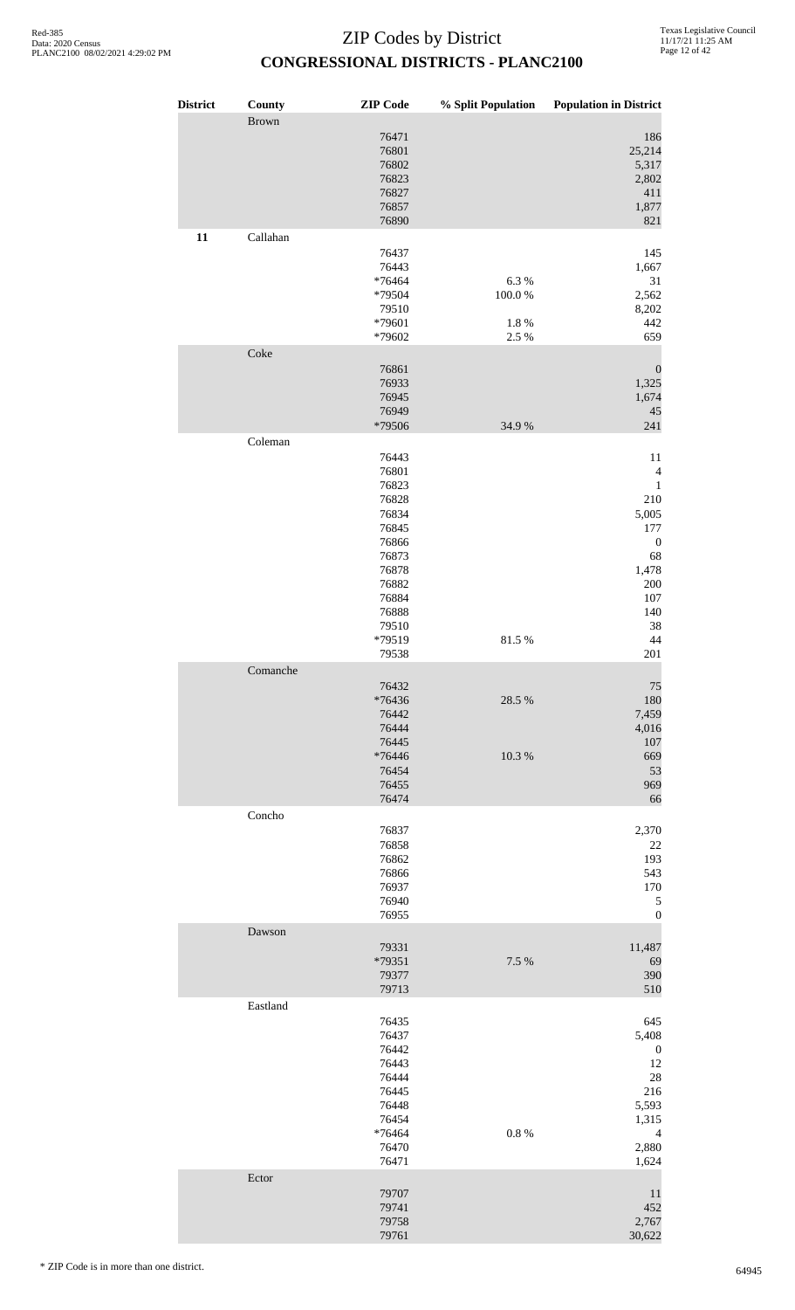| <b>District</b> | County       | <b>ZIP</b> Code                                                                                                                      |                                      | % Split Population Population in District                                                                                         |
|-----------------|--------------|--------------------------------------------------------------------------------------------------------------------------------------|--------------------------------------|-----------------------------------------------------------------------------------------------------------------------------------|
|                 | <b>Brown</b> | 76471<br>76801<br>76802<br>76823<br>76827<br>76857<br>76890                                                                          |                                      | 186<br>25,214<br>5,317<br>2,802<br>411<br>1,877<br>821                                                                            |
| 11              | Callahan     | 76437<br>76443<br>*76464<br>*79504<br>79510<br>*79601<br>*79602                                                                      | 6.3%<br>$100.0~\%$<br>1.8 %<br>2.5 % | 145<br>1,667<br>31<br>2,562<br>8,202<br>442<br>659                                                                                |
|                 | Coke         | 76861<br>76933<br>76945<br>76949<br>*79506                                                                                           | 34.9%                                | $\boldsymbol{0}$<br>1,325<br>1,674<br>45<br>241                                                                                   |
|                 | Coleman      | 76443<br>76801<br>76823<br>76828<br>76834<br>76845<br>76866<br>76873<br>76878<br>76882<br>76884<br>76888<br>79510<br>*79519<br>79538 | 81.5%                                | 11<br>$\overline{4}$<br>$\,1\,$<br>210<br>5,005<br>177<br>$\boldsymbol{0}$<br>68<br>1,478<br>200<br>107<br>140<br>38<br>44<br>201 |
|                 | Comanche     | 76432<br>*76436<br>76442<br>76444<br>76445<br>*76446<br>76454<br>76455<br>76474                                                      | 28.5 %<br>10.3 %                     | 75<br>180<br>7,459<br>4,016<br>107<br>669<br>53<br>969<br>66                                                                      |
|                 | Concho       | 76837<br>76858<br>76862<br>76866<br>76937<br>76940<br>76955                                                                          |                                      | 2,370<br>22<br>193<br>543<br>170<br>5<br>$\boldsymbol{0}$                                                                         |
|                 | Dawson       | 79331<br>*79351<br>79377<br>79713                                                                                                    | 7.5 %                                | 11,487<br>69<br>390<br>510                                                                                                        |
|                 | Eastland     | 76435<br>76437<br>76442<br>76443<br>76444<br>76445<br>76448<br>76454<br>*76464<br>76470<br>76471                                     | $0.8~\%$                             | 645<br>5,408<br>$\boldsymbol{0}$<br>12<br>28<br>216<br>5,593<br>1,315<br>$\overline{4}$<br>2,880<br>1,624                         |
|                 | Ector        | 79707<br>79741<br>79758<br>79761                                                                                                     |                                      | 11<br>452<br>2,767<br>30,622                                                                                                      |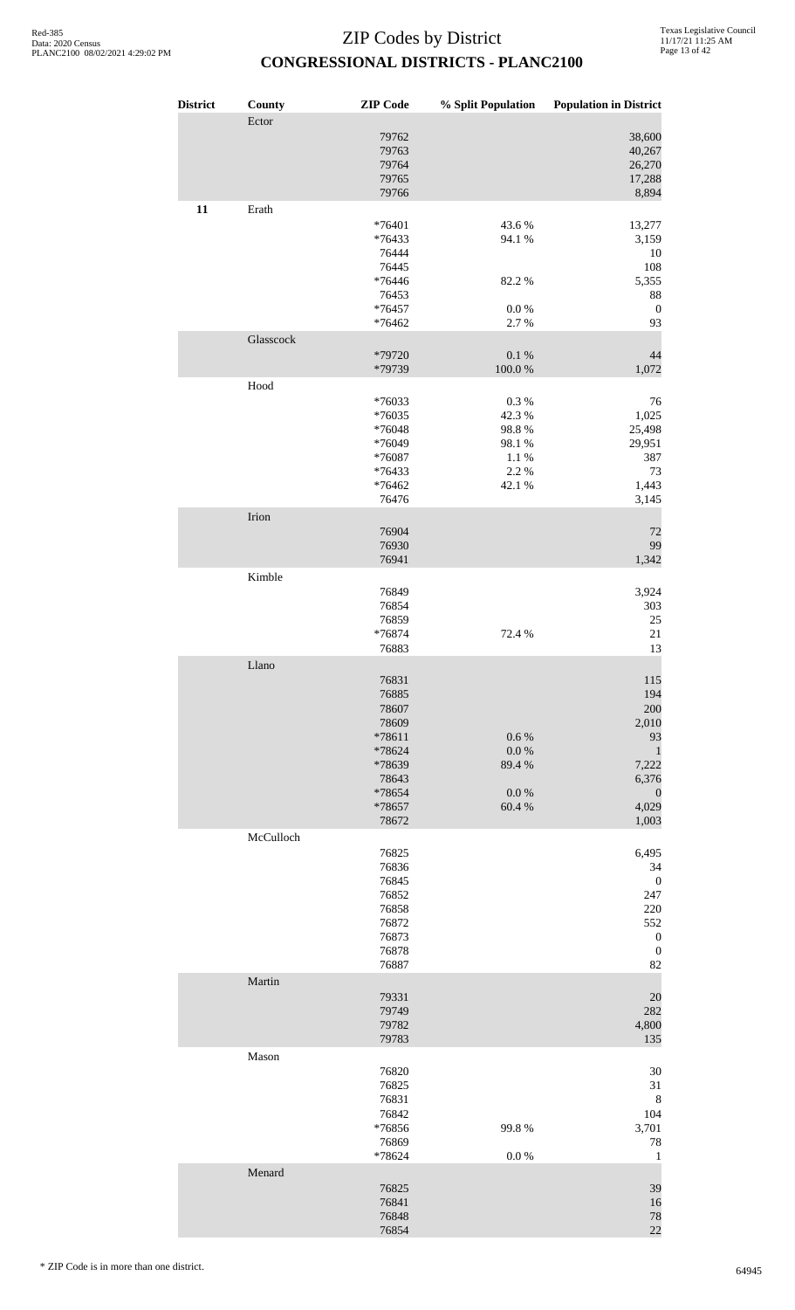| <b>District</b> | County    | <b>ZIP</b> Code    |                   | % Split Population Population in District |
|-----------------|-----------|--------------------|-------------------|-------------------------------------------|
|                 | Ector     | 79762              |                   | 38,600                                    |
|                 |           | 79763              |                   | 40,267                                    |
|                 |           | 79764              |                   | 26,270                                    |
|                 |           | 79765<br>79766     |                   | 17,288<br>8,894                           |
| 11              | Erath     |                    |                   |                                           |
|                 |           | *76401             | 43.6%             | 13,277                                    |
|                 |           | *76433<br>76444    | 94.1 %            | 3,159<br>10                               |
|                 |           | 76445              |                   | 108                                       |
|                 |           | *76446             | 82.2%             | 5,355                                     |
|                 |           | 76453              |                   | 88                                        |
|                 |           | $*76457$<br>*76462 | $0.0\ \%$<br>2.7% | $\boldsymbol{0}$<br>93                    |
|                 | Glasscock |                    |                   |                                           |
|                 |           | *79720             | $0.1~\%$          | 44                                        |
|                 |           | *79739             | $100.0~\%$        | 1,072                                     |
|                 | Hood      | *76033             | $0.3~\%$          | 76                                        |
|                 |           | *76035             | 42.3 %            | 1,025                                     |
|                 |           | *76048             | 98.8%             | 25,498                                    |
|                 |           | *76049             | 98.1 %            | 29,951                                    |
|                 |           | *76087             | $1.1~\%$          | 387<br>73                                 |
|                 |           | *76433<br>$*76462$ | 2.2 %<br>42.1 %   | 1,443                                     |
|                 |           | 76476              |                   | 3,145                                     |
|                 | Irion     |                    |                   |                                           |
|                 |           | 76904              |                   | 72                                        |
|                 |           | 76930<br>76941     |                   | 99<br>1,342                               |
|                 | Kimble    |                    |                   |                                           |
|                 |           | 76849              |                   | 3,924                                     |
|                 |           | 76854              |                   | 303                                       |
|                 |           | 76859              |                   | 25                                        |
|                 |           | *76874<br>76883    | 72.4 %            | $21\,$<br>13                              |
|                 | Llano     |                    |                   |                                           |
|                 |           | 76831              |                   | 115                                       |
|                 |           | 76885              |                   | 194                                       |
|                 |           | 78607              |                   | 200                                       |
|                 |           | 78609<br>*78611    | 0.6 %             | 2,010<br>93                               |
|                 |           | *78624             | 0.0 %             | $\mathbf 1$                               |
|                 |           | *78639             | 89.4%             | 7,222                                     |
|                 |           | 78643<br>*78654    | 0.0 %             | 6,376<br>$\boldsymbol{0}$                 |
|                 |           | *78657             | 60.4%             | 4,029                                     |
|                 |           | 78672              |                   | 1,003                                     |
|                 | McCulloch |                    |                   |                                           |
|                 |           | 76825              |                   | 6,495                                     |
|                 |           | 76836<br>76845     |                   | 34<br>$\boldsymbol{0}$                    |
|                 |           | 76852              |                   | 247                                       |
|                 |           | 76858              |                   | 220                                       |
|                 |           | 76872              |                   | 552                                       |
|                 |           | 76873<br>76878     |                   | $\boldsymbol{0}$<br>$\boldsymbol{0}$      |
|                 |           | 76887              |                   | 82                                        |
|                 | Martin    |                    |                   |                                           |
|                 |           | 79331              |                   | 20                                        |
|                 |           | 79749<br>79782     |                   | 282<br>4,800                              |
|                 |           | 79783              |                   | 135                                       |
|                 | Mason     |                    |                   |                                           |
|                 |           | 76820              |                   | 30                                        |
|                 |           | 76825<br>76831     |                   | 31<br>$\,8\,$                             |
|                 |           | 76842              |                   | 104                                       |
|                 |           | *76856             | 99.8%             | 3,701                                     |
|                 |           | 76869              |                   | 78                                        |
|                 | Menard    | *78624             | 0.0 %             | $\mathbf{1}$                              |
|                 |           | 76825              |                   | 39                                        |
|                 |           | 76841              |                   | 16                                        |
|                 |           | 76848              |                   | 78                                        |
|                 |           | 76854              |                   | 22                                        |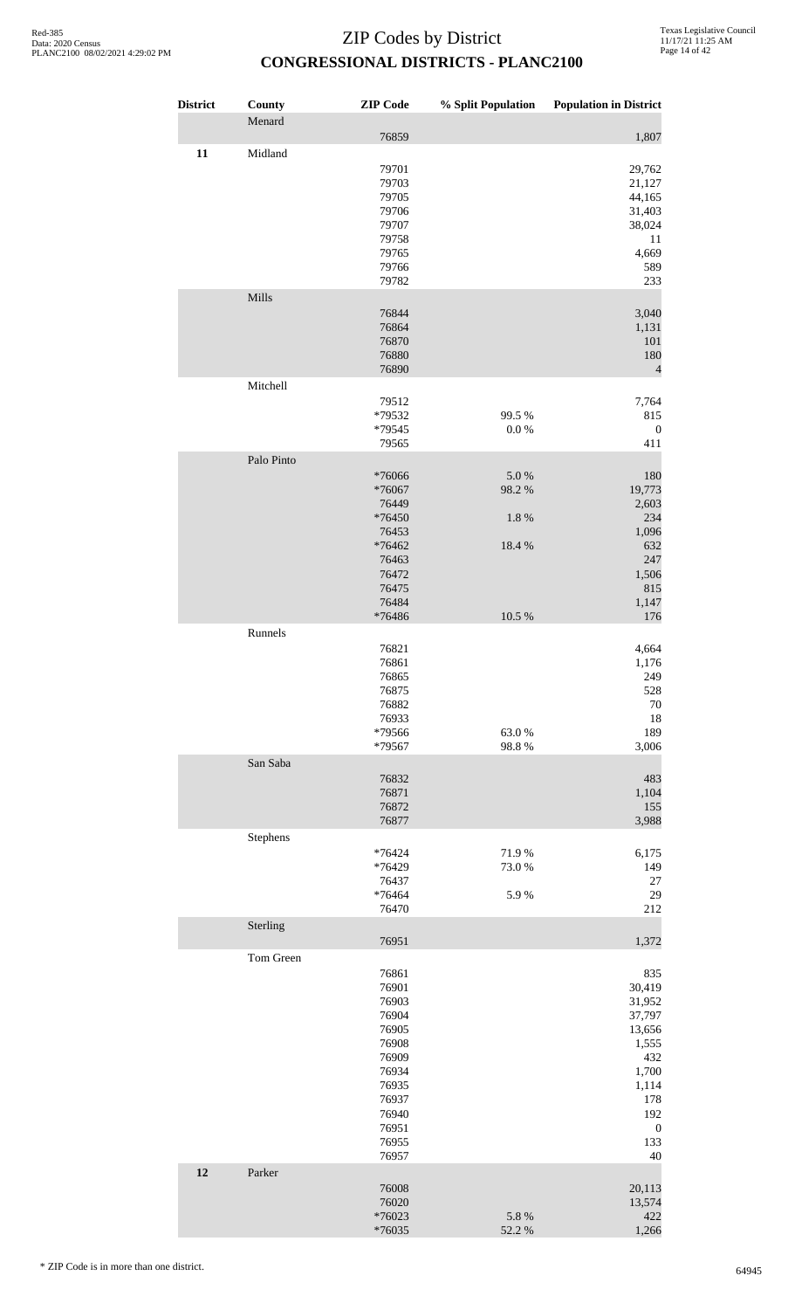| <b>District</b> | County<br>Menard | <b>ZIP</b> Code                                                                                                            | % Split Population             | <b>Population in District</b>                                                                                                |
|-----------------|------------------|----------------------------------------------------------------------------------------------------------------------------|--------------------------------|------------------------------------------------------------------------------------------------------------------------------|
|                 |                  | 76859                                                                                                                      |                                | 1,807                                                                                                                        |
| 11              | Midland          | 79701<br>79703<br>79705<br>79706<br>79707<br>79758<br>79765<br>79766<br>79782                                              |                                | 29,762<br>21,127<br>44,165<br>31,403<br>38,024<br>11<br>4,669<br>589<br>233                                                  |
|                 | Mills            | 76844<br>76864<br>76870<br>76880                                                                                           |                                | 3,040<br>1,131<br>101<br>180                                                                                                 |
|                 |                  | 76890                                                                                                                      |                                | $\overline{4}$                                                                                                               |
|                 | Mitchell         | 79512<br>*79532<br>*79545<br>79565                                                                                         | 99.5 %<br>$0.0\ \%$            | 7,764<br>815<br>$\boldsymbol{0}$<br>411                                                                                      |
|                 | Palo Pinto       |                                                                                                                            |                                |                                                                                                                              |
|                 |                  | *76066<br>*76067<br>76449<br>*76450<br>76453<br>*76462<br>76463<br>76472<br>76475<br>76484                                 | 5.0%<br>98.2%<br>1.8%<br>18.4% | 180<br>19,773<br>2,603<br>234<br>1,096<br>632<br>247<br>1,506<br>815<br>1,147                                                |
|                 | Runnels          | *76486                                                                                                                     | 10.5 %                         | 176                                                                                                                          |
|                 |                  | 76821<br>76861<br>76865<br>76875<br>76882<br>76933<br>*79566<br>*79567                                                     | 63.0%<br>98.8%                 | 4,664<br>1,176<br>249<br>528<br>70<br>18<br>189<br>3,006                                                                     |
|                 | San Saba         |                                                                                                                            |                                |                                                                                                                              |
|                 |                  | 76832<br>76871<br>76872<br>76877                                                                                           |                                | 483<br>1,104<br>155<br>3,988                                                                                                 |
|                 | Stephens         | $*76424$<br>*76429<br>76437<br>*76464<br>76470                                                                             | 71.9%<br>73.0%<br>5.9%         | 6,175<br>149<br>27<br>29<br>212                                                                                              |
|                 | Sterling         |                                                                                                                            |                                |                                                                                                                              |
|                 | Tom Green        | 76951                                                                                                                      |                                | 1,372                                                                                                                        |
|                 |                  | 76861<br>76901<br>76903<br>76904<br>76905<br>76908<br>76909<br>76934<br>76935<br>76937<br>76940<br>76951<br>76955<br>76957 |                                | 835<br>30,419<br>31,952<br>37,797<br>13,656<br>1,555<br>432<br>1,700<br>1,114<br>178<br>192<br>$\boldsymbol{0}$<br>133<br>40 |
| 12              | Parker           | 76008<br>76020<br>$*76023$<br>*76035                                                                                       | 5.8 %<br>52.2 %                | 20,113<br>13,574<br>422<br>1,266                                                                                             |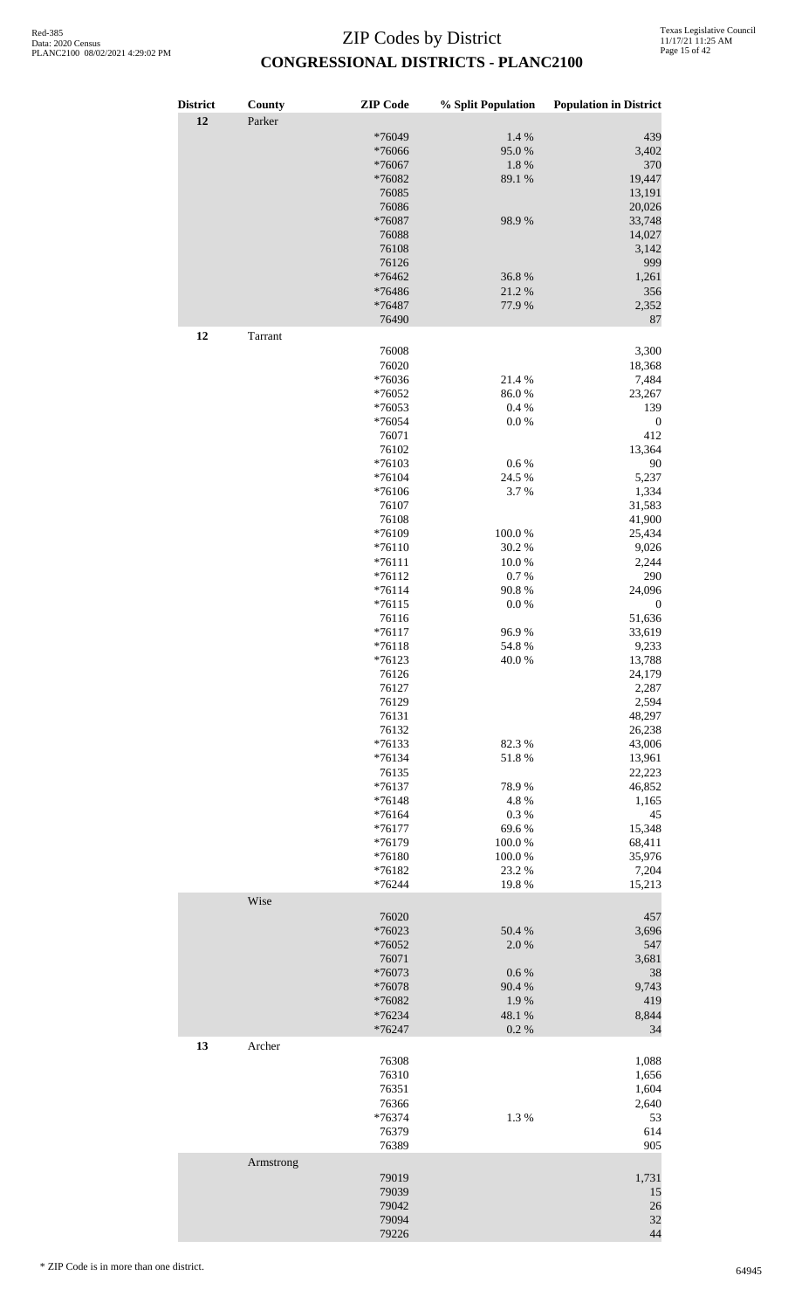| <b>District</b><br>12 | County<br>Parker | <b>ZIP</b> Code                                        | % Split Population               | <b>Population in District</b>                     |
|-----------------------|------------------|--------------------------------------------------------|----------------------------------|---------------------------------------------------|
|                       |                  | *76049<br>*76066<br>*76067<br>*76082<br>76085<br>76086 | 1.4 %<br>95.0%<br>1.8%<br>89.1 % | 439<br>3,402<br>370<br>19,447<br>13,191<br>20,026 |
|                       |                  | *76087<br>76088<br>76108<br>76126<br>*76462            | 98.9%<br>36.8%                   | 33,748<br>14,027<br>3,142<br>999<br>1,261         |
|                       |                  | *76486<br>*76487<br>76490                              | 21.2%<br>77.9 %                  | 356<br>2,352<br>87                                |
| 12                    | Tarrant          |                                                        |                                  |                                                   |
|                       |                  | 76008<br>76020                                         |                                  | 3,300<br>18,368                                   |
|                       |                  | *76036                                                 | 21.4%                            | 7,484                                             |
|                       |                  | *76052                                                 | 86.0%                            | 23,267                                            |
|                       |                  | *76053                                                 | 0.4%                             | 139                                               |
|                       |                  | *76054<br>76071                                        | $0.0\ \%$                        | $\boldsymbol{0}$<br>412                           |
|                       |                  | 76102                                                  |                                  | 13,364                                            |
|                       |                  | *76103                                                 | $0.6\ \%$                        | 90                                                |
|                       |                  | $*76104$<br>*76106                                     | 24.5 %<br>3.7%                   | 5,237<br>1,334                                    |
|                       |                  | 76107                                                  |                                  | 31,583                                            |
|                       |                  | 76108                                                  |                                  | 41,900                                            |
|                       |                  | *76109                                                 | 100.0%                           | 25,434                                            |
|                       |                  | $*76110$<br>$*76111$                                   | 30.2 %<br>10.0%                  | 9,026<br>2,244                                    |
|                       |                  | $*76112$                                               | 0.7%                             | 290                                               |
|                       |                  | $*76114$                                               | 90.8%                            | 24,096                                            |
|                       |                  | $*76115$<br>76116                                      | $0.0\ \%$                        | $\boldsymbol{0}$<br>51,636                        |
|                       |                  | $*76117$                                               | 96.9%                            | 33,619                                            |
|                       |                  | $*76118$                                               | 54.8 %                           | 9,233                                             |
|                       |                  | $*76123$                                               | 40.0%                            | 13,788                                            |
|                       |                  | 76126<br>76127                                         |                                  | 24,179<br>2,287                                   |
|                       |                  | 76129                                                  |                                  | 2,594                                             |
|                       |                  | 76131                                                  |                                  | 48,297                                            |
|                       |                  | 76132<br>*76133                                        | 82.3%                            | 26,238<br>43,006                                  |
|                       |                  | *76134                                                 | 51.8%                            | 13,961                                            |
|                       |                  | 76135                                                  |                                  | 22,223                                            |
|                       |                  | *76137<br>$*76148$                                     | 78.9%<br>4.8%                    | 46,852<br>1,165                                   |
|                       |                  | $*76164$                                               | $0.3~\%$                         | 45                                                |
|                       |                  | $*76177$                                               | 69.6%                            | 15,348                                            |
|                       |                  | *76179                                                 | 100.0%                           | 68,411                                            |
|                       |                  | *76180<br>*76182                                       | 100.0%<br>23.2 %                 | 35,976<br>7,204                                   |
|                       |                  | *76244                                                 | 19.8%                            | 15,213                                            |
|                       | Wise             |                                                        |                                  |                                                   |
|                       |                  | 76020<br>*76023                                        | 50.4 %                           | 457<br>3,696                                      |
|                       |                  | *76052                                                 | 2.0%                             | 547                                               |
|                       |                  | 76071                                                  |                                  | 3,681                                             |
|                       |                  | *76073                                                 | 0.6%                             | 38                                                |
|                       |                  | *76078<br>*76082                                       | 90.4 %<br>1.9%                   | 9,743<br>419                                      |
|                       |                  | *76234                                                 | 48.1 %                           | 8,844                                             |
|                       |                  | $*76247$                                               | $0.2~\%$                         | 34                                                |
| 13                    | Archer           |                                                        |                                  |                                                   |
|                       |                  | 76308<br>76310                                         |                                  | 1,088<br>1,656                                    |
|                       |                  | 76351                                                  |                                  | 1,604                                             |
|                       |                  | 76366                                                  |                                  | 2,640                                             |
|                       |                  | *76374<br>76379                                        | 1.3%                             | 53<br>614                                         |
|                       |                  | 76389                                                  |                                  | 905                                               |
|                       | Armstrong        |                                                        |                                  |                                                   |
|                       |                  | 79019                                                  |                                  | 1,731                                             |
|                       |                  | 79039<br>79042                                         |                                  | 15<br>26                                          |
|                       |                  | 79094                                                  |                                  | 32                                                |
|                       |                  | 79226                                                  |                                  | 44                                                |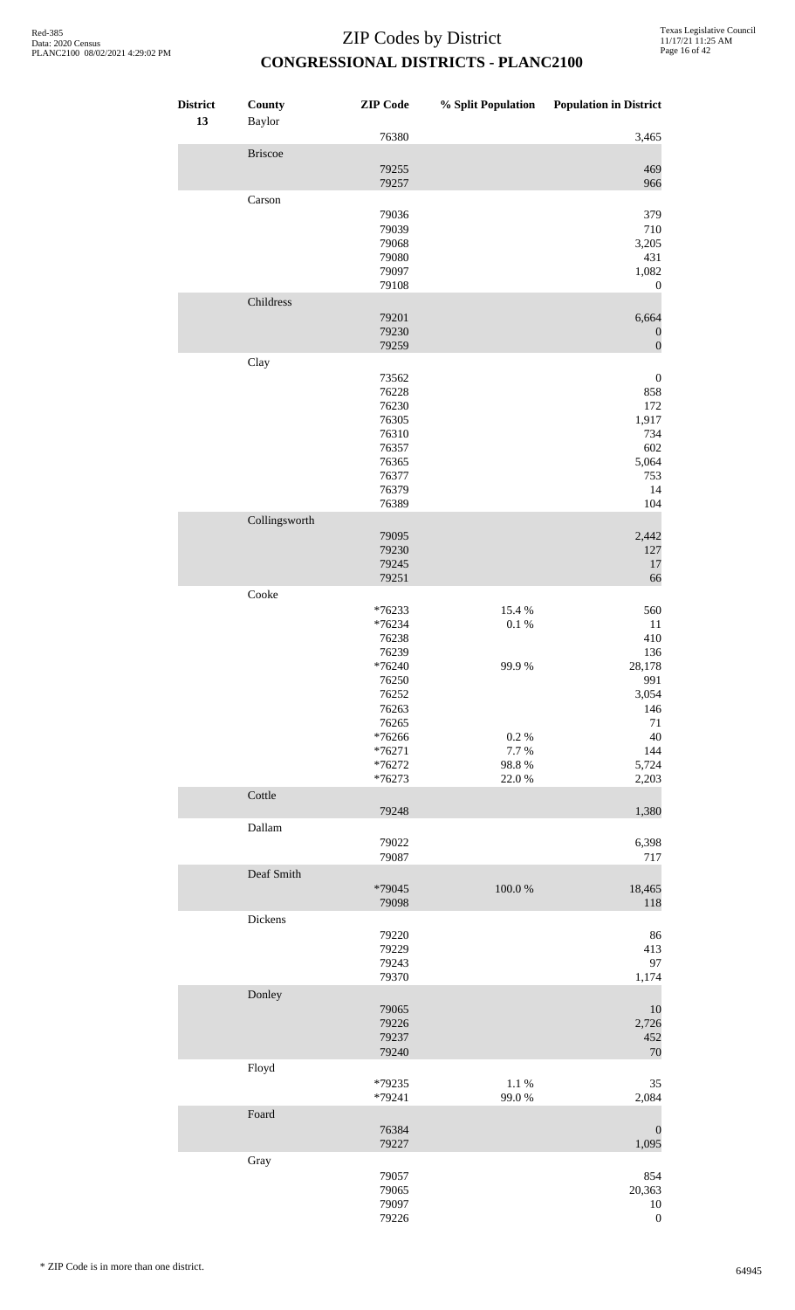| <b>District</b><br>13 | County<br><b>Baylor</b> | <b>ZIP</b> Code                                                                        | % Split Population                 | <b>Population in District</b>                                                      |
|-----------------------|-------------------------|----------------------------------------------------------------------------------------|------------------------------------|------------------------------------------------------------------------------------|
|                       |                         | 76380                                                                                  |                                    | 3,465                                                                              |
|                       | <b>Briscoe</b>          | 79255<br>79257                                                                         |                                    | 469<br>966                                                                         |
|                       | Carson                  | 79036<br>79039<br>79068<br>79080<br>79097<br>79108                                     |                                    | 379<br>710<br>3,205<br>431<br>1,082<br>$\boldsymbol{0}$                            |
|                       | Childress               | 79201<br>79230<br>79259                                                                |                                    | 6,664<br>$\boldsymbol{0}$<br>$\boldsymbol{0}$                                      |
|                       | Clay                    | 73562<br>76228<br>76230<br>76305<br>76310<br>76357<br>76365<br>76377<br>76379<br>76389 |                                    | $\boldsymbol{0}$<br>858<br>172<br>1,917<br>734<br>602<br>5,064<br>753<br>14<br>104 |
|                       | Collingsworth           | 79095<br>79230<br>79245<br>79251                                                       |                                    | 2,442<br>127<br>17<br>66                                                           |
|                       | Cooke                   | $*76233$<br>*76234<br>76238<br>76239<br>*76240<br>76250                                | 15.4 %<br>0.1 %<br>99.9%           | 560<br>11<br>410<br>136<br>28,178<br>991                                           |
|                       |                         | 76252<br>76263<br>76265<br>*76266<br>$*76271$<br>*76272<br>*76273                      | $0.2~\%$<br>7.7%<br>98.8%<br>22.0% | 3,054<br>146<br>$71\,$<br>40<br>144<br>5,724<br>2,203                              |
|                       | Cottle                  | 79248                                                                                  |                                    | 1,380                                                                              |
|                       | Dallam                  | 79022<br>79087                                                                         |                                    | 6,398<br>717                                                                       |
|                       | Deaf Smith              | *79045<br>79098                                                                        | $100.0~\%$                         | 18,465<br>118                                                                      |
|                       | Dickens                 | 79220<br>79229<br>79243<br>79370                                                       |                                    | 86<br>413<br>97<br>1,174                                                           |
|                       | Donley                  | 79065<br>79226<br>79237<br>79240                                                       |                                    | 10<br>2,726<br>452<br>70                                                           |
|                       | Floyd                   | *79235<br>*79241                                                                       | $1.1~\%$<br>99.0%                  | 35<br>2,084                                                                        |
|                       | Foard                   | 76384<br>79227                                                                         |                                    | $\boldsymbol{0}$<br>1,095                                                          |
|                       | Gray                    | 79057<br>79065<br>79097<br>79226                                                       |                                    | 854<br>20,363<br>$10\,$<br>$\boldsymbol{0}$                                        |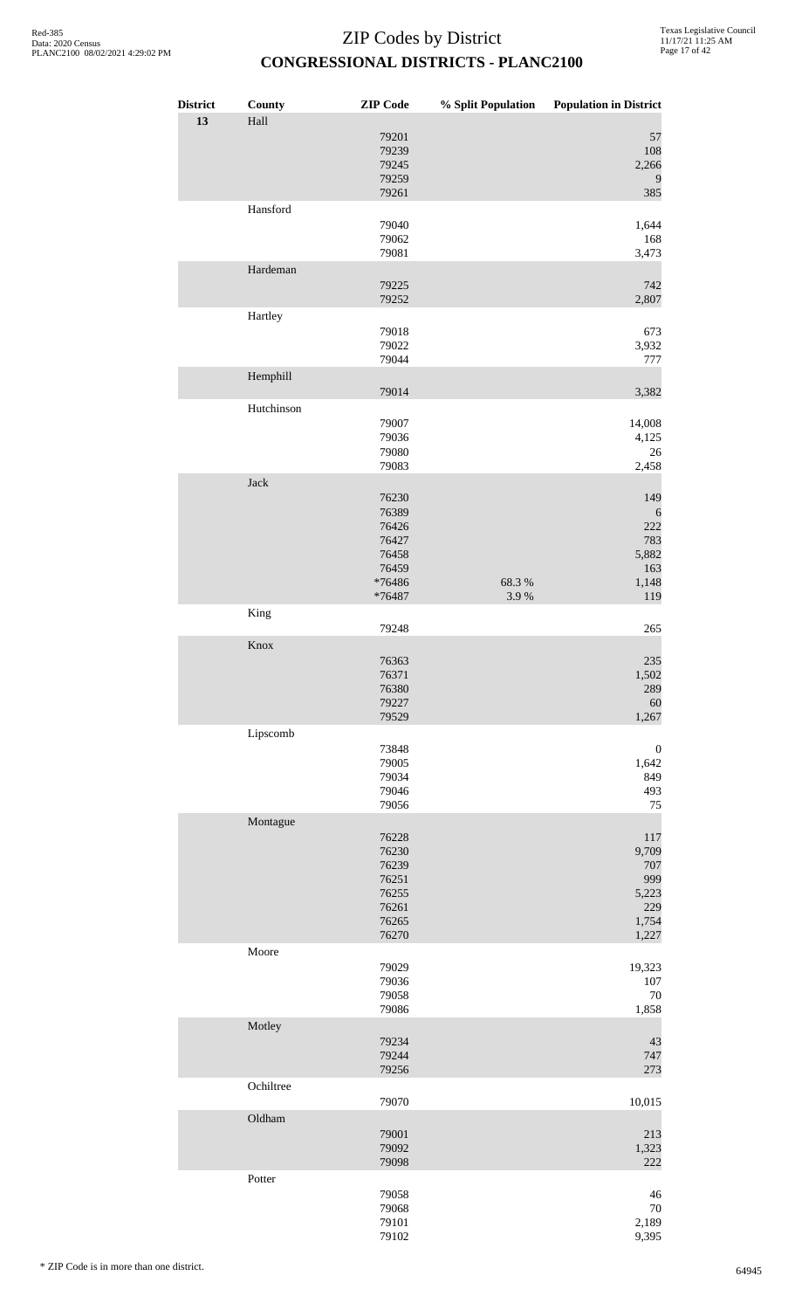| <b>District</b> | County     | <b>ZIP</b> Code                                                        | % Split Population | <b>Population in District</b>                                |
|-----------------|------------|------------------------------------------------------------------------|--------------------|--------------------------------------------------------------|
| 13              | Hall       | 79201<br>79239<br>79245<br>79259<br>79261                              |                    | 57<br>108<br>2,266<br>9<br>385                               |
|                 | Hansford   | 79040<br>79062<br>79081                                                |                    | 1,644<br>168<br>3,473                                        |
|                 | Hardeman   | 79225<br>79252                                                         |                    | 742<br>2,807                                                 |
|                 | Hartley    | 79018<br>79022<br>79044                                                |                    | 673<br>3,932<br>777                                          |
|                 | Hemphill   | 79014                                                                  |                    | 3,382                                                        |
|                 | Hutchinson | 79007<br>79036<br>79080<br>79083                                       |                    | 14,008<br>4,125<br>26<br>2,458                               |
|                 | Jack       | 76230<br>76389<br>76426<br>76427<br>76458<br>76459<br>*76486<br>*76487 | 68.3%<br>3.9%      | 149<br>6<br>222<br>783<br>5,882<br>163<br>1,148<br>119       |
|                 | King       | 79248                                                                  |                    | 265                                                          |
|                 | Knox       | 76363<br>76371<br>76380<br>79227<br>79529                              |                    | 235<br>1,502<br>289<br>60<br>1,267                           |
|                 | Lipscomb   | 73848<br>79005<br>79034<br>79046<br>79056                              |                    | $\boldsymbol{0}$<br>1,642<br>849<br>493<br>75                |
|                 | Montague   | 76228<br>76230<br>76239<br>76251<br>76255<br>76261<br>76265<br>76270   |                    | 117<br>9,709<br>707<br>999<br>5,223<br>229<br>1,754<br>1,227 |
|                 | Moore      | 79029<br>79036<br>79058<br>79086                                       |                    | 19,323<br>107<br>70<br>1,858                                 |
|                 | Motley     | 79234<br>79244<br>79256                                                |                    | 43<br>747<br>273                                             |
|                 | Ochiltree  | 79070                                                                  |                    | 10,015                                                       |
|                 | Oldham     | 79001<br>79092<br>79098                                                |                    | 213<br>1,323<br>222                                          |
|                 | Potter     | 79058                                                                  |                    | 46                                                           |
|                 |            | 79068<br>79101<br>79102                                                |                    | 70<br>2,189<br>9,395                                         |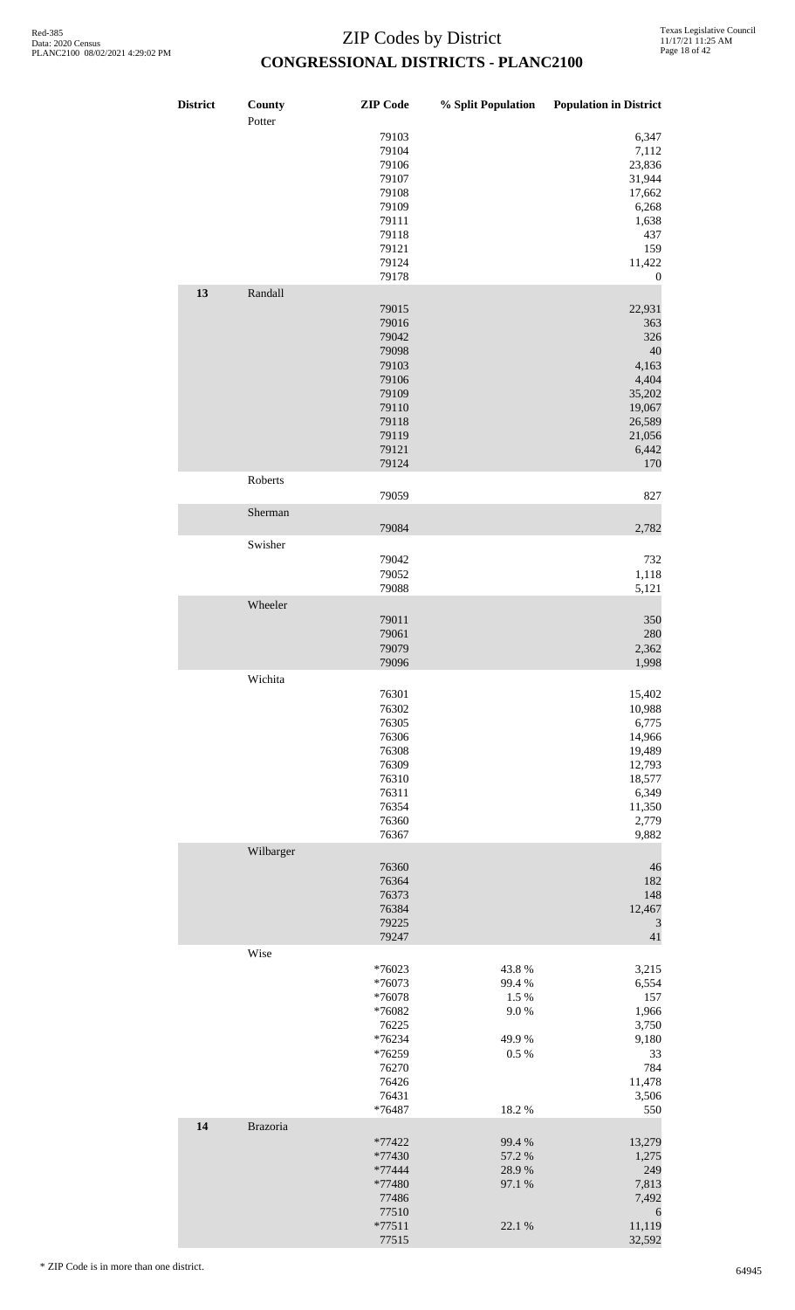| District | County<br>Potter | <b>ZIP</b> Code                                                                                          | % Split Population                                         | <b>Population in District</b>                                                                              |
|----------|------------------|----------------------------------------------------------------------------------------------------------|------------------------------------------------------------|------------------------------------------------------------------------------------------------------------|
|          |                  | 79103<br>79104<br>79106<br>79107<br>79108<br>79109<br>79111<br>79118<br>79121<br>79124<br>79178          |                                                            | 6,347<br>7,112<br>23,836<br>31,944<br>17,662<br>6,268<br>1,638<br>437<br>159<br>11,422<br>$\boldsymbol{0}$ |
| 13       | Randall          | 79015<br>79016<br>79042<br>79098<br>79103<br>79106<br>79109<br>79110<br>79118<br>79119<br>79121<br>79124 |                                                            | 22,931<br>363<br>326<br>40<br>4,163<br>4,404<br>35,202<br>19,067<br>26,589<br>21,056<br>6,442<br>170       |
|          | Roberts          | 79059                                                                                                    |                                                            | 827                                                                                                        |
|          | Sherman          | 79084                                                                                                    |                                                            | 2,782                                                                                                      |
|          | Swisher          | 79042<br>79052<br>79088                                                                                  |                                                            | 732<br>1,118<br>5,121                                                                                      |
|          | Wheeler          | 79011<br>79061<br>79079<br>79096                                                                         |                                                            | 350<br>280<br>2,362<br>1,998                                                                               |
|          | Wichita          | 76301<br>76302<br>76305<br>76306<br>76308<br>76309<br>76310<br>76311<br>76354<br>76360<br>76367          |                                                            | 15,402<br>10,988<br>6,775<br>14,966<br>19,489<br>12,793<br>18,577<br>6,349<br>11,350<br>2,779<br>9,882     |
|          | Wilbarger        | 76360<br>76364<br>76373<br>76384<br>79225<br>79247                                                       |                                                            | 46<br>182<br>148<br>12,467<br>$\mathfrak{Z}$<br>$41\,$                                                     |
|          | Wise             | *76023<br>*76073<br>*76078<br>*76082<br>76225<br>*76234<br>*76259<br>76270<br>76426<br>76431<br>*76487   | 43.8%<br>99.4%<br>1.5 %<br>9.0%<br>49.9%<br>0.5 %<br>18.2% | 3,215<br>6,554<br>157<br>1,966<br>3,750<br>9,180<br>33<br>784<br>11,478<br>3,506<br>550                    |
| 14       | <b>Brazoria</b>  | *77422<br>*77430<br>*77444<br>*77480<br>77486<br>77510<br>$*77511$<br>77515                              | 99.4 %<br>57.2 %<br>28.9%<br>97.1 %<br>22.1 %              | 13,279<br>1,275<br>249<br>7,813<br>7,492<br>$\boldsymbol{6}$<br>11,119<br>32,592                           |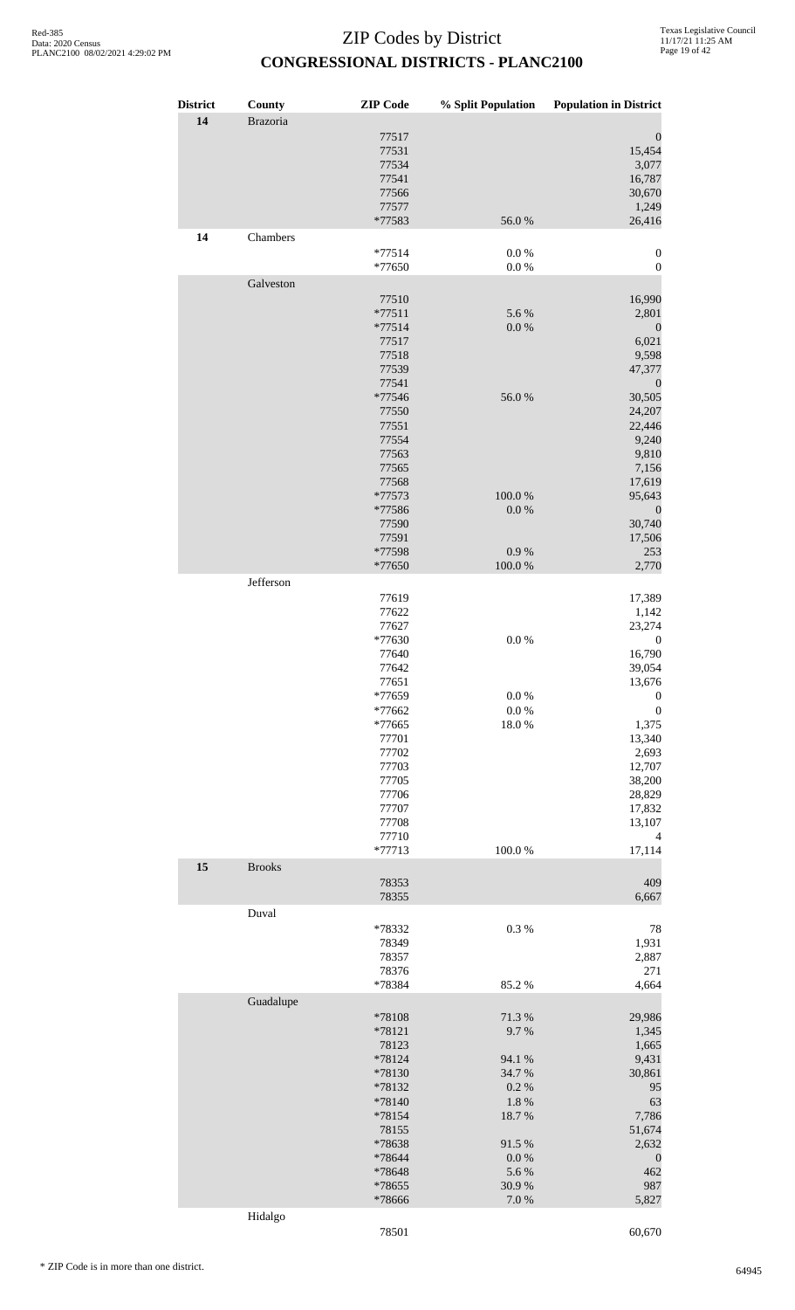| <b>District</b> | County        | <b>ZIP</b> Code    | % Split Population | <b>Population in District</b>        |
|-----------------|---------------|--------------------|--------------------|--------------------------------------|
| 14              | Brazoria      | 77517              |                    | $\mathbf{0}$                         |
|                 |               | 77531              |                    | 15,454                               |
|                 |               | 77534              |                    | 3,077                                |
|                 |               | 77541              |                    | 16,787                               |
|                 |               | 77566<br>77577     |                    | 30,670<br>1,249                      |
|                 |               | *77583             | 56.0%              | 26,416                               |
| 14              | Chambers      |                    |                    |                                      |
|                 |               | $*77514$<br>*77650 | 0.0 %<br>0.0 %     | $\boldsymbol{0}$<br>$\boldsymbol{0}$ |
|                 | Galveston     |                    |                    |                                      |
|                 |               | 77510<br>$*77511$  | 5.6%               | 16,990<br>2,801                      |
|                 |               | $*77514$           | $0.0\ \%$          | $\boldsymbol{0}$                     |
|                 |               | 77517              |                    | 6,021                                |
|                 |               | 77518              |                    | 9,598                                |
|                 |               | 77539<br>77541     |                    | 47,377<br>$\mathbf{0}$               |
|                 |               | *77546             | 56.0%              | 30,505                               |
|                 |               | 77550              |                    | 24,207                               |
|                 |               | 77551              |                    | 22,446                               |
|                 |               | 77554              |                    | 9,240                                |
|                 |               | 77563<br>77565     |                    | 9,810<br>7,156                       |
|                 |               | 77568              |                    | 17,619                               |
|                 |               | *77573             | 100.0%             | 95,643                               |
|                 |               | *77586             | $0.0\ \%$          | $\boldsymbol{0}$                     |
|                 |               | 77590<br>77591     |                    | 30,740<br>17,506                     |
|                 |               | *77598             | 0.9 %              | 253                                  |
|                 |               | *77650             | $100.0~\%$         | 2,770                                |
|                 | Jefferson     |                    |                    |                                      |
|                 |               | 77619              |                    | 17,389                               |
|                 |               | 77622<br>77627     |                    | 1,142<br>23,274                      |
|                 |               | *77630             | $0.0\ \%$          | $\boldsymbol{0}$                     |
|                 |               | 77640              |                    | 16,790                               |
|                 |               | 77642              |                    | 39,054                               |
|                 |               | 77651<br>*77659    | $0.0\ \%$          | 13,676                               |
|                 |               | *77662             | $0.0\ \%$          | $\boldsymbol{0}$<br>$\boldsymbol{0}$ |
|                 |               | *77665             | 18.0%              | 1,375                                |
|                 |               | 77701              |                    | 13,340                               |
|                 |               | 77702              |                    | 2,693                                |
|                 |               | 77703<br>77705     |                    | 12,707<br>38,200                     |
|                 |               | 77706              |                    | 28,829                               |
|                 |               | 77707              |                    | 17,832                               |
|                 |               | 77708              |                    | 13,107                               |
|                 |               | 77710<br>*77713    | 100.0%             | 4<br>17,114                          |
| 15              | <b>Brooks</b> |                    |                    |                                      |
|                 |               | 78353              |                    | 409                                  |
|                 | Duval         | 78355              |                    | 6,667                                |
|                 |               | *78332             | $0.3~\%$           | 78                                   |
|                 |               | 78349              |                    | 1,931                                |
|                 |               | 78357              |                    | 2,887                                |
|                 |               | 78376<br>*78384    | 85.2%              | 271<br>4,664                         |
|                 | Guadalupe     |                    |                    |                                      |
|                 |               | *78108             | 71.3%              | 29,986                               |
|                 |               | *78121             | 9.7%               | 1,345                                |
|                 |               | 78123<br>*78124    | 94.1 %             | 1,665<br>9,431                       |
|                 |               | *78130             | 34.7%              | 30,861                               |
|                 |               | *78132             | $0.2~\%$           | 95                                   |
|                 |               | *78140             | 1.8 %              | 63                                   |
|                 |               | *78154<br>78155    | 18.7%              | 7,786<br>51,674                      |
|                 |               | *78638             | 91.5 %             | 2,632                                |
|                 |               | *78644             | $0.0\ \%$          | $\boldsymbol{0}$                     |
|                 |               | *78648             | 5.6 %              | 462                                  |
|                 |               | *78655<br>*78666   | 30.9%<br>$7.0\ \%$ | 987<br>5,827                         |
|                 | Hidalgo       |                    |                    |                                      |
|                 |               | 78501              |                    | 60,670                               |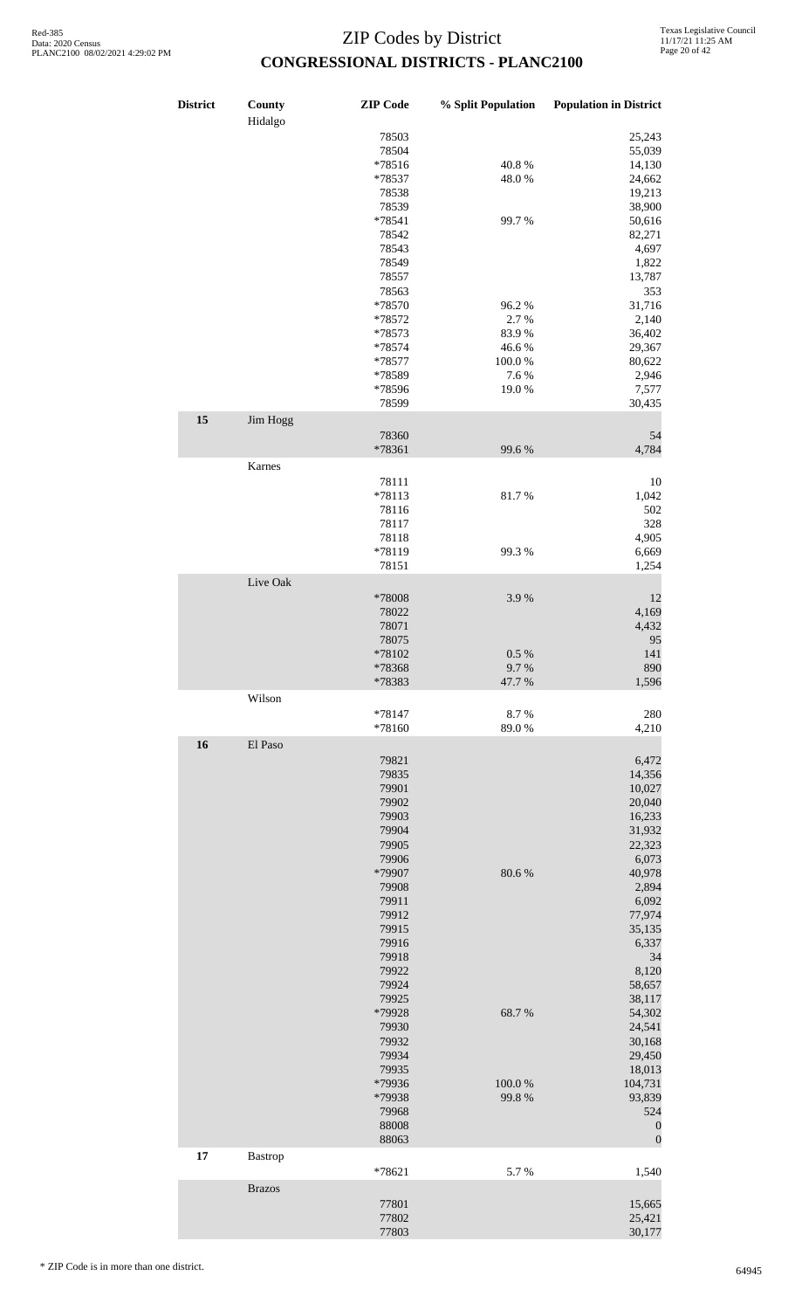| 78503<br>78504<br>*78516<br>40.8%<br>*78537<br>48.0%<br>78538 | <b>Population in District</b> |
|---------------------------------------------------------------|-------------------------------|
|                                                               | 25,243                        |
|                                                               | 55,039                        |
|                                                               | 14,130                        |
|                                                               | 24,662                        |
|                                                               | 19,213                        |
| 78539                                                         | 38,900                        |
| *78541<br>99.7%                                               | 50,616                        |
| 78542                                                         | 82,271                        |
| 78543                                                         | 4,697                         |
| 78549                                                         | 1,822                         |
| 78557                                                         | 13,787                        |
| 78563                                                         | 353                           |
| *78570<br>96.2%                                               | 31,716                        |
|                                                               |                               |
| *78572<br>2.7%<br>83.9%                                       | 2,140                         |
| *78573<br>*78574                                              | 36,402                        |
| 46.6%                                                         | 29,367                        |
| *78577<br>100.0%                                              | 80,622                        |
| 7.6%<br>*78589                                                | 2,946                         |
| *78596<br>19.0%                                               | 7,577                         |
| 78599                                                         | 30,435                        |
| 15<br>Jim Hogg                                                |                               |
| 78360                                                         | 54                            |
| *78361<br>99.6%                                               | 4,784                         |
| Karnes                                                        |                               |
| 78111                                                         | 10                            |
| *78113<br>81.7%                                               | 1,042                         |
| 78116                                                         | 502                           |
| 78117                                                         | 328                           |
| 78118                                                         | 4,905                         |
| *78119<br>99.3%                                               | 6,669                         |
| 78151                                                         | 1,254                         |
|                                                               |                               |
| Live Oak                                                      |                               |
| *78008<br>3.9%                                                | 12                            |
| 78022                                                         | 4,169                         |
| 78071                                                         | 4,432                         |
| 78075                                                         | 95                            |
| *78102<br>0.5 %                                               | 141                           |
| *78368<br>9.7 %                                               | 890                           |
| *78383<br>47.7 %                                              | 1,596                         |
| Wilson                                                        |                               |
| *78147<br>8.7%                                                | 280                           |
| *78160<br>89.0%                                               | 4,210                         |
| 16<br>El Paso                                                 |                               |
| 79821                                                         | 6,472                         |
| 79835                                                         | 14,356                        |
| 79901                                                         | 10,027                        |
| 79902                                                         | 20,040                        |
|                                                               | 16,233                        |
|                                                               | 31,932                        |
| 79903                                                         |                               |
| 79904                                                         |                               |
| 79905                                                         | 22,323                        |
| 79906                                                         | 6,073                         |
| 80.6%<br>*79907                                               | 40,978                        |
| 79908                                                         | 2,894                         |
| 79911                                                         | 6,092                         |
| 79912                                                         | 77,974                        |
| 79915                                                         | 35,135                        |
| 79916                                                         | 6,337                         |
| 79918                                                         | 34                            |
| 79922                                                         | 8,120                         |
| 79924                                                         | 58,657                        |
| 79925                                                         | 38,117                        |
| *79928<br>68.7%                                               | 54,302                        |
| 79930                                                         | 24,541                        |
| 79932                                                         | 30,168                        |
| 79934                                                         | 29,450                        |
| 79935                                                         | 18,013                        |
| 100.0%<br>*79936                                              | 104,731                       |
| 99.8%<br>*79938                                               | 93,839                        |
| 79968                                                         | 524                           |
|                                                               |                               |
| 88008                                                         | $\boldsymbol{0}$              |
| 88063<br>17<br><b>Bastrop</b>                                 | $\boldsymbol{0}$              |
| *78621<br>5.7%<br><b>Brazos</b>                               | 1,540                         |
|                                                               |                               |
| 77801<br>77802                                                | 15,665<br>25,421              |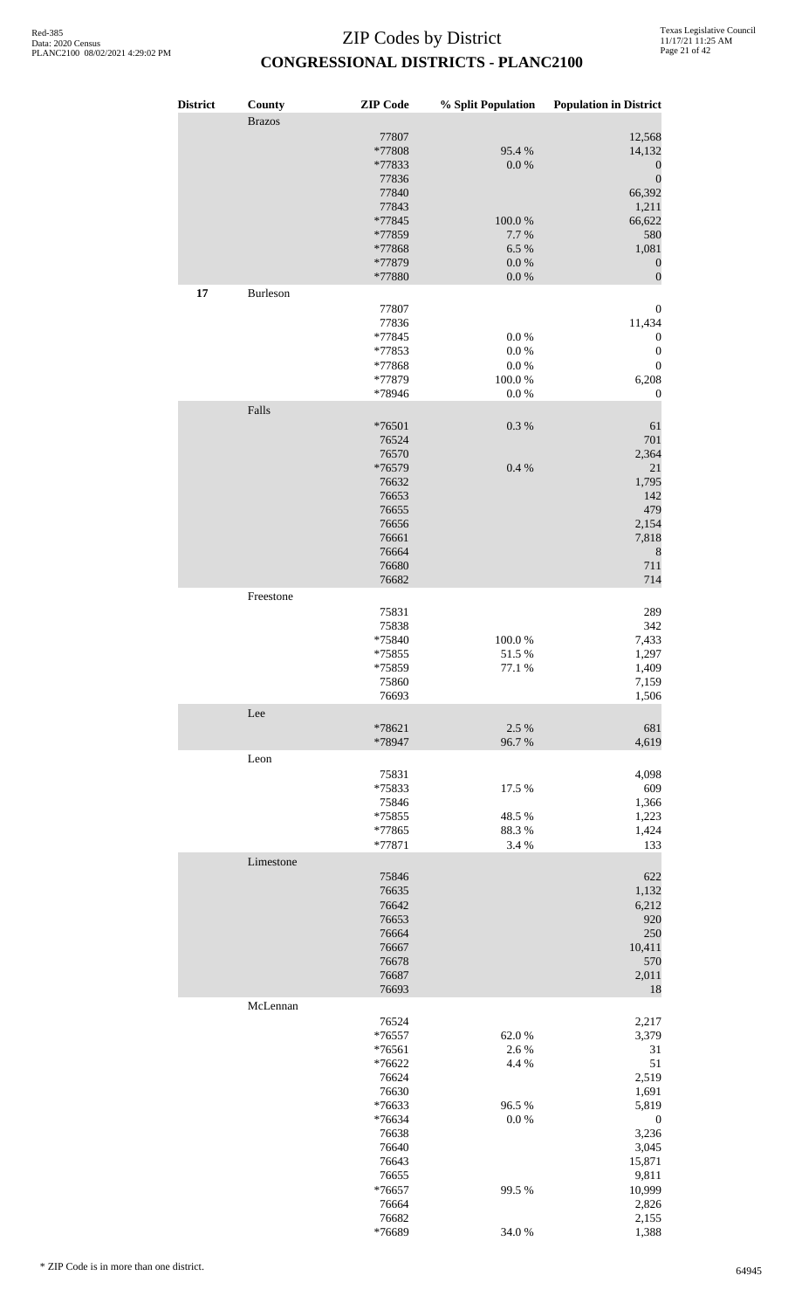| <b>District</b> | County          | <b>ZIP</b> Code           | % Split Population        | <b>Population in District</b>                  |
|-----------------|-----------------|---------------------------|---------------------------|------------------------------------------------|
|                 | <b>Brazos</b>   | 77807                     |                           | 12,568                                         |
|                 |                 | *77808<br>*77833<br>77836 | 95.4%<br>0.0 %            | 14,132<br>$\boldsymbol{0}$<br>$\boldsymbol{0}$ |
|                 |                 | 77840<br>77843            |                           | 66,392<br>1,211                                |
|                 |                 | *77845<br>*77859          | 100.0%<br>7.7%            | 66,622<br>580                                  |
|                 |                 | *77868<br>*77879          | 6.5 %<br>0.0 %            | 1,081<br>$\boldsymbol{0}$                      |
| 17              | <b>Burleson</b> | *77880                    | $0.0\ \%$                 | $\boldsymbol{0}$                               |
|                 |                 | 77807                     |                           | $\boldsymbol{0}$                               |
|                 |                 | 77836<br>*77845           | 0.0 %                     | 11,434<br>$\boldsymbol{0}$                     |
|                 |                 | *77853<br>*77868          | $0.0\ \%$<br>0.0 %        | $\boldsymbol{0}$<br>$\boldsymbol{0}$           |
|                 |                 | *77879<br>*78946          | 100.0%<br>0.0 %           | 6,208<br>$\boldsymbol{0}$                      |
|                 | Falls           | *76501                    | $0.3~\%$                  | 61                                             |
|                 |                 | 76524<br>76570            |                           | 701<br>2,364                                   |
|                 |                 | *76579<br>76632           | 0.4%                      | 21<br>1,795                                    |
|                 |                 | 76653<br>76655            |                           | 142<br>479                                     |
|                 |                 | 76656<br>76661            |                           | 2,154<br>7,818                                 |
|                 |                 | 76664<br>76680            |                           | $\,$ 8 $\,$<br>711                             |
|                 | Freestone       | 76682                     |                           | 714                                            |
|                 |                 | 75831                     |                           | 289                                            |
|                 |                 | 75838<br>*75840           | 100.0%                    | 342<br>7,433                                   |
|                 |                 | *75855<br>*75859          | 51.5%<br>$77.1\text{ }\%$ | 1,297<br>1,409                                 |
|                 |                 | 75860<br>76693            |                           | 7,159<br>1,506                                 |
|                 | Lee             | *78621                    | 2.5 %                     | 681                                            |
|                 | Leon            | *78947                    | 96.7%                     | 4,619                                          |
|                 |                 | 75831<br>*75833           | 17.5 %                    | 4,098<br>609                                   |
|                 |                 | 75846<br>$*75855$         | 48.5 %                    | 1,366<br>1,223                                 |
|                 |                 | *77865<br>*77871          | 88.3%                     | 1,424                                          |
|                 | Limestone       |                           | 3.4 %                     | 133                                            |
|                 |                 | 75846<br>76635            |                           | 622<br>1,132                                   |
|                 |                 | 76642<br>76653            |                           | 6,212<br>920                                   |
|                 |                 | 76664<br>76667            |                           | 250<br>10,411                                  |
|                 |                 | 76678<br>76687            |                           | 570<br>2,011                                   |
|                 | McLennan        | 76693                     |                           | 18                                             |
|                 |                 | 76524<br>$*76557$         | 62.0%                     | 2,217<br>3,379                                 |
|                 |                 | $*76561$<br>*76622        | 2.6%<br>4.4 %             | 31<br>51                                       |
|                 |                 | 76624<br>76630            |                           | 2,519<br>1,691                                 |
|                 |                 | *76633<br>*76634          | 96.5%<br>$0.0\ \%$        | 5,819<br>$\boldsymbol{0}$                      |
|                 |                 | 76638                     |                           | 3,236                                          |
|                 |                 | 76640<br>76643            |                           | 3,045<br>15,871                                |
|                 |                 | 76655<br>*76657           | 99.5 %                    | 9,811<br>10,999                                |
|                 |                 | 76664<br>76682            |                           | 2,826<br>2,155                                 |
|                 |                 | *76689                    | 34.0%                     | 1,388                                          |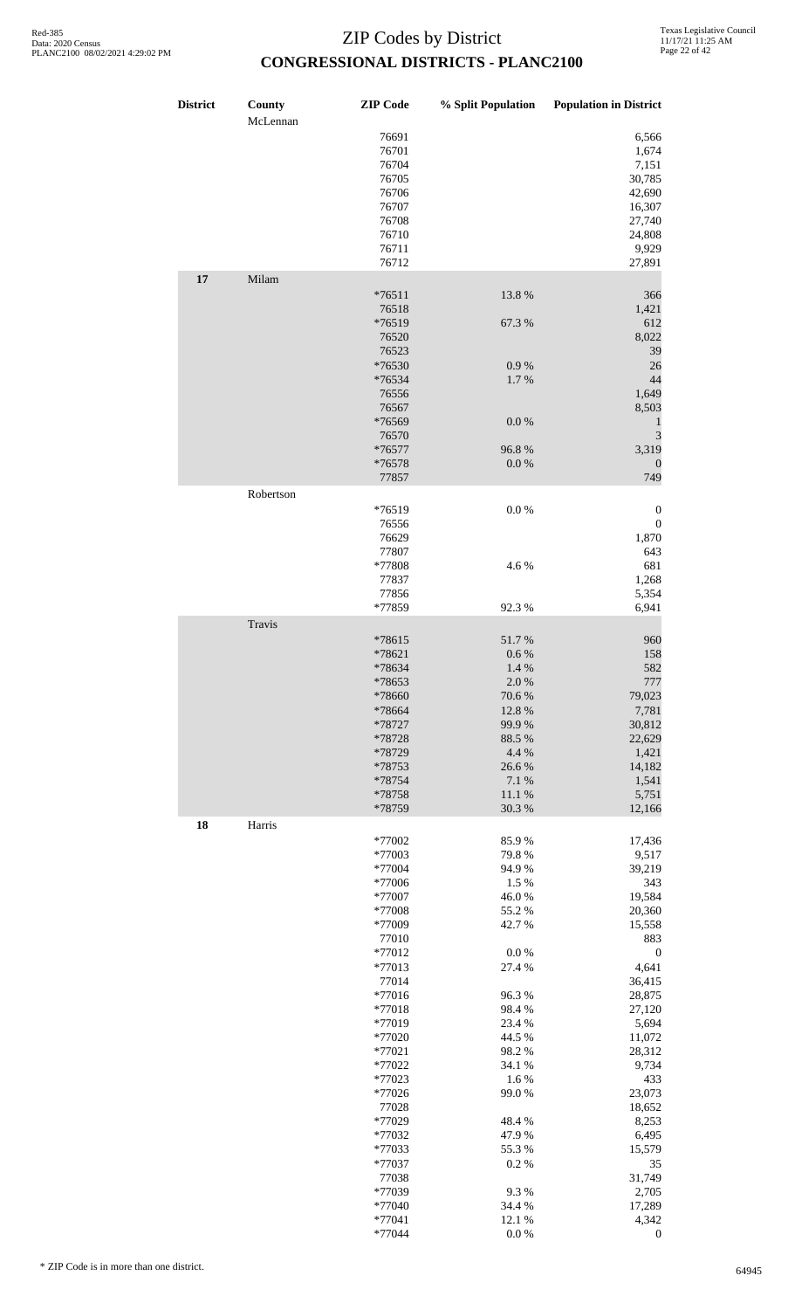| <b>District</b> | County<br>McLennan | <b>ZIP</b> Code | % Split Population | <b>Population in District</b> |
|-----------------|--------------------|-----------------|--------------------|-------------------------------|
|                 |                    | 76691           |                    | 6,566                         |
|                 |                    | 76701           |                    | 1,674                         |
|                 |                    | 76704           |                    | 7,151                         |
|                 |                    | 76705           |                    | 30,785                        |
|                 |                    | 76706           |                    | 42,690                        |
|                 |                    | 76707           |                    | 16,307                        |
|                 |                    | 76708           |                    | 27,740                        |
|                 |                    | 76710           |                    | 24,808                        |
|                 |                    | 76711           |                    | 9,929                         |
|                 |                    | 76712           |                    | 27,891                        |
| 17              | Milam              | $*76511$        | 13.8%              | 366                           |
|                 |                    | 76518           |                    | 1,421                         |
|                 |                    | *76519          | 67.3 %             | 612                           |
|                 |                    | 76520           |                    | 8,022                         |
|                 |                    | 76523           |                    | 39                            |
|                 |                    | *76530          | 0.9 %              | 26                            |
|                 |                    | *76534          | 1.7%               | 44                            |
|                 |                    | 76556           |                    | 1,649                         |
|                 |                    | 76567           |                    | 8,503                         |
|                 |                    | *76569          | 0.0 %              | $\mathbf{1}$                  |
|                 |                    | 76570           |                    | 3                             |
|                 |                    | *76577          | 96.8%              | 3,319                         |
|                 |                    | *76578<br>77857 | 0.0 %              | $\mathbf{0}$<br>749           |
|                 | Robertson          |                 |                    |                               |
|                 |                    | $*76519$        | 0.0 %              | $\boldsymbol{0}$              |
|                 |                    | 76556           |                    | $\boldsymbol{0}$              |
|                 |                    | 76629           |                    | 1,870                         |
|                 |                    | 77807           |                    | 643                           |
|                 |                    | *77808          | 4.6%               | 681                           |
|                 |                    | 77837           |                    | 1,268                         |
|                 |                    | 77856           |                    | 5,354                         |
|                 |                    | *77859          | 92.3 %             | 6,941                         |
|                 | Travis             |                 |                    |                               |
|                 |                    | *78615          | 51.7%              | 960                           |
|                 |                    | *78621          | 0.6 %              | 158                           |
|                 |                    | *78634          | 1.4 %              | 582                           |
|                 |                    | *78653          | 2.0%               | 777                           |
|                 |                    | *78660          | 70.6%              | 79,023                        |
|                 |                    | *78664          | 12.8 %             | 7,781                         |
|                 |                    | *78727          | 99.9%              | 30,812                        |
|                 |                    | *78728          | 88.5 %             | 22,629                        |
|                 |                    | *78729          | 4.4 %              | 1,421                         |
|                 |                    | *78753          | 26.6%              | 14,182                        |
|                 |                    | *78754          | $7.1~\%$           | 1,541                         |
|                 |                    | *78758          | $11.1\ \%$         | 5,751                         |
|                 |                    | *78759          | 30.3%              | 12,166                        |
| 18              | Harris             | *77002          | 85.9%              | 17,436                        |
|                 |                    | *77003          | 79.8%              | 9,517                         |
|                 |                    | *77004          | 94.9%              | 39,219                        |
|                 |                    | *77006          | 1.5 %              | 343                           |
|                 |                    | *77007          | 46.0%              | 19,584                        |
|                 |                    | *77008          | 55.2%              | 20,360                        |
|                 |                    | *77009          | 42.7%              | 15,558                        |
|                 |                    | 77010           |                    | 883                           |
|                 |                    | *77012          | $0.0\ \%$          | $\boldsymbol{0}$              |
|                 |                    |                 |                    |                               |
|                 |                    | *77013          | 27.4 %             | 4,641                         |
|                 |                    | 77014           |                    | 36,415                        |
|                 |                    | $*77016$        | 96.3%              | 28,875                        |
|                 |                    | *77018          | 98.4%              | 27,120                        |
|                 |                    | *77019          | 23.4 %             | 5,694                         |
|                 |                    | *77020          | 44.5 %             | 11,072                        |
|                 |                    | *77021          | 98.2%              | 28,312                        |
|                 |                    | *77022          | 34.1 %             | 9,734                         |
|                 |                    | *77023          | 1.6%               | 433                           |
|                 |                    | *77026          | 99.0%              | 23,073                        |
|                 |                    | 77028           |                    | 18,652                        |
|                 |                    | *77029          | 48.4%              | 8,253                         |
|                 |                    | *77032          | 47.9%              | 6,495                         |
|                 |                    | *77033          | 55.3 %             | 15,579                        |
|                 |                    | *77037          | 0.2 %              | 35                            |
|                 |                    | 77038           |                    | 31,749                        |
|                 |                    | *77039          | 9.3%               | 2,705                         |
|                 |                    | *77040          | 34.4 %             | 17,289                        |
|                 |                    | *77041          | 12.1 %             | 4,342                         |

 $*77044$  0.0 % 0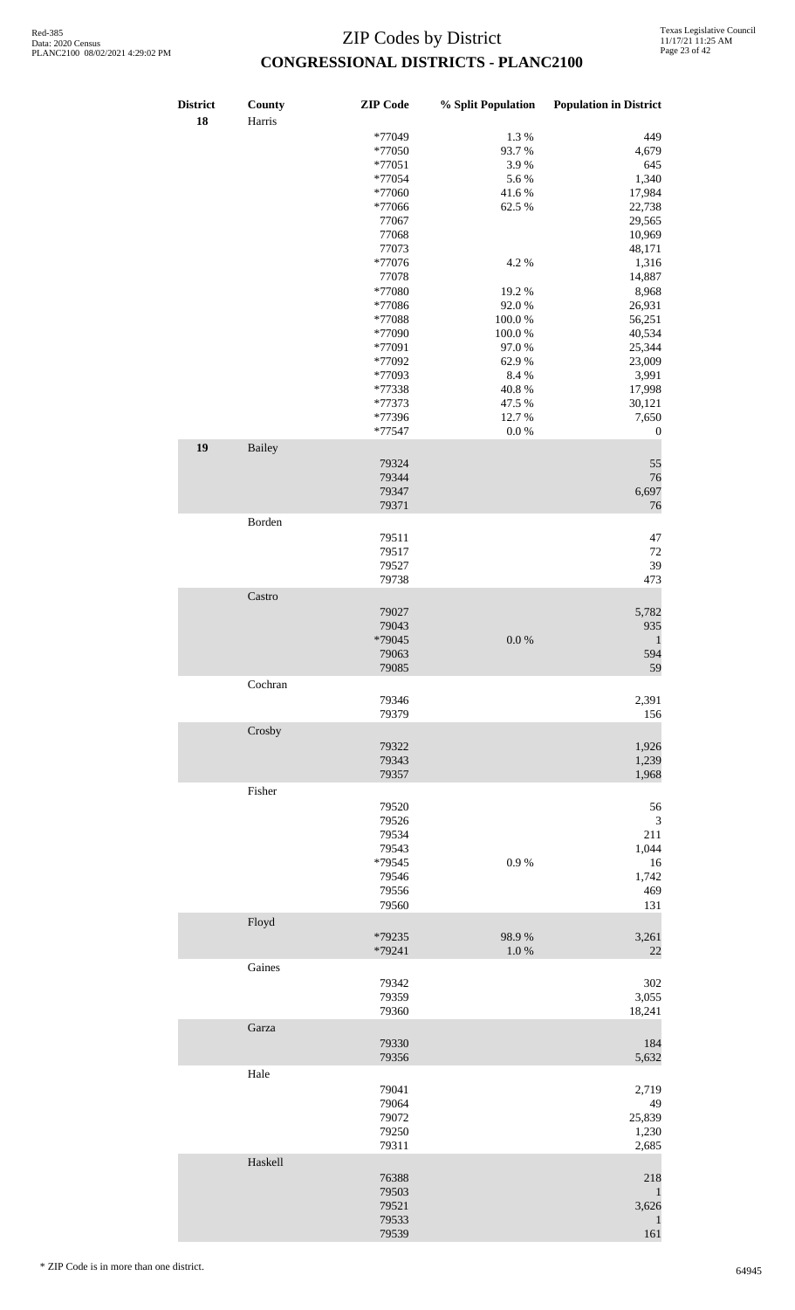| <b>District</b><br>18 | County<br>Harris | <b>ZIP</b> Code | % Split Population | <b>Population in District</b> |
|-----------------------|------------------|-----------------|--------------------|-------------------------------|
|                       |                  | *77049          | 1.3%               | 449                           |
|                       |                  | *77050          | 93.7%              | 4,679                         |
|                       |                  |                 |                    |                               |
|                       |                  | $*77051$        | 3.9%               | 645                           |
|                       |                  | *77054          | 5.6%               | 1,340                         |
|                       |                  | *77060          | 41.6%              | 17,984                        |
|                       |                  | *77066          | 62.5 %             | 22,738                        |
|                       |                  | 77067           |                    | 29,565                        |
|                       |                  | 77068           |                    | 10,969                        |
|                       |                  | 77073           |                    | 48,171                        |
|                       |                  |                 |                    |                               |
|                       |                  | *77076          | 4.2 %              | 1,316                         |
|                       |                  | 77078           |                    | 14,887                        |
|                       |                  | *77080          | 19.2 %             | 8,968                         |
|                       |                  | *77086          | 92.0%              | 26,931                        |
|                       |                  | *77088          | 100.0%             | 56,251                        |
|                       |                  | *77090          | 100.0%             | 40,534                        |
|                       |                  | *77091          | 97.0%              | 25,344                        |
|                       |                  | *77092          |                    |                               |
|                       |                  |                 | 62.9%              | 23,009                        |
|                       |                  | *77093          | 8.4%               | 3,991                         |
|                       |                  | *77338          | 40.8%              | 17,998                        |
|                       |                  | *77373          | 47.5 %             | 30,121                        |
|                       |                  | *77396          | 12.7%              | 7,650                         |
|                       |                  | $*77547$        | $0.0\ \%$          | $\boldsymbol{0}$              |
| 19                    | <b>Bailey</b>    |                 |                    |                               |
|                       |                  | 79324           |                    | 55                            |
|                       |                  | 79344           |                    | 76                            |
|                       |                  |                 |                    |                               |
|                       |                  | 79347           |                    | 6,697                         |
|                       |                  | 79371           |                    | 76                            |
|                       | Borden           |                 |                    |                               |
|                       |                  | 79511           |                    | 47                            |
|                       |                  | 79517           |                    | 72                            |
|                       |                  | 79527           |                    | 39                            |
|                       |                  | 79738           |                    | 473                           |
|                       | Castro           |                 |                    |                               |
|                       |                  | 79027           |                    |                               |
|                       |                  |                 |                    | 5,782                         |
|                       |                  | 79043           |                    | 935                           |
|                       |                  | *79045          | 0.0 %              | $\mathbf{1}$                  |
|                       |                  | 79063           |                    | 594                           |
|                       |                  | 79085           |                    | 59                            |
|                       | Cochran          |                 |                    |                               |
|                       |                  | 79346           |                    | 2,391                         |
|                       |                  | 79379           |                    | 156                           |
|                       | Crosby           |                 |                    |                               |
|                       |                  | 79322           |                    | 1,926                         |
|                       |                  |                 |                    |                               |
|                       |                  | 79343           |                    | 1,239                         |
|                       |                  | 79357           |                    | 1,968                         |
|                       | Fisher           |                 |                    |                               |
|                       |                  | 79520           |                    | 56                            |
|                       |                  | 79526           |                    | 3                             |
|                       |                  | 79534           |                    | 211                           |
|                       |                  | 79543           |                    | 1,044                         |
|                       |                  |                 | 0.9 %              |                               |
|                       |                  | *79545          |                    | 16                            |
|                       |                  | 79546           |                    | 1,742                         |
|                       |                  | 79556           |                    | 469                           |
|                       |                  | 79560           |                    | 131                           |
|                       | Floyd            |                 |                    |                               |
|                       |                  | *79235          | 98.9%              | 3,261                         |
|                       |                  | *79241          | 1.0%               | 22                            |
|                       | Gaines           |                 |                    |                               |
|                       |                  | 79342           |                    | 302                           |
|                       |                  | 79359           |                    | 3,055                         |
|                       |                  | 79360           |                    | 18,241                        |
|                       |                  |                 |                    |                               |
|                       | Garza            |                 |                    |                               |
|                       |                  | 79330           |                    | 184                           |
|                       |                  | 79356           |                    | 5,632                         |
|                       | Hale             |                 |                    |                               |
|                       |                  | 79041           |                    | 2,719                         |
|                       |                  | 79064           |                    | 49                            |
|                       |                  | 79072           |                    | 25,839                        |
|                       |                  | 79250           |                    | 1,230                         |
|                       |                  | 79311           |                    | 2,685                         |
|                       |                  |                 |                    |                               |
|                       | Haskell          |                 |                    |                               |
|                       |                  | 76388           |                    | 218                           |
|                       |                  | 79503           |                    | 1                             |
|                       |                  | 79521           |                    | 3,626                         |
|                       |                  | 79533           |                    | 1                             |
|                       |                  | 79539           |                    | 161                           |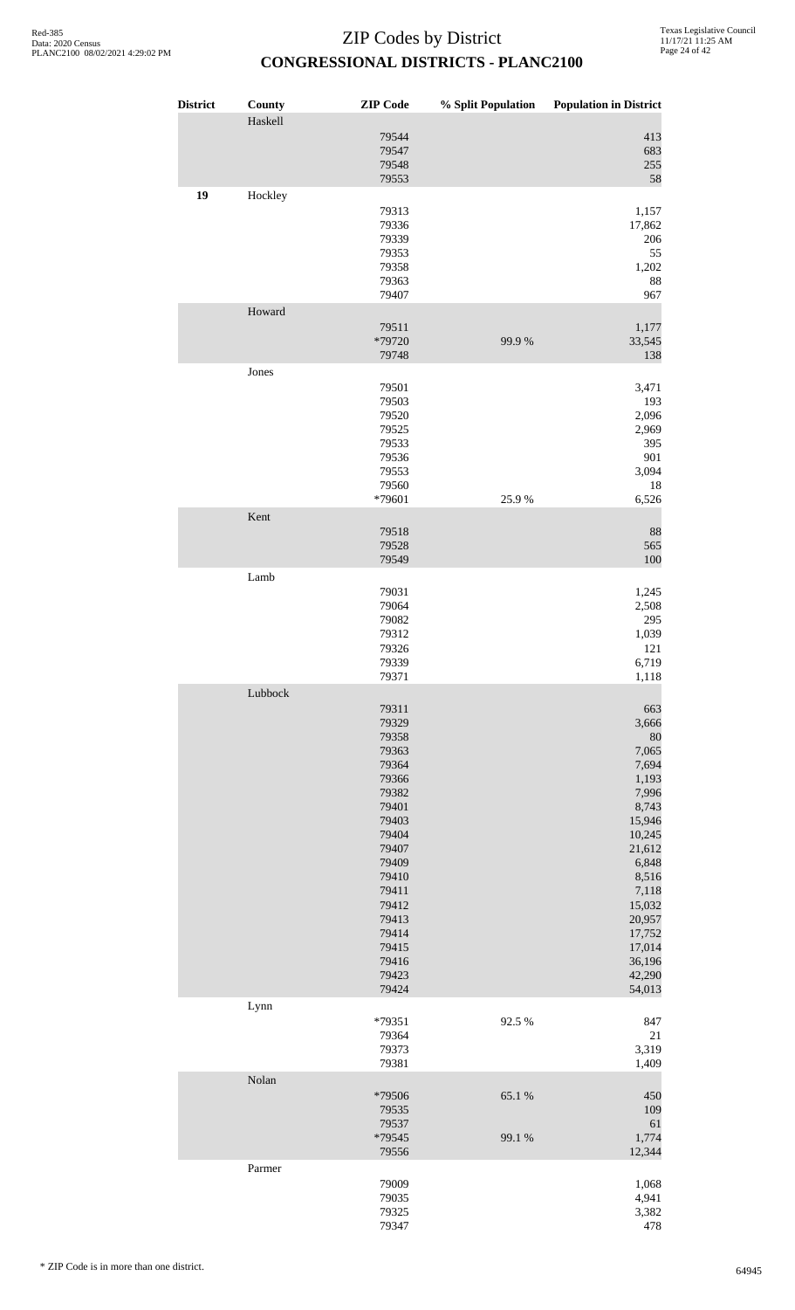| <b>District</b> | County  | <b>ZIP</b> Code                                                                                                                                                                           | % Split Population | <b>Population in District</b>                                                                                                                                                                  |
|-----------------|---------|-------------------------------------------------------------------------------------------------------------------------------------------------------------------------------------------|--------------------|------------------------------------------------------------------------------------------------------------------------------------------------------------------------------------------------|
|                 | Haskell | 79544<br>79547<br>79548<br>79553                                                                                                                                                          |                    | 413<br>683<br>255<br>58                                                                                                                                                                        |
| 19              | Hockley | 79313<br>79336<br>79339<br>79353<br>79358<br>79363<br>79407                                                                                                                               |                    | 1,157<br>17,862<br>206<br>55<br>1,202<br>88<br>967                                                                                                                                             |
|                 | Howard  | 79511<br>*79720<br>79748                                                                                                                                                                  | 99.9%              | 1,177<br>33,545<br>138                                                                                                                                                                         |
|                 | Jones   | 79501<br>79503<br>79520<br>79525<br>79533<br>79536<br>79553<br>79560<br>*79601                                                                                                            | 25.9%              | 3,471<br>193<br>2,096<br>2,969<br>395<br>901<br>3,094<br>18<br>6,526                                                                                                                           |
|                 | Kent    |                                                                                                                                                                                           |                    |                                                                                                                                                                                                |
|                 |         | 79518<br>79528<br>79549                                                                                                                                                                   |                    | 88<br>565<br>100                                                                                                                                                                               |
|                 | Lamb    | 79031<br>79064<br>79082<br>79312<br>79326<br>79339<br>79371                                                                                                                               |                    | 1,245<br>2,508<br>295<br>1,039<br>121<br>6,719<br>1,118                                                                                                                                        |
|                 | Lubbock | 79311<br>79329<br>79358<br>79363<br>79364<br>79366<br>79382<br>79401<br>79403<br>79404<br>79407<br>79409<br>79410<br>79411<br>79412<br>79413<br>79414<br>79415<br>79416<br>79423<br>79424 |                    | 663<br>3,666<br>80<br>7,065<br>7,694<br>1,193<br>7,996<br>8,743<br>15,946<br>10,245<br>21,612<br>6,848<br>8,516<br>7,118<br>15,032<br>20,957<br>17,752<br>17,014<br>36,196<br>42,290<br>54,013 |
|                 | Lynn    | *79351<br>79364<br>79373<br>79381                                                                                                                                                         | 92.5 %             | 847<br>$21\,$<br>3,319<br>1,409                                                                                                                                                                |
|                 | Nolan   | *79506<br>79535<br>79537<br>*79545<br>79556                                                                                                                                               | 65.1 %<br>99.1 %   | 450<br>109<br>61<br>1,774<br>12,344                                                                                                                                                            |
|                 | Parmer  |                                                                                                                                                                                           |                    |                                                                                                                                                                                                |
|                 |         | 79009<br>79035<br>79325<br>79347                                                                                                                                                          |                    | 1,068<br>4,941<br>3,382<br>478                                                                                                                                                                 |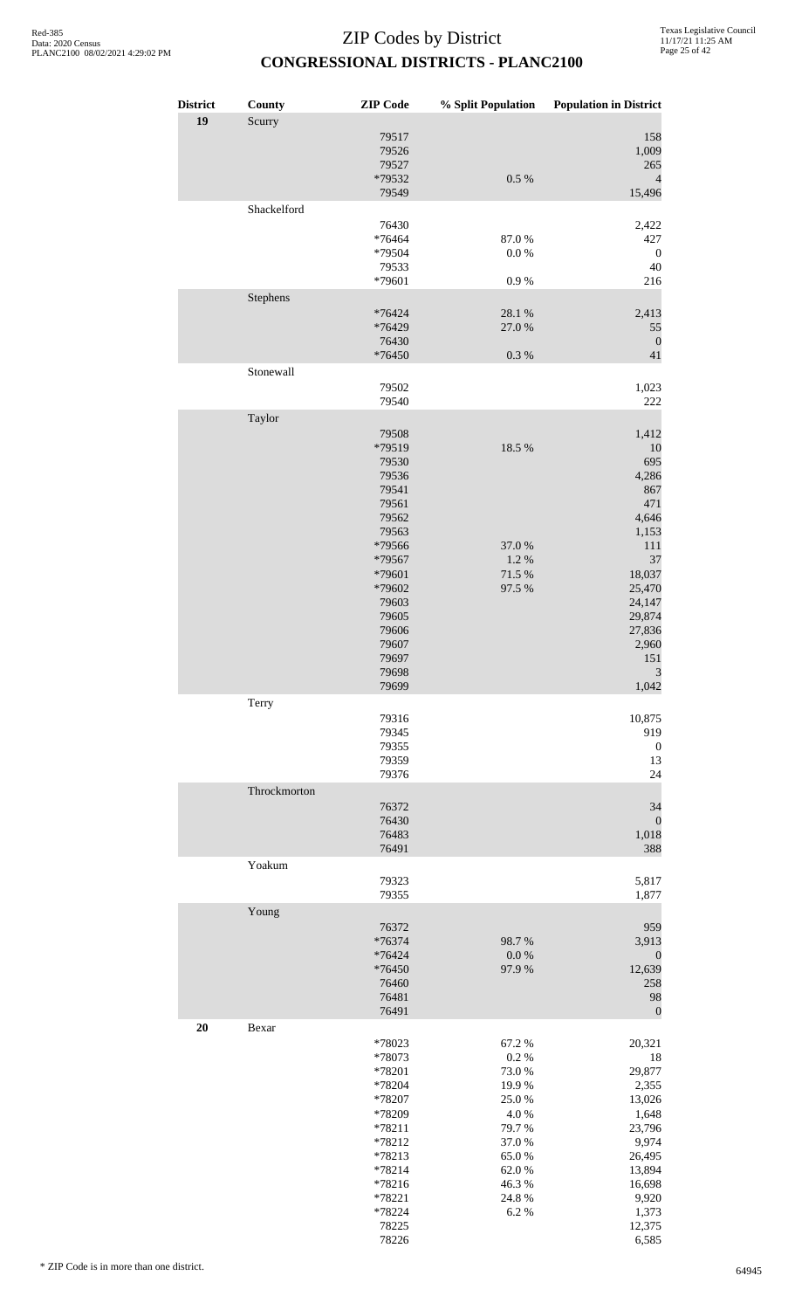| <b>District</b> | County       | <b>ZIP</b> Code                                                                                                                                                     | % Split Population                                                                                             | <b>Population in District</b>                                                                                                                                |
|-----------------|--------------|---------------------------------------------------------------------------------------------------------------------------------------------------------------------|----------------------------------------------------------------------------------------------------------------|--------------------------------------------------------------------------------------------------------------------------------------------------------------|
| 19              | Scurry       | 79517<br>79526<br>79527<br>*79532<br>79549                                                                                                                          | 0.5 %                                                                                                          | 158<br>1,009<br>265<br>4                                                                                                                                     |
|                 | Shackelford  | 76430<br>*76464<br>*79504<br>79533<br>*79601                                                                                                                        | 87.0%<br>0.0 %<br>0.9%                                                                                         | 15,496<br>2,422<br>427<br>$\boldsymbol{0}$<br>40<br>216                                                                                                      |
|                 | Stephens     | *76424<br>*76429<br>76430<br>*76450                                                                                                                                 | 28.1 %<br>27.0%<br>$0.3~\%$                                                                                    | 2,413<br>55<br>$\boldsymbol{0}$<br>41                                                                                                                        |
|                 | Stonewall    | 79502<br>79540                                                                                                                                                      |                                                                                                                | 1,023<br>222                                                                                                                                                 |
|                 | Taylor       | 79508<br>*79519<br>79530<br>79536<br>79541<br>79561<br>79562<br>79563<br>*79566<br>*79567<br>*79601<br>*79602<br>79603<br>79605<br>79606<br>79607<br>79697<br>79698 | 18.5 %<br>37.0%<br>1.2%<br>71.5 %<br>97.5 %                                                                    | 1,412<br>10<br>695<br>4,286<br>867<br>471<br>4,646<br>1,153<br>111<br>37<br>18,037<br>25,470<br>24,147<br>29,874<br>27,836<br>2,960<br>151<br>$\mathfrak{Z}$ |
|                 | Terry        | 79699<br>79316<br>79345<br>79355<br>79359                                                                                                                           |                                                                                                                | 1,042<br>10,875<br>919<br>$\boldsymbol{0}$<br>13                                                                                                             |
|                 | Throckmorton | 79376<br>76372<br>76430<br>76483<br>76491                                                                                                                           |                                                                                                                | 24<br>34<br>$\boldsymbol{0}$<br>1,018<br>388                                                                                                                 |
|                 | Yoakum       | 79323<br>79355                                                                                                                                                      |                                                                                                                | 5,817<br>1,877                                                                                                                                               |
|                 | Young        | 76372<br>*76374<br>*76424<br>*76450<br>76460<br>76481<br>76491                                                                                                      | 98.7%<br>$0.0\ \%$<br>97.9%                                                                                    | 959<br>3,913<br>$\boldsymbol{0}$<br>12,639<br>258<br>98<br>$\boldsymbol{0}$                                                                                  |
| 20              | Bexar        | *78023<br>*78073<br>*78201<br>*78204<br>*78207<br>*78209<br>*78211<br>*78212<br>*78213<br>*78214<br>*78216<br>*78221<br>*78224<br>78225<br>78226                    | 67.2%<br>0.2%<br>73.0%<br>19.9%<br>25.0%<br>4.0%<br>79.7%<br>37.0%<br>65.0%<br>62.0%<br>46.3%<br>24.8%<br>6.2% | 20,321<br>18<br>29,877<br>2,355<br>13,026<br>1,648<br>23,796<br>9,974<br>26,495<br>13,894<br>16,698<br>9,920<br>1,373<br>12,375<br>6,585                     |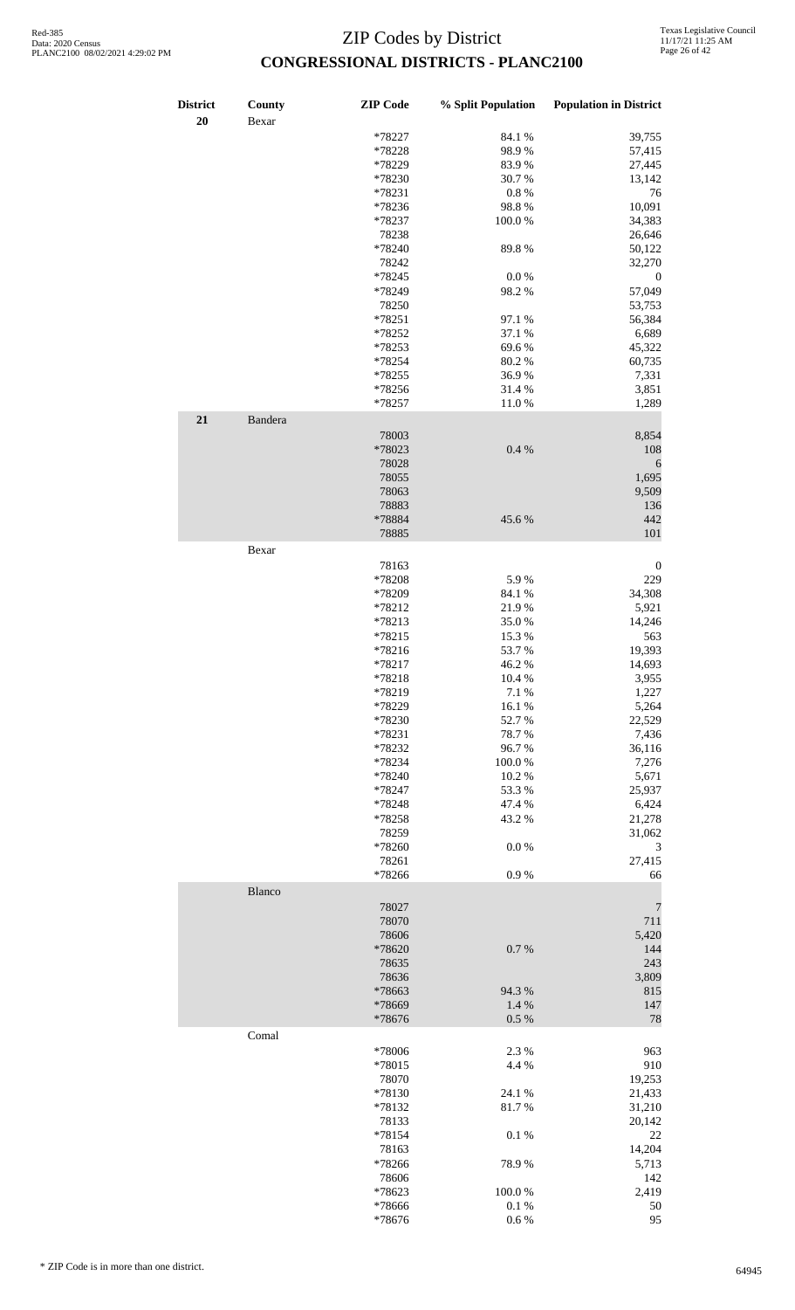| <b>District</b><br>20 | County<br>Bexar | <b>ZIP</b> Code | % Split Population | <b>Population in District</b> |
|-----------------------|-----------------|-----------------|--------------------|-------------------------------|
|                       |                 | *78227          | 84.1 %             | 39,755                        |
|                       |                 |                 |                    |                               |
|                       |                 | *78228          | 98.9%              | 57,415                        |
|                       |                 | *78229          | 83.9%              | 27,445                        |
|                       |                 | *78230          | 30.7%              | 13,142                        |
|                       |                 | *78231          | 0.8%               | 76                            |
|                       |                 | *78236          | 98.8%              | 10,091                        |
|                       |                 | *78237          | 100.0%             | 34,383                        |
|                       |                 |                 |                    |                               |
|                       |                 | 78238           |                    | 26,646                        |
|                       |                 | *78240          | 89.8%              | 50,122                        |
|                       |                 | 78242           |                    | 32,270                        |
|                       |                 | *78245          | $0.0\ \%$          | $\boldsymbol{0}$              |
|                       |                 | *78249          | 98.2%              | 57,049                        |
|                       |                 |                 |                    |                               |
|                       |                 | 78250           |                    | 53,753                        |
|                       |                 | *78251          | 97.1 %             | 56,384                        |
|                       |                 | *78252          | 37.1 %             | 6,689                         |
|                       |                 | *78253          | 69.6%              | 45,322                        |
|                       |                 | *78254          | 80.2%              | 60,735                        |
|                       |                 |                 |                    |                               |
|                       |                 | *78255          | 36.9%              | 7,331                         |
|                       |                 | *78256          | 31.4%              | 3,851                         |
|                       |                 | *78257          | 11.0%              | 1,289                         |
| 21                    | Bandera         |                 |                    |                               |
|                       |                 | 78003           |                    | 8,854                         |
|                       |                 |                 |                    |                               |
|                       |                 | *78023          | 0.4 %              | 108                           |
|                       |                 | 78028           |                    | 6                             |
|                       |                 | 78055           |                    | 1,695                         |
|                       |                 | 78063           |                    | 9,509                         |
|                       |                 |                 |                    | 136                           |
|                       |                 | 78883           |                    |                               |
|                       |                 | *78884          | 45.6%              | 442                           |
|                       |                 | 78885           |                    | 101                           |
|                       | Bexar           |                 |                    |                               |
|                       |                 | 78163           |                    | $\boldsymbol{0}$              |
|                       |                 |                 |                    |                               |
|                       |                 | *78208          | 5.9%               | 229                           |
|                       |                 | *78209          | 84.1 %             | 34,308                        |
|                       |                 | *78212          | 21.9%              | 5,921                         |
|                       |                 | *78213          | 35.0%              | 14,246                        |
|                       |                 | $*78215$        | 15.3 %             | 563                           |
|                       |                 |                 |                    |                               |
|                       |                 | *78216          | 53.7%              | 19,393                        |
|                       |                 | *78217          | 46.2%              | 14,693                        |
|                       |                 | *78218          | 10.4 %             | 3,955                         |
|                       |                 | *78219          | 7.1 %              | 1,227                         |
|                       |                 | *78229          | $16.1~\%$          | 5,264                         |
|                       |                 |                 |                    | 22,529                        |
|                       |                 | *78230          | 52.7%              |                               |
|                       |                 | *78231          | 78.7 %             | 7,436                         |
|                       |                 | *78232          | 96.7%              | 36,116                        |
|                       |                 | *78234          | 100.0%             | 7,276                         |
|                       |                 | *78240          | 10.2%              | 5,671                         |
|                       |                 | *78247          | 53.3%              | 25,937                        |
|                       |                 |                 |                    |                               |
|                       |                 | *78248          | 47.4 %             | 6,424                         |
|                       |                 | *78258          | 43.2 %             | 21,278                        |
|                       |                 | 78259           |                    | 31,062                        |
|                       |                 | *78260          | 0.0 %              | $\ensuremath{\mathfrak{Z}}$   |
|                       |                 | 78261           |                    | 27,415                        |
|                       |                 |                 |                    |                               |
|                       |                 | *78266          | 0.9%               | 66                            |
|                       | Blanco          |                 |                    |                               |
|                       |                 | 78027           |                    | $\overline{7}$                |
|                       |                 | 78070           |                    | 711                           |
|                       |                 |                 |                    |                               |
|                       |                 | 78606           |                    | 5,420                         |
|                       |                 | *78620          | 0.7%               | 144                           |
|                       |                 | 78635           |                    | 243                           |
|                       |                 | 78636           |                    | 3,809                         |
|                       |                 | *78663          | 94.3 %             | 815                           |
|                       |                 |                 |                    |                               |
|                       |                 | *78669          | 1.4 %              | 147                           |
|                       |                 | *78676          | 0.5 %              | 78                            |
|                       | Comal           |                 |                    |                               |
|                       |                 | *78006          | 2.3 %              | 963                           |
|                       |                 |                 | 4.4 %              | 910                           |
|                       |                 | *78015          |                    |                               |
|                       |                 | 78070           |                    | 19,253                        |
|                       |                 | *78130          | 24.1 %             | 21,433                        |
|                       |                 | *78132          | 81.7%              | 31,210                        |
|                       |                 | 78133           |                    | 20,142                        |
|                       |                 | *78154          | 0.1 %              | 22                            |
|                       |                 |                 |                    |                               |
|                       |                 | 78163           |                    | 14,204                        |
|                       |                 | *78266          | 78.9%              | 5,713                         |
|                       |                 | 78606           |                    | 142                           |
|                       |                 | *78623          | 100.0%             | 2,419                         |
|                       |                 |                 |                    |                               |
|                       |                 | *78666          | 0.1%               | 50                            |
|                       |                 | *78676          | $0.6\,\%$          | 95                            |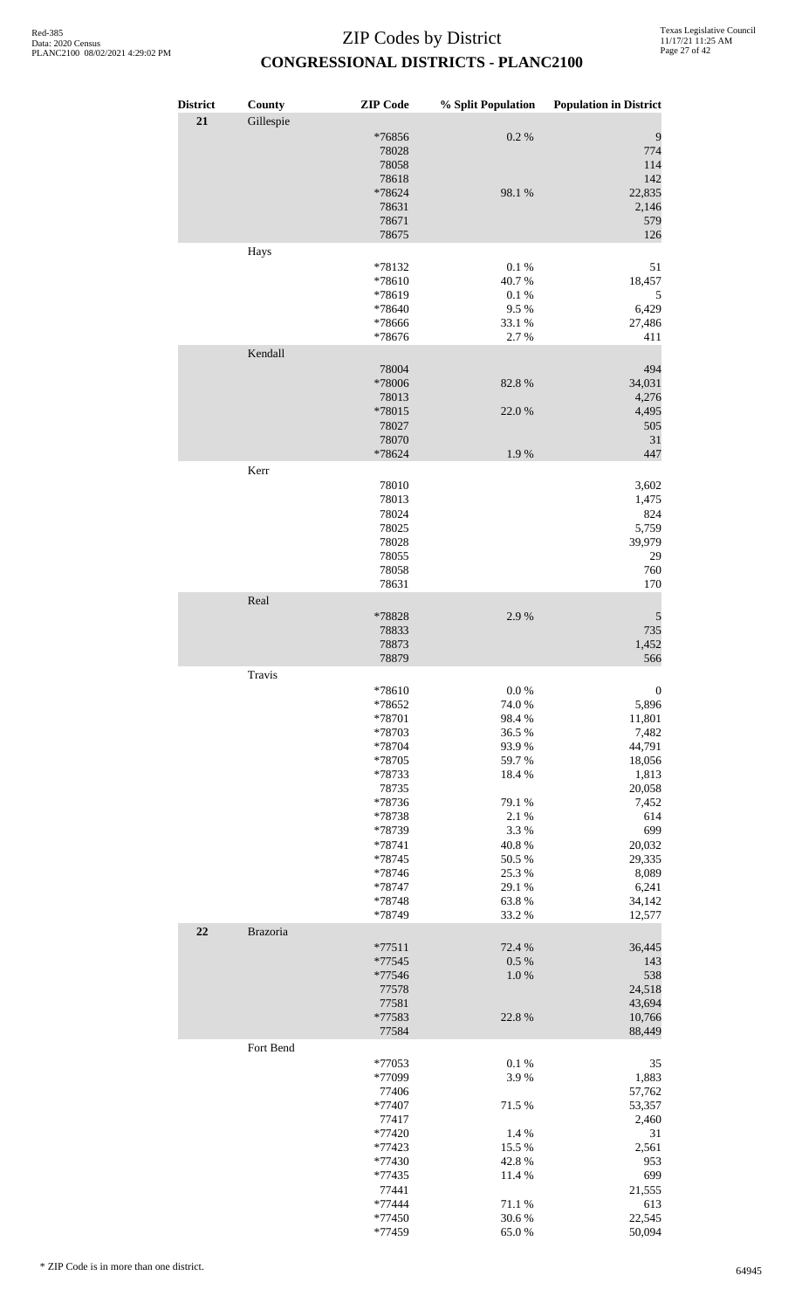| <b>District</b><br>21 | County<br>Gillespie | <b>ZIP</b> Code                   |                    | % Split Population Population in District |
|-----------------------|---------------------|-----------------------------------|--------------------|-------------------------------------------|
|                       |                     | *76856<br>78028<br>78058<br>78618 | 0.2 %              | 9<br>774<br>114<br>142                    |
|                       |                     | *78624<br>78631<br>78671<br>78675 | 98.1 %             | 22,835<br>2,146<br>579<br>126             |
|                       | Hays                | *78132<br>*78610                  | 0.1 %<br>40.7%     | 51<br>18,457                              |
|                       |                     | *78619<br>*78640                  | 0.1 %<br>9.5%      | $\sqrt{5}$<br>6,429                       |
|                       |                     | *78666<br>*78676                  | 33.1 %<br>2.7%     | 27,486<br>411                             |
|                       | Kendall             | 78004                             |                    | 494                                       |
|                       |                     | *78006<br>78013                   | 82.8%              | 34,031<br>4,276                           |
|                       |                     | *78015<br>78027<br>78070          | 22.0 %             | 4,495<br>505<br>$31\,$                    |
|                       | Kerr                | *78624                            | 1.9%               | 447                                       |
|                       |                     | 78010<br>78013                    |                    | 3,602<br>1,475                            |
|                       |                     | 78024<br>78025                    |                    | 824<br>5,759                              |
|                       |                     | 78028<br>78055                    |                    | 39,979<br>29                              |
|                       |                     | 78058<br>78631                    |                    | 760<br>170                                |
|                       | Real                | *78828                            | 2.9%               | 5                                         |
|                       |                     | 78833<br>78873                    |                    | 735<br>1,452                              |
|                       |                     | 78879                             |                    | 566                                       |
|                       | Travis              | $*78610$<br>*78652                | $0.0\ \%$<br>74.0% | $\boldsymbol{0}$<br>5,896                 |
|                       |                     | $*78701$                          | 98.4%              | 11,801                                    |
|                       |                     | *78703<br>*78704                  | 36.5%<br>93.9%     | 7,482<br>44,791                           |
|                       |                     | *78705<br>*78733                  | 59.7%<br>18.4%     | 18,056<br>1,813                           |
|                       |                     | 78735<br>*78736                   | 79.1 %             | 20,058<br>7,452                           |
|                       |                     | *78738<br>*78739                  | 2.1%<br>3.3 %      | 614<br>699                                |
|                       |                     | *78741                            | 40.8%              | 20,032                                    |
|                       |                     | *78745<br>*78746                  | 50.5 %<br>25.3 %   | 29,335<br>8,089                           |
|                       |                     | *78747<br>*78748                  | 29.1 %<br>63.8%    | 6,241<br>34,142                           |
| 22                    | Brazoria            | *78749                            | 33.2 %             | 12,577                                    |
|                       |                     | $*77511$                          | 72.4 %             | 36,445                                    |
|                       |                     | *77545<br>*77546                  | $0.5\ \%$<br>1.0%  | 143<br>538                                |
|                       |                     | 77578<br>77581                    |                    | 24,518<br>43,694                          |
|                       |                     | *77583<br>77584                   | 22.8 %             | 10,766<br>88,449                          |
|                       | Fort Bend           | *77053                            | $0.1~\%$           | 35                                        |
|                       |                     | *77099<br>77406                   | 3.9%               | 1,883<br>57,762                           |
|                       |                     | *77407<br>77417                   | 71.5 %             | 53,357<br>2,460                           |
|                       |                     | *77420<br>*77423                  | 1.4 %<br>15.5 %    | 31<br>2,561                               |
|                       |                     | *77430                            | 42.8%              | 953                                       |
|                       |                     | *77435<br>77441                   | 11.4 %             | 699<br>21,555                             |
|                       |                     | *77444<br>*77450                  | 71.1 %<br>30.6%    | 613<br>22,545                             |
|                       |                     | *77459                            | 65.0%              | 50,094                                    |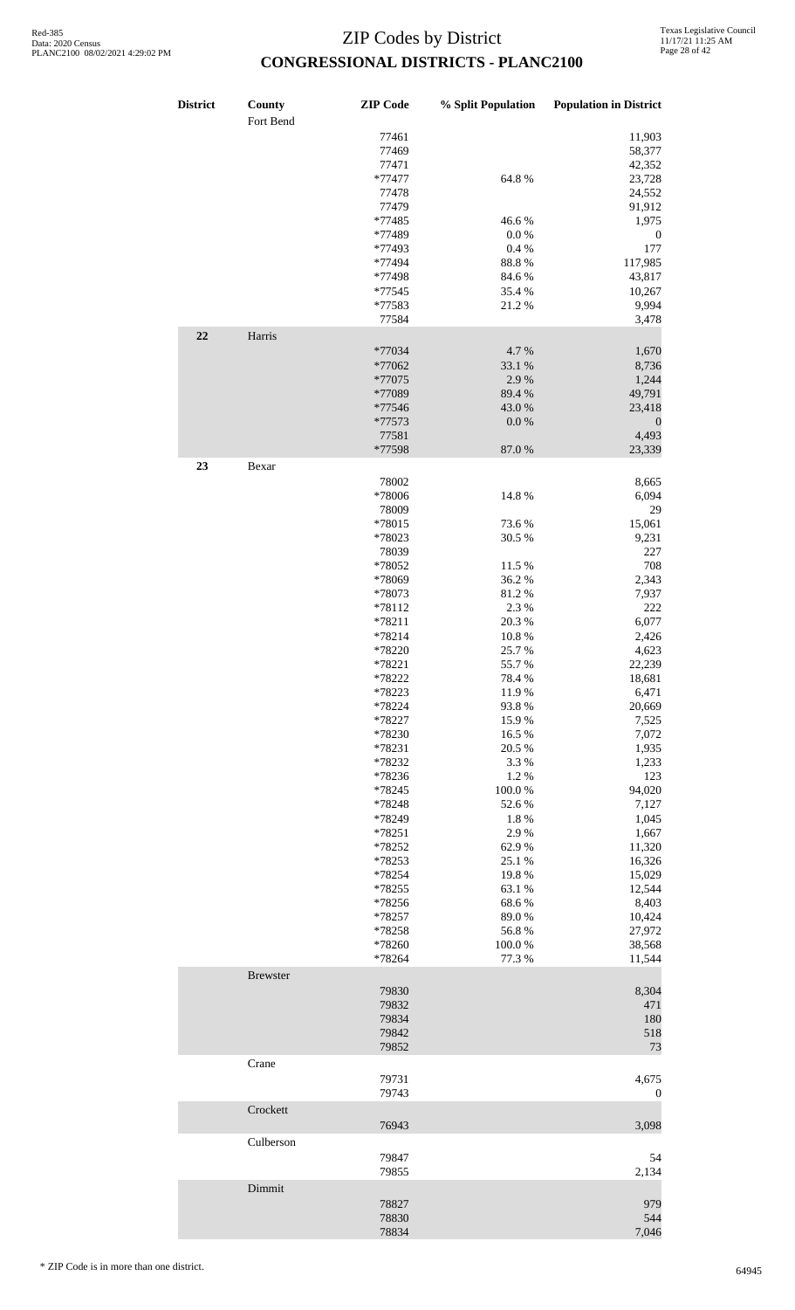| <b>District</b> | County<br>Fort Bend | <b>ZIP</b> Code | % Split Population | <b>Population in District</b> |
|-----------------|---------------------|-----------------|--------------------|-------------------------------|
|                 |                     | 77461           |                    | 11,903                        |
|                 |                     | 77469           |                    | 58,377                        |
|                 |                     | 77471           |                    | 42,352                        |
|                 |                     | *77477<br>77478 | 64.8%              | 23,728<br>24,552              |
|                 |                     | 77479           |                    | 91,912                        |
|                 |                     | *77485          | 46.6%              | 1,975                         |
|                 |                     | *77489          | $0.0\ \%$          | $\boldsymbol{0}$              |
|                 |                     | *77493          | 0.4%               | 177                           |
|                 |                     | *77494          | 88.8 %             | 117,985                       |
|                 |                     | *77498          | 84.6%              | 43,817                        |
|                 |                     | *77545          | 35.4 %             | 10,267                        |
|                 |                     | *77583          | 21.2%              | 9,994                         |
|                 |                     | 77584           |                    | 3,478                         |
| 22              | Harris              |                 |                    |                               |
|                 |                     | *77034          | 4.7%               | 1,670                         |
|                 |                     | *77062          | 33.1 %             | 8,736                         |
|                 |                     | *77075          | 2.9%               | 1,244                         |
|                 |                     | *77089          | 89.4%              | 49,791                        |
|                 |                     | *77546          | 43.0%              | 23,418                        |
|                 |                     | *77573          | 0.0 %              | $\boldsymbol{0}$              |
|                 |                     | 77581           |                    | 4,493                         |
|                 |                     | *77598          | 87.0%              | 23,339                        |
| 23              | Bexar               |                 |                    |                               |
|                 |                     | 78002           |                    | 8,665                         |
|                 |                     | *78006          | 14.8 %             | 6,094                         |
|                 |                     | 78009           |                    | 29                            |
|                 |                     | *78015          | 73.6 %             | 15,061                        |
|                 |                     | *78023          | 30.5 %             | 9,231                         |
|                 |                     | 78039           |                    | 227                           |
|                 |                     | *78052          | 11.5 %             | 708                           |
|                 |                     | *78069          | 36.2%              | 2,343                         |
|                 |                     | *78073          | 81.2%              | 7,937                         |
|                 |                     | *78112          | 2.3%               | 222                           |
|                 |                     | *78211          | 20.3 %             | 6,077                         |
|                 |                     | *78214          | 10.8%              | 2,426                         |
|                 |                     | *78220          | 25.7%              | 4,623                         |
|                 |                     | *78221          | 55.7%              | 22.239                        |
|                 |                     | *78222          | 78.4 %             | 18,681                        |
|                 |                     | *78223          | 11.9%              | 6,471                         |
|                 |                     | *78224          | 93.8%              | 20,669                        |
|                 |                     | *78227          | 15.9%              | 7,525                         |
|                 |                     | *78230          | 16.5 %             | 7,072                         |
|                 |                     | *78231          | 20.5 %             | 1,935                         |
|                 |                     | *78232          | 3.3%               | 1,233                         |
|                 |                     | *78236          | 1.2%               | 123                           |
|                 |                     | *78245          | 100.0%             | 94,020                        |
|                 |                     | *78248          | 52.6%              | 7,127                         |
|                 |                     | *78249          | 1.8%               | 1,045                         |
|                 |                     | *78251          | 2.9%               | 1,667                         |
|                 |                     | *78252          | 62.9%              | 11,320                        |
|                 |                     | *78253          | 25.1 %             | 16,326                        |
|                 |                     | *78254          | 19.8%              | 15,029                        |
|                 |                     | *78255          | 63.1 %             | 12,544                        |
|                 |                     | *78256          | 68.6%              | 8,403                         |
|                 |                     | *78257          | 89.0%              | 10,424                        |
|                 |                     | *78258          | 56.8%              | 27,972                        |
|                 |                     | *78260          | 100.0%             | 38,568                        |
|                 |                     | *78264          | 77.3 %             | 11,544                        |
|                 | <b>Brewster</b>     |                 |                    |                               |
|                 |                     | 79830           |                    | 8,304                         |
|                 |                     | 79832           |                    | 471                           |
|                 |                     | 79834           |                    | 180                           |
|                 |                     | 79842           |                    | 518                           |
|                 |                     | 79852           |                    | 73                            |
|                 | Crane               |                 |                    |                               |
|                 |                     | 79731           |                    | 4,675                         |
|                 | Crockett            | 79743           |                    | $\boldsymbol{0}$              |
|                 | Culberson           | 76943           |                    | 3,098                         |
|                 |                     | 79847           |                    | 54                            |
|                 |                     | 79855           |                    | 2,134                         |
|                 | Dimmit              |                 |                    |                               |
|                 |                     | 78827           |                    | 979                           |
|                 |                     | 78830           |                    | 544                           |
|                 |                     | 78834           |                    | 7,046                         |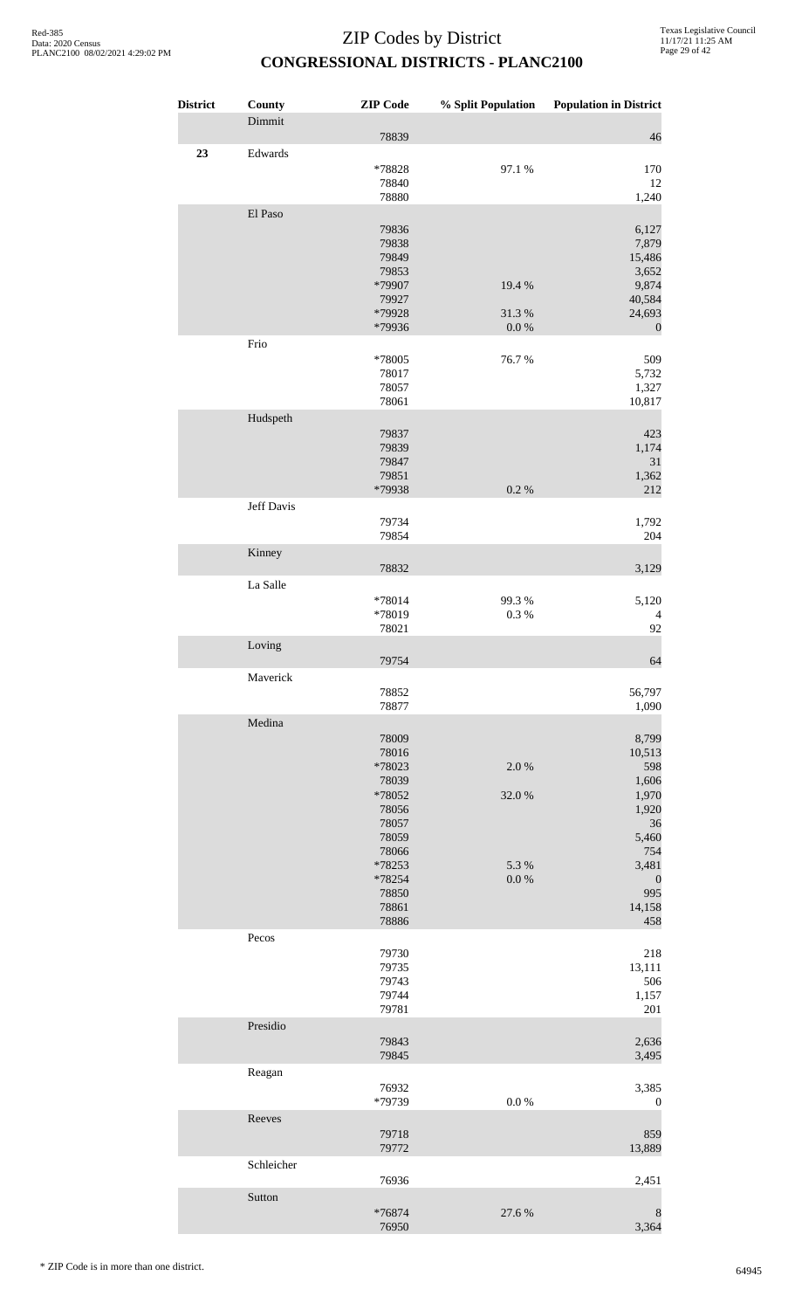| <b>District</b> | County     | <b>ZIP</b> Code | % Split Population | <b>Population in District</b> |
|-----------------|------------|-----------------|--------------------|-------------------------------|
|                 | Dimmit     | 78839           |                    | 46                            |
| 23              | Edwards    |                 |                    |                               |
|                 |            | *78828<br>78840 | 97.1 %             | 170<br>12                     |
|                 |            | 78880           |                    | 1,240                         |
|                 | El Paso    | 79836           |                    | 6,127                         |
|                 |            | 79838           |                    | 7,879                         |
|                 |            | 79849           |                    | 15,486                        |
|                 |            | 79853<br>*79907 |                    | 3,652<br>9,874                |
|                 |            | 79927           | 19.4 %             | 40,584                        |
|                 |            | *79928          | 31.3%              | 24,693                        |
|                 |            | *79936          | 0.0 %              | $\mathbf{0}$                  |
|                 | Frio       |                 |                    |                               |
|                 |            | *78005<br>78017 | 76.7%              | 509<br>5,732                  |
|                 |            | 78057           |                    | 1,327                         |
|                 |            | 78061           |                    | 10,817                        |
|                 | Hudspeth   |                 |                    |                               |
|                 |            | 79837<br>79839  |                    | 423<br>1,174                  |
|                 |            | 79847           |                    | $31\,$                        |
|                 |            | 79851           |                    | 1,362                         |
|                 |            | *79938          | $0.2~\%$           | 212                           |
|                 | Jeff Davis |                 |                    |                               |
|                 |            | 79734<br>79854  |                    | 1,792<br>204                  |
|                 | Kinney     |                 |                    |                               |
|                 |            | 78832           |                    | 3,129                         |
|                 | La Salle   |                 |                    |                               |
|                 |            | *78014          | 99.3%              | 5,120                         |
|                 |            | *78019<br>78021 | $0.3~\%$           | $\overline{4}$<br>92          |
|                 | Loving     |                 |                    |                               |
|                 |            | 79754           |                    | 64                            |
|                 | Maverick   |                 |                    |                               |
|                 |            | 78852           |                    | 56,797                        |
|                 |            | 78877           |                    | 1,090                         |
|                 | Medina     | 78009           |                    | 8,799                         |
|                 |            | 78016           |                    | 10,513                        |
|                 |            | *78023          | 2.0%               | 598                           |
|                 |            | 78039           |                    | 1,606                         |
|                 |            | *78052<br>78056 | 32.0%              | 1,970<br>1,920                |
|                 |            | 78057           |                    | 36                            |
|                 |            | 78059           |                    | 5,460                         |
|                 |            | 78066<br>*78253 | 5.3 %              | 754                           |
|                 |            | *78254          | 0.0 %              | 3,481<br>$\boldsymbol{0}$     |
|                 |            | 78850           |                    | 995                           |
|                 |            | 78861           |                    | 14,158                        |
|                 | Pecos      | 78886           |                    | 458                           |
|                 |            | 79730           |                    | 218                           |
|                 |            | 79735           |                    | 13,111                        |
|                 |            | 79743           |                    | 506                           |
|                 |            | 79744<br>79781  |                    | 1,157<br>201                  |
|                 | Presidio   |                 |                    |                               |
|                 |            | 79843           |                    | 2,636                         |
|                 |            | 79845           |                    | 3,495                         |
|                 | Reagan     |                 |                    |                               |
|                 |            | 76932<br>*79739 | 0.0 %              | 3,385<br>$\boldsymbol{0}$     |
|                 | Reeves     |                 |                    |                               |
|                 |            | 79718           |                    | 859                           |
|                 |            | 79772           |                    | 13,889                        |
|                 | Schleicher |                 |                    |                               |
|                 |            | 76936           |                    | 2,451                         |
|                 | Sutton     | *76874          |                    |                               |
|                 |            | 76950           | 27.6%              | 8<br>3,364                    |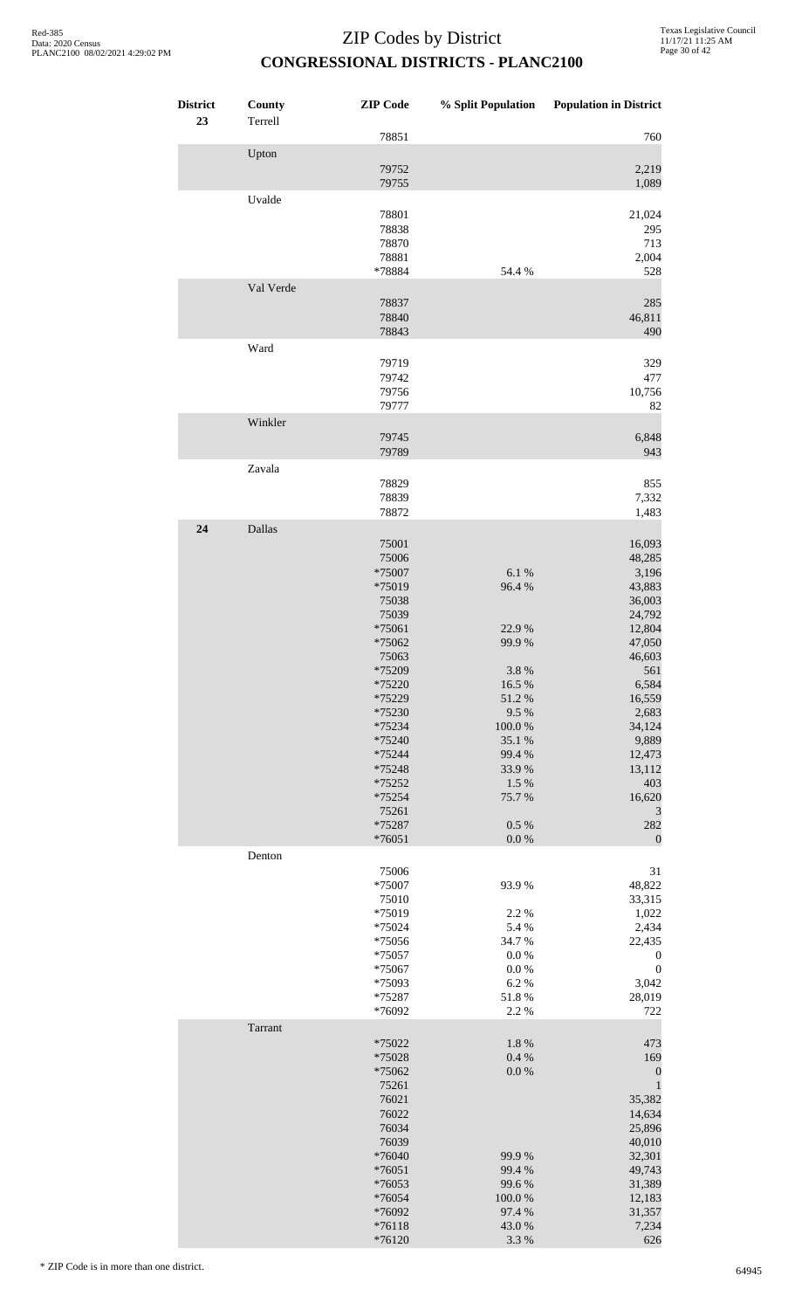| <b>District</b><br>23 | County<br>Terrell | <b>ZIP</b> Code                                                                                                                                                                                                                                                                        | % Split Population                                                                                                                                                                                   | <b>Population in District</b>                                                                                                                                                                                                                                                                                  |
|-----------------------|-------------------|----------------------------------------------------------------------------------------------------------------------------------------------------------------------------------------------------------------------------------------------------------------------------------------|------------------------------------------------------------------------------------------------------------------------------------------------------------------------------------------------------|----------------------------------------------------------------------------------------------------------------------------------------------------------------------------------------------------------------------------------------------------------------------------------------------------------------|
|                       |                   | 78851                                                                                                                                                                                                                                                                                  |                                                                                                                                                                                                      | 760                                                                                                                                                                                                                                                                                                            |
|                       | Upton             | 79752<br>79755                                                                                                                                                                                                                                                                         |                                                                                                                                                                                                      | 2,219<br>1,089                                                                                                                                                                                                                                                                                                 |
|                       | Uvalde            | 78801<br>78838<br>78870<br>78881<br>*78884                                                                                                                                                                                                                                             | 54.4 %                                                                                                                                                                                               | 21,024<br>295<br>713<br>2,004<br>528                                                                                                                                                                                                                                                                           |
|                       | Val Verde         |                                                                                                                                                                                                                                                                                        |                                                                                                                                                                                                      |                                                                                                                                                                                                                                                                                                                |
|                       |                   | 78837<br>78840<br>78843                                                                                                                                                                                                                                                                |                                                                                                                                                                                                      | 285<br>46,811<br>490                                                                                                                                                                                                                                                                                           |
|                       | Ward              |                                                                                                                                                                                                                                                                                        |                                                                                                                                                                                                      |                                                                                                                                                                                                                                                                                                                |
|                       |                   | 79719<br>79742<br>79756                                                                                                                                                                                                                                                                |                                                                                                                                                                                                      | 329<br>477<br>10,756                                                                                                                                                                                                                                                                                           |
|                       |                   | 79777                                                                                                                                                                                                                                                                                  |                                                                                                                                                                                                      | 82                                                                                                                                                                                                                                                                                                             |
|                       | Winkler           | 79745<br>79789                                                                                                                                                                                                                                                                         |                                                                                                                                                                                                      | 6,848<br>943                                                                                                                                                                                                                                                                                                   |
|                       | Zavala            |                                                                                                                                                                                                                                                                                        |                                                                                                                                                                                                      |                                                                                                                                                                                                                                                                                                                |
|                       |                   | 78829<br>78839<br>78872                                                                                                                                                                                                                                                                |                                                                                                                                                                                                      | 855<br>7,332<br>1,483                                                                                                                                                                                                                                                                                          |
| 24                    | Dallas            |                                                                                                                                                                                                                                                                                        |                                                                                                                                                                                                      |                                                                                                                                                                                                                                                                                                                |
|                       | Denton            | 75001<br>75006<br>*75007<br>*75019<br>75038<br>75039<br>*75061<br>*75062<br>75063<br>*75209<br>*75220<br>*75229<br>*75230<br>*75234<br>*75240<br>*75244<br>*75248<br>*75252<br>*75254<br>75261<br>*75287<br>*76051<br>75006<br>*75007<br>75010<br>*75019<br>*75024<br>*75056<br>*75057 | 6.1%<br>96.4%<br>22.9 %<br>99.9%<br>3.8%<br>16.5 %<br>51.2 %<br>9.5 %<br>100.0%<br>35.1 %<br>99.4%<br>33.9%<br>1.5 %<br>75.7%<br>$0.5\ \%$<br>$0.0\ \%$<br>93.9%<br>2.2 %<br>5.4 %<br>34.7%<br>0.0 % | 16,093<br>48,285<br>3,196<br>43,883<br>36,003<br>24,792<br>12,804<br>47,050<br>46,603<br>561<br>6,584<br>16,559<br>2,683<br>34,124<br>9,889<br>12,473<br>13,112<br>403<br>16,620<br>3<br>282<br>$\boldsymbol{0}$<br>31<br>48,822<br>33,315<br>1,022<br>2,434<br>22,435<br>$\boldsymbol{0}$<br>$\boldsymbol{0}$ |
|                       |                   | $*75067$<br>*75093<br>*75287<br>*76092                                                                                                                                                                                                                                                 | 0.0 %<br>6.2%<br>51.8%<br>2.2 %                                                                                                                                                                      | 3,042<br>28,019<br>722                                                                                                                                                                                                                                                                                         |
|                       | Tarrant           | *75022<br>*75028<br>*75062<br>75261<br>76021<br>76022<br>76034<br>76039<br>*76040<br>$*76051$<br>*76053<br>*76054<br>*76092<br>$*76118$                                                                                                                                                | 1.8 %<br>$0.4~\%$<br>0.0 %<br>99.9%<br>99.4%<br>99.6%<br>$100.0~\%$<br>97.4 %<br>43.0%                                                                                                               | 473<br>169<br>$\boldsymbol{0}$<br>$\,1\,$<br>35,382<br>14,634<br>25,896<br>40,010<br>32,301<br>49,743<br>31,389<br>12,183<br>31,357<br>7,234                                                                                                                                                                   |
|                       |                   | *76120                                                                                                                                                                                                                                                                                 | 3.3 %                                                                                                                                                                                                | 626                                                                                                                                                                                                                                                                                                            |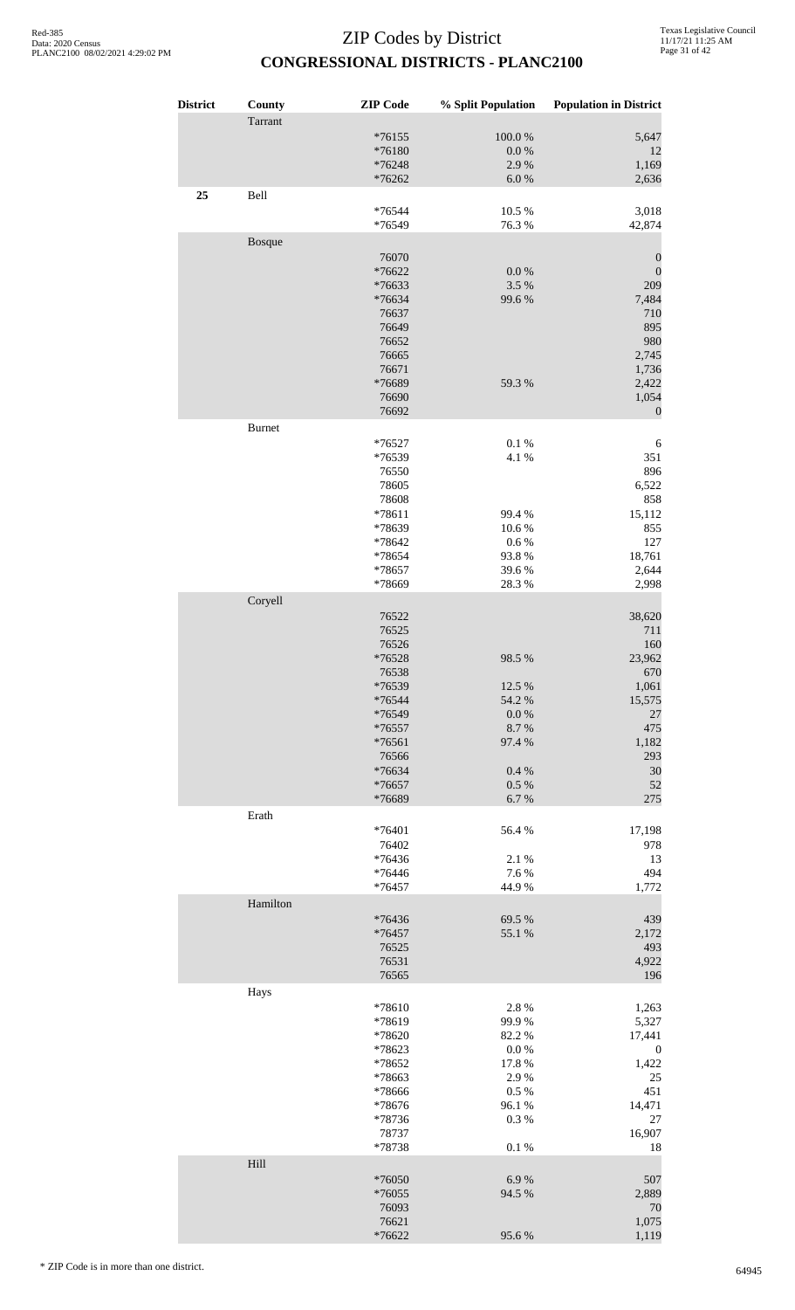| <b>District</b> | County        | <b>ZIP</b> Code  | % Split Population | <b>Population in District</b> |
|-----------------|---------------|------------------|--------------------|-------------------------------|
|                 | Tarrant       |                  |                    |                               |
|                 |               | $*76155$         | 100.0%             | 5,647                         |
|                 |               | *76180           | $0.0\ \%$          | 12                            |
|                 |               | *76248           | 2.9%               | 1,169                         |
|                 |               | *76262           | 6.0%               | 2,636                         |
| 25              | Bell          | *76544           | 10.5 %             | 3,018                         |
|                 |               | *76549           | 76.3%              | 42,874                        |
|                 | Bosque        |                  |                    |                               |
|                 |               | 76070            |                    | $\boldsymbol{0}$              |
|                 |               | *76622           | $0.0\ \%$          | $\boldsymbol{0}$              |
|                 |               | *76633           | 3.5%               | 209                           |
|                 |               | *76634<br>76637  | 99.6%              | 7,484<br>710                  |
|                 |               | 76649            |                    | 895                           |
|                 |               | 76652            |                    | 980                           |
|                 |               | 76665            |                    | 2,745                         |
|                 |               | 76671            |                    | 1,736                         |
|                 |               | *76689<br>76690  | 59.3%              | 2,422<br>1,054                |
|                 |               | 76692            |                    | $\boldsymbol{0}$              |
|                 | <b>Burnet</b> |                  |                    |                               |
|                 |               | *76527           | $0.1~\%$           | 6                             |
|                 |               | *76539           | 4.1 %              | 351                           |
|                 |               | 76550            |                    | 896                           |
|                 |               | 78605<br>78608   |                    | 6,522<br>858                  |
|                 |               | *78611           | 99.4 %             | 15,112                        |
|                 |               | *78639           | 10.6%              | 855                           |
|                 |               | *78642           | $0.6\ \%$          | 127                           |
|                 |               | *78654           | 93.8%              | 18,761                        |
|                 |               | *78657<br>*78669 | 39.6%<br>28.3%     | 2,644<br>2,998                |
|                 | Coryell       |                  |                    |                               |
|                 |               | 76522            |                    | 38,620                        |
|                 |               | 76525            |                    | 711                           |
|                 |               | 76526            |                    | 160                           |
|                 |               | *76528           | 98.5 %             | 23,962                        |
|                 |               | 76538            |                    | 670                           |
|                 |               | *76539<br>*76544 | 12.5 %<br>54.2 %   | 1,061<br>15,575               |
|                 |               | *76549           | 0.0 %              | 27                            |
|                 |               | $*76557$         | 8.7%               | 475                           |
|                 |               | *76561           | 97.4 %             | 1,182                         |
|                 |               | 76566            |                    | 293                           |
|                 |               | *76634<br>*76657 | 0.4 %<br>0.5 %     | 30<br>52                      |
|                 |               | *76689           | 6.7%               | 275                           |
|                 | Erath         |                  |                    |                               |
|                 |               | *76401           | 56.4 %             | 17,198                        |
|                 |               | 76402            |                    | 978                           |
|                 |               | *76436<br>*76446 | 2.1 %<br>7.6%      | 13<br>494                     |
|                 |               | $*76457$         | 44.9%              | 1,772                         |
|                 | Hamilton      |                  |                    |                               |
|                 |               | *76436           | 69.5 %             | 439                           |
|                 |               | $*76457$         | 55.1 %             | 2,172                         |
|                 |               | 76525            |                    | 493                           |
|                 |               | 76531<br>76565   |                    | 4,922<br>196                  |
|                 | Hays          |                  |                    |                               |
|                 |               | *78610           | 2.8%               | 1,263                         |
|                 |               | *78619           | 99.9%              | 5,327                         |
|                 |               | *78620           | 82.2%              | 17,441                        |
|                 |               | *78623           | $0.0\ \%$          | $\boldsymbol{0}$              |
|                 |               | *78652<br>*78663 | 17.8 %<br>2.9%     | 1,422<br>25                   |
|                 |               | *78666           | 0.5%               | 451                           |
|                 |               | *78676           | 96.1%              | 14,471                        |
|                 |               | *78736           | 0.3%               | 27                            |
|                 |               | 78737            |                    | 16,907                        |
|                 | Hill          | *78738           | 0.1%               | 18                            |
|                 |               | *76050           | 6.9%               | 507                           |
|                 |               | $*76055$         | 94.5 %             | 2,889                         |
|                 |               | 76093            |                    | 70                            |
|                 |               | 76621            |                    | 1,075                         |
|                 |               | *76622           | 95.6%              | 1,119                         |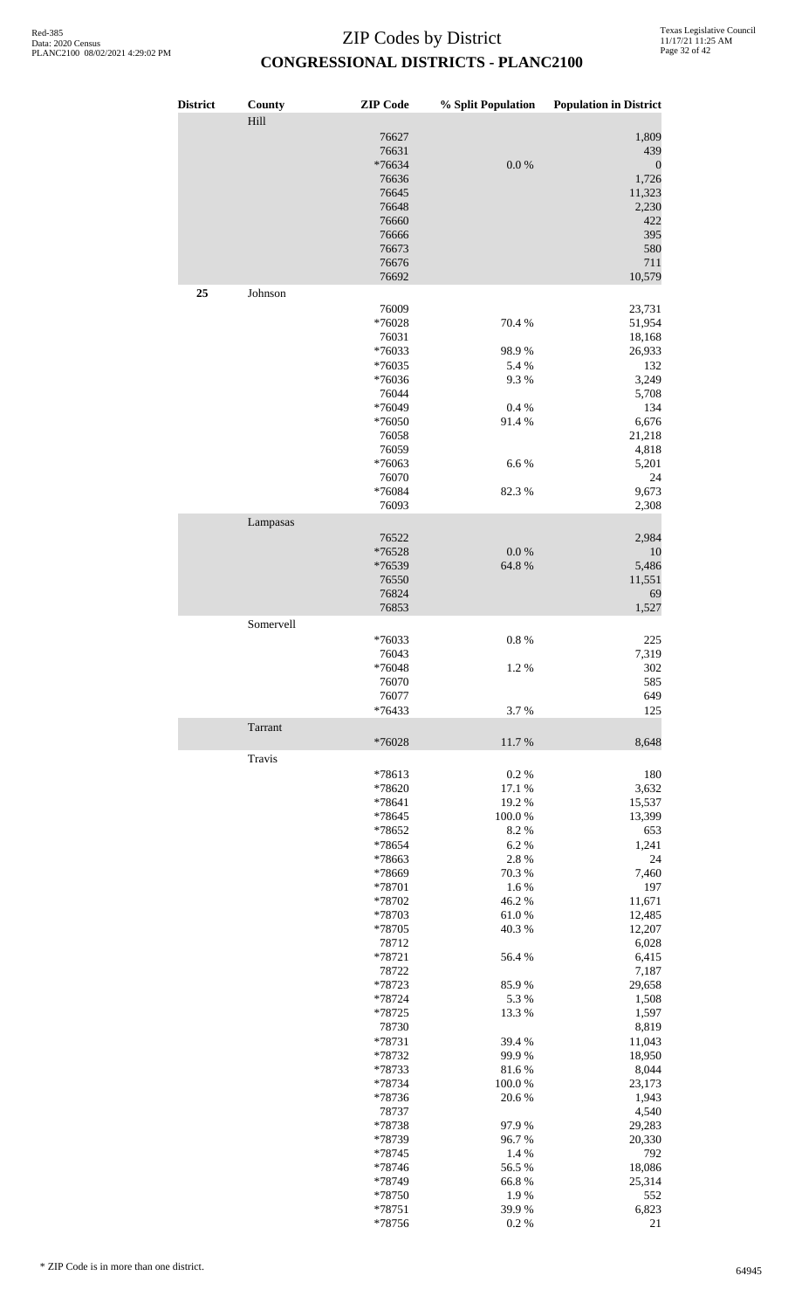| <b>District</b> | County    | <b>ZIP Code</b>  | % Split Population | <b>Population in District</b> |
|-----------------|-----------|------------------|--------------------|-------------------------------|
|                 | Hill      |                  |                    |                               |
|                 |           | 76627            |                    | 1,809                         |
|                 |           | 76631            |                    | 439                           |
|                 |           | *76634           | $0.0\ \%$          | $\boldsymbol{0}$              |
|                 |           | 76636            |                    | 1,726                         |
|                 |           | 76645<br>76648   |                    | 11,323<br>2,230               |
|                 |           | 76660            |                    | 422                           |
|                 |           | 76666            |                    | 395                           |
|                 |           | 76673            |                    | 580                           |
|                 |           | 76676            |                    | 711                           |
|                 |           | 76692            |                    | 10,579                        |
| 25              | Johnson   |                  |                    |                               |
|                 |           | 76009<br>*76028  | 70.4 %             | 23,731<br>51,954              |
|                 |           | 76031            |                    | 18,168                        |
|                 |           | *76033           | 98.9%              | 26,933                        |
|                 |           | *76035           | 5.4 %              | 132                           |
|                 |           | *76036           | 9.3%               | 3,249                         |
|                 |           | 76044            |                    | 5,708                         |
|                 |           | *76049<br>*76050 | 0.4%<br>91.4%      | 134<br>6,676                  |
|                 |           | 76058            |                    | 21,218                        |
|                 |           | 76059            |                    | 4,818                         |
|                 |           | *76063           | 6.6%               | 5,201                         |
|                 |           | 76070            |                    | 24                            |
|                 |           | *76084           | 82.3%              | 9,673                         |
|                 |           | 76093            |                    | 2,308                         |
|                 | Lampasas  | 76522            |                    | 2,984                         |
|                 |           | *76528           | $0.0\ \%$          | 10                            |
|                 |           | *76539           | 64.8%              | 5,486                         |
|                 |           | 76550            |                    | 11,551                        |
|                 |           | 76824            |                    | 69                            |
|                 |           | 76853            |                    | 1,527                         |
|                 | Somervell |                  |                    |                               |
|                 |           | *76033<br>76043  | 0.8%               | 225<br>7,319                  |
|                 |           | *76048           | $1.2~\%$           | 302                           |
|                 |           | 76070            |                    | 585                           |
|                 |           | 76077            |                    | 649                           |
|                 |           | *76433           | 3.7%               | 125                           |
|                 | Tarrant   | *76028           | 11.7%              | 8,648                         |
|                 | Travis    |                  |                    |                               |
|                 |           | *78613           | 0.2 %              | 180                           |
|                 |           | *78620           | 17.1 %             | 3,632                         |
|                 |           | *78641           | 19.2%              | 15,537                        |
|                 |           | *78645           | 100.0%             | 13,399                        |
|                 |           | *78652           | 8.2%               | 653                           |
|                 |           | *78654           | 6.2%               | 1,241                         |
|                 |           | *78663<br>*78669 | 2.8%<br>70.3%      | 24<br>7,460                   |
|                 |           | *78701           | 1.6%               | 197                           |
|                 |           | *78702           | 46.2%              | 11,671                        |
|                 |           | *78703           | 61.0%              | 12,485                        |
|                 |           | *78705           | 40.3%              | 12,207                        |
|                 |           | 78712<br>*78721  | 56.4%              | 6,028<br>6,415                |
|                 |           | 78722            |                    | 7,187                         |
|                 |           | *78723           | 85.9%              | 29,658                        |
|                 |           | *78724           | 5.3 %              | 1,508                         |
|                 |           | *78725           | 13.3 %             | 1,597                         |
|                 |           | 78730<br>*78731  | 39.4 %             | 8,819<br>11,043               |
|                 |           | *78732           | 99.9%              | 18,950                        |
|                 |           | *78733           | 81.6%              | 8,044                         |
|                 |           | *78734           | 100.0%             | 23,173                        |
|                 |           | *78736           | 20.6%              | 1,943                         |
|                 |           | 78737            |                    | 4,540                         |
|                 |           | *78738<br>*78739 | 97.9%<br>96.7%     | 29,283<br>20,330              |
|                 |           | *78745           | 1.4 %              | 792                           |
|                 |           | *78746           | 56.5 %             | 18,086                        |
|                 |           | *78749           | 66.8%              | 25,314                        |
|                 |           | *78750           | 1.9%               | 552                           |
|                 |           | *78751<br>*78756 | 39.9%<br>0.2 %     | 6,823<br>21                   |
|                 |           |                  |                    |                               |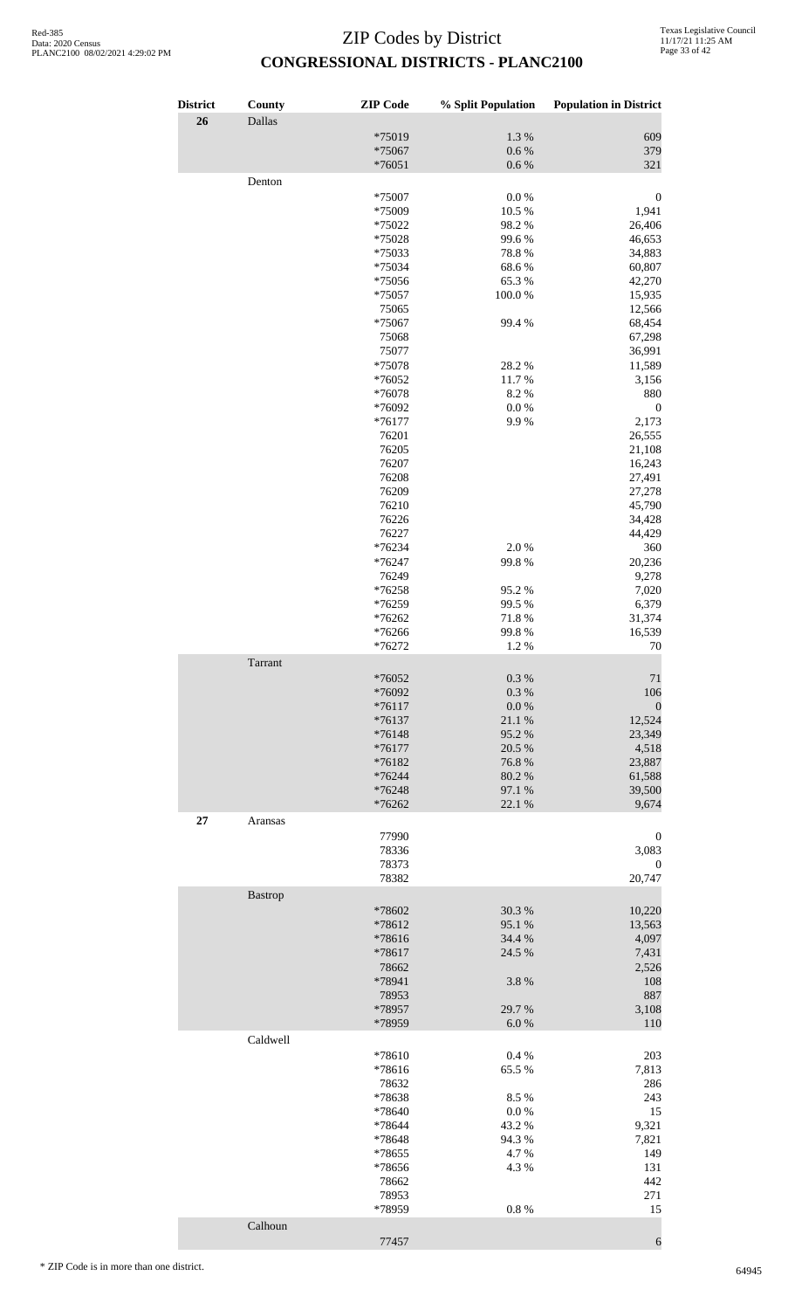| <b>District</b><br>26 | County<br>Dallas | <b>ZIP</b> Code | % Split Population | <b>Population in District</b> |
|-----------------------|------------------|-----------------|--------------------|-------------------------------|
|                       |                  | *75019          | $1.3~\%$           | 609                           |
|                       |                  | *75067          | 0.6 %              | 379                           |
|                       |                  | $*76051$        | 0.6 %              | 321                           |
|                       | Denton           |                 |                    |                               |
|                       |                  | *75007          | $0.0\ \%$          | $\boldsymbol{0}$              |
|                       |                  | *75009          | 10.5 %             | 1,941                         |
|                       |                  | *75022          | 98.2%              | 26,406                        |
|                       |                  | *75028          | 99.6%              | 46,653                        |
|                       |                  | *75033          | 78.8%              | 34,883                        |
|                       |                  | *75034          | 68.6%              | 60,807                        |
|                       |                  | *75056          | 65.3%              | 42,270                        |
|                       |                  | *75057          | 100.0%             | 15,935                        |
|                       |                  | 75065           |                    | 12,566                        |
|                       |                  | *75067          | 99.4 %             | 68,454                        |
|                       |                  | 75068           |                    | 67,298                        |
|                       |                  | 75077           |                    | 36,991                        |
|                       |                  | *75078          | 28.2%              | 11,589                        |
|                       |                  | *76052          | 11.7%              | 3,156                         |
|                       |                  | *76078          | 8.2%               | 880                           |
|                       |                  | *76092          | 0.0 %              | $\boldsymbol{0}$              |
|                       |                  | $*76177$        | 9.9%               | 2,173                         |
|                       |                  | 76201           |                    | 26,555                        |
|                       |                  | 76205           |                    | 21,108                        |
|                       |                  | 76207           |                    | 16,243                        |
|                       |                  | 76208           |                    | 27,491                        |
|                       |                  | 76209           |                    | 27,278                        |
|                       |                  | 76210           |                    | 45,790                        |
|                       |                  | 76226           |                    | 34,428                        |
|                       |                  | 76227           |                    | 44,429                        |
|                       |                  | *76234          | 2.0%               | 360                           |
|                       |                  | *76247<br>76249 | 99.8%              | 20,236<br>9,278               |
|                       |                  | $*76258$        | 95.2%              | 7,020                         |
|                       |                  | *76259          | 99.5%              | 6,379                         |
|                       |                  | *76262          | 71.8%              | 31,374                        |
|                       |                  | *76266          | 99.8%              | 16,539                        |
|                       |                  | *76272          | 1.2%               | 70                            |
|                       | Tarrant          |                 |                    |                               |
|                       |                  | *76052          | $0.3~\%$           | $71\,$                        |
|                       |                  | *76092          | $0.3~\%$           | 106                           |
|                       |                  | $*76117$        | $0.0\ \%$          | $\boldsymbol{0}$              |
|                       |                  | $*76137$        | 21.1 %             | 12,524                        |
|                       |                  | $*76148$        | 95.2%              | 23,349                        |
|                       |                  | $*76177$        | 20.5 %             | 4,518                         |
|                       |                  | *76182          | 76.8%              | 23,887                        |
|                       |                  | *76244          | 80.2 %             | 61,588                        |
|                       |                  | *76248          | 97.1 %             | 39,500                        |
|                       |                  | *76262          | 22.1 %             | 9,674                         |
| 27                    | Aransas          |                 |                    |                               |
|                       |                  | 77990           |                    | $\boldsymbol{0}$              |
|                       |                  | 78336           |                    | 3,083                         |
|                       |                  | 78373           |                    | $\boldsymbol{0}$              |
|                       |                  | 78382           |                    | 20,747                        |
|                       | <b>Bastrop</b>   |                 |                    |                               |
|                       |                  | *78602          | 30.3 %             | 10,220                        |
|                       |                  | *78612          | 95.1 %             | 13,563                        |
|                       |                  | *78616          | 34.4 %             | 4,097                         |
|                       |                  | *78617          | 24.5 %             | 7,431                         |
|                       |                  | 78662           |                    | 2,526                         |
|                       |                  | *78941          | 3.8%               | 108                           |
|                       |                  | 78953           |                    | 887                           |
|                       |                  | *78957          | 29.7 %             | 3,108                         |
|                       |                  | *78959          | 6.0%               | 110                           |
|                       | Caldwell         |                 |                    |                               |
|                       |                  | *78610          | 0.4%               | 203                           |
|                       |                  | *78616          | 65.5%              | 7,813                         |
|                       |                  | 78632           |                    | 286                           |
|                       |                  | *78638          | 8.5%               | 243                           |
|                       |                  | *78640          | $0.0\ \%$          | 15                            |
|                       |                  | *78644          | 43.2%              | 9,321                         |
|                       |                  | *78648          | 94.3%              | 7,821                         |
|                       |                  | *78655          | 4.7%               | 149                           |
|                       |                  | *78656          | 4.3%               | 131                           |
|                       |                  | 78662           |                    | 442                           |
|                       |                  | 78953           |                    | 271                           |
|                       |                  | *78959          | 0.8 %              | 15                            |
|                       | Calhoun          |                 |                    |                               |
|                       |                  | 77457           |                    | $\boldsymbol{6}$              |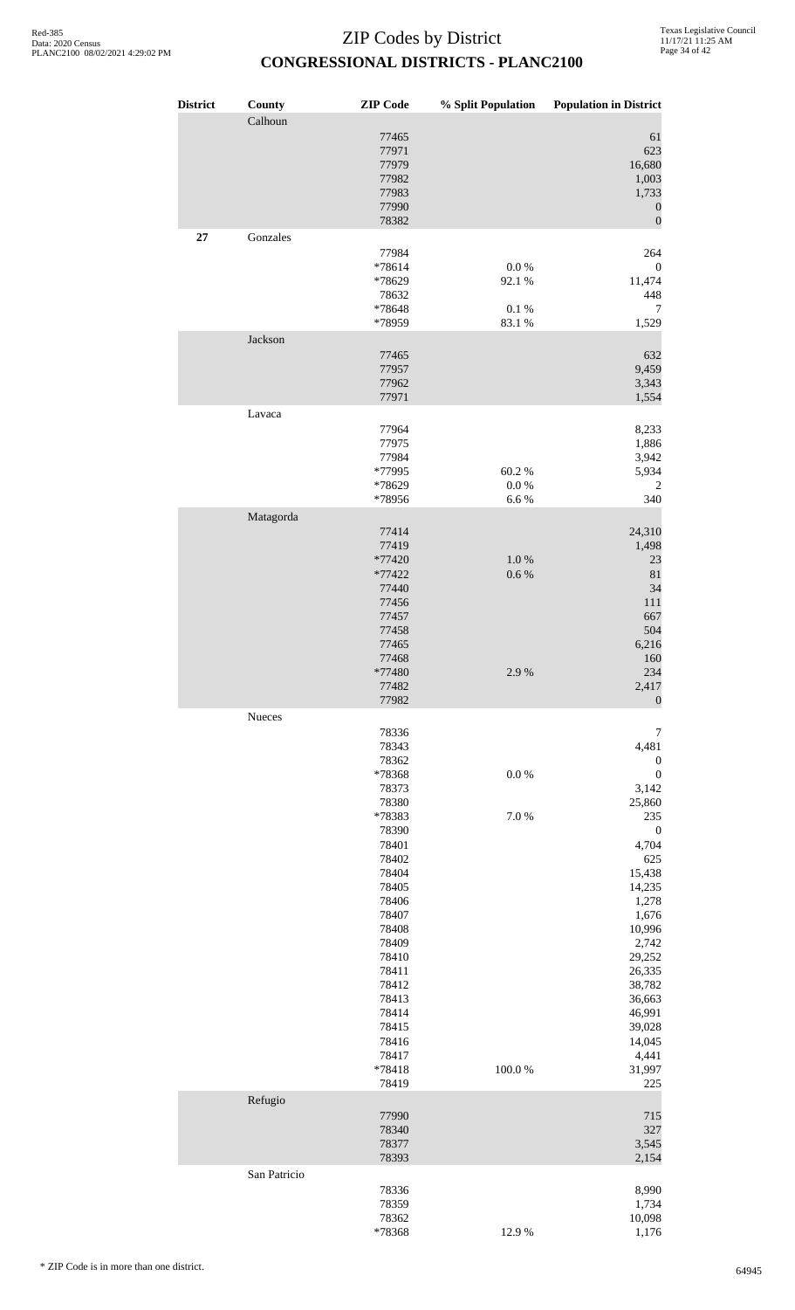| <b>District</b> | <b>County</b> | <b>ZIP</b> Code                                                                                                                                                                                                        |                                       | % Split Population Population in District                                                                                                                                                                                                                     |
|-----------------|---------------|------------------------------------------------------------------------------------------------------------------------------------------------------------------------------------------------------------------------|---------------------------------------|---------------------------------------------------------------------------------------------------------------------------------------------------------------------------------------------------------------------------------------------------------------|
|                 | Calhoun       | 77465<br>77971<br>77979<br>77982<br>77983<br>77990<br>78382                                                                                                                                                            |                                       | 61<br>623<br>16,680<br>1,003<br>1,733<br>$\boldsymbol{0}$<br>$\boldsymbol{0}$                                                                                                                                                                                 |
| $\bf 27$        | Gonzales      | 77984<br>$*78614$<br>*78629<br>78632<br>*78648<br>*78959                                                                                                                                                               | $0.0\ \%$<br>92.1 %<br>0.1%<br>83.1 % | 264<br>$\boldsymbol{0}$<br>11,474<br>448<br>$\tau$<br>1,529                                                                                                                                                                                                   |
|                 | Jackson       | 77465<br>77957<br>77962<br>77971                                                                                                                                                                                       |                                       | 632<br>9,459<br>3,343<br>1,554                                                                                                                                                                                                                                |
|                 | Lavaca        | 77964<br>77975<br>77984<br>*77995<br>*78629<br>*78956                                                                                                                                                                  | 60.2%<br>$0.0\ \%$<br>6.6%            | 8,233<br>1,886<br>3,942<br>5,934<br>2<br>340                                                                                                                                                                                                                  |
|                 | Matagorda     | 77414<br>77419<br>*77420<br>$*77422$<br>77440<br>77456<br>77457<br>77458<br>77465<br>77468<br>*77480<br>77482                                                                                                          | 1.0 %<br>0.6 %<br>$2.9\ \%$           | 24,310<br>1,498<br>23<br>81<br>34<br>$111\,$<br>667<br>504<br>6,216<br>160<br>234<br>2,417                                                                                                                                                                    |
|                 | Nueces        | 77982                                                                                                                                                                                                                  |                                       | $\boldsymbol{0}$                                                                                                                                                                                                                                              |
|                 |               | 78336<br>78343<br>78362<br>*78368<br>78373<br>78380<br>*78383<br>78390<br>78401<br>78402<br>78404<br>78405<br>78406<br>78407<br>78408<br>78409<br>78410<br>78411<br>78412<br>78413<br>78414<br>78415<br>78416<br>78417 | $0.0\ \%$<br>7.0%                     | $\tau$<br>4,481<br>$\boldsymbol{0}$<br>$\boldsymbol{0}$<br>3,142<br>25,860<br>235<br>$\boldsymbol{0}$<br>4,704<br>625<br>15,438<br>14,235<br>1,278<br>1,676<br>10,996<br>2,742<br>29,252<br>26,335<br>38,782<br>36,663<br>46,991<br>39,028<br>14,045<br>4,441 |
|                 |               | *78418<br>78419                                                                                                                                                                                                        | 100.0%                                | 31,997<br>225                                                                                                                                                                                                                                                 |
|                 | Refugio       | 77990<br>78340<br>78377<br>78393                                                                                                                                                                                       |                                       | 715<br>327<br>3,545<br>2,154                                                                                                                                                                                                                                  |
|                 | San Patricio  | 78336                                                                                                                                                                                                                  |                                       | 8,990                                                                                                                                                                                                                                                         |
|                 |               | 78359<br>78362<br>*78368                                                                                                                                                                                               | 12.9%                                 | 1,734<br>10,098<br>1,176                                                                                                                                                                                                                                      |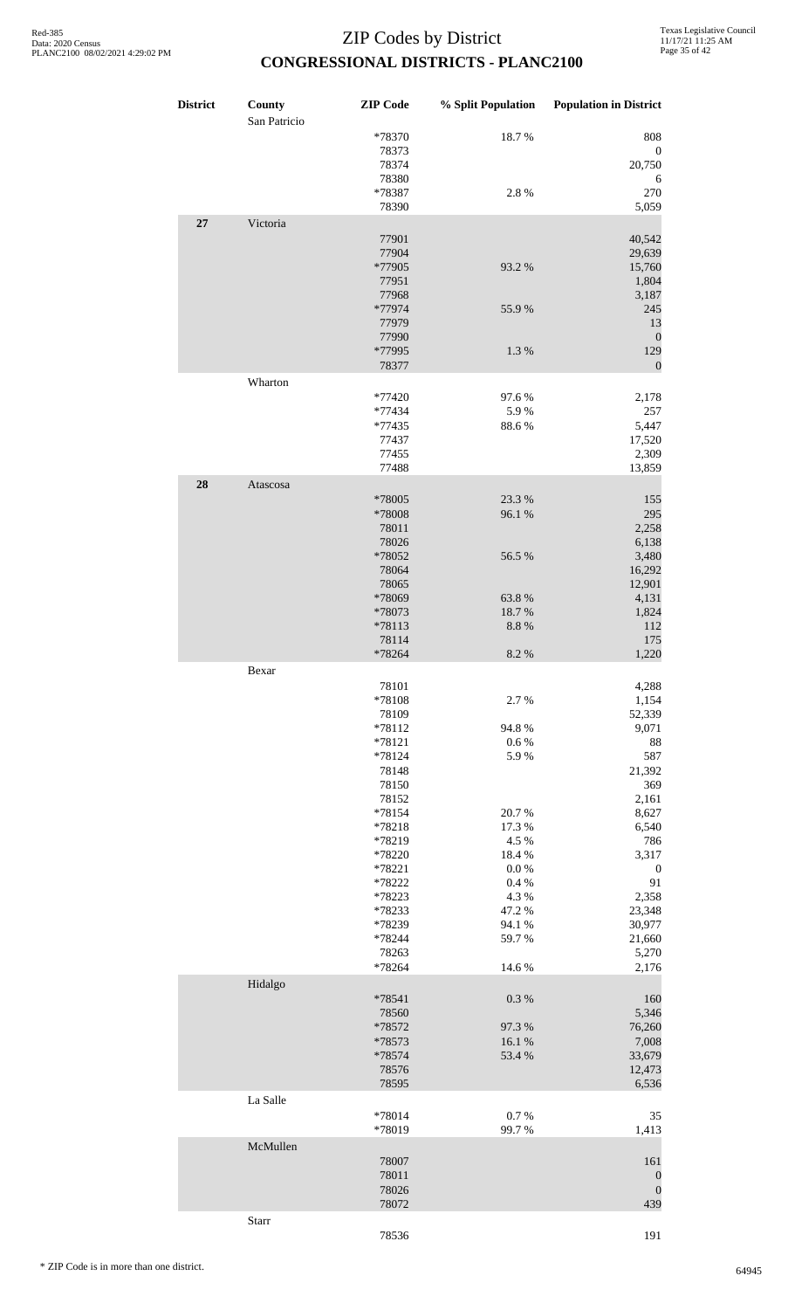| <b>District</b> | County<br>San Patricio | <b>ZIP</b> Code  | % Split Population | <b>Population in District</b> |
|-----------------|------------------------|------------------|--------------------|-------------------------------|
|                 |                        | *78370<br>78373  | 18.7%              | 808<br>$\boldsymbol{0}$       |
|                 |                        | 78374<br>78380   |                    | 20,750<br>6                   |
|                 |                        | *78387<br>78390  | 2.8%               | 270<br>5,059                  |
| $\bf 27$        | Victoria               | 77901            |                    | 40,542                        |
|                 |                        | 77904            |                    | 29,639                        |
|                 |                        | *77905<br>77951  | 93.2 %             | 15,760<br>1,804               |
|                 |                        | 77968            |                    | 3,187                         |
|                 |                        | *77974<br>77979  | 55.9%              | 245<br>13                     |
|                 |                        | 77990            |                    | $\boldsymbol{0}$              |
|                 |                        | *77995           | 1.3%               | 129<br>$\boldsymbol{0}$       |
|                 | Wharton                | 78377            |                    |                               |
|                 |                        | *77420           | 97.6%              | 2,178                         |
|                 |                        | *77434<br>*77435 | 5.9%<br>88.6%      | 257<br>5,447                  |
|                 |                        | 77437            |                    | 17,520                        |
|                 |                        | 77455<br>77488   |                    | 2,309<br>13,859               |
| 28              | Atascosa               |                  |                    |                               |
|                 |                        | *78005           | 23.3 %             | 155                           |
|                 |                        | *78008<br>78011  | 96.1%              | 295<br>2,258                  |
|                 |                        | 78026            |                    | 6,138                         |
|                 |                        | *78052<br>78064  | 56.5 %             | 3,480<br>16,292               |
|                 |                        | 78065            |                    | 12,901                        |
|                 |                        | *78069<br>*78073 | 63.8%<br>18.7%     | 4,131<br>1,824                |
|                 |                        | *78113           | 8.8%               | 112                           |
|                 |                        | 78114<br>*78264  | 8.2%               | 175<br>1,220                  |
|                 | Bexar                  |                  |                    |                               |
|                 |                        | 78101            |                    | 4,288                         |
|                 |                        | *78108<br>78109  | 2.7 %              | 1,154<br>52,339               |
|                 |                        | *78112           | 94.8%              | 9,071                         |
|                 |                        | *78121<br>*78124 | 0.6 %<br>5.9%      | 88<br>587                     |
|                 |                        | 78148            |                    | 21,392                        |
|                 |                        | 78150<br>78152   |                    | 369<br>2,161                  |
|                 |                        | *78154           | 20.7%              | 8,627                         |
|                 |                        | *78218<br>*78219 | 17.3 %<br>4.5 %    | 6,540<br>786                  |
|                 |                        | *78220           | 18.4 %             | 3,317                         |
|                 |                        | *78221<br>*78222 | 0.0 %<br>0.4%      | $\boldsymbol{0}$<br>91        |
|                 |                        | *78223           | 4.3 %              | 2,358                         |
|                 |                        | *78233<br>*78239 | 47.2 %<br>94.1 %   | 23,348<br>30,977              |
|                 |                        | *78244           | 59.7%              | 21,660                        |
|                 |                        | 78263<br>*78264  | 14.6 %             | 5,270<br>2,176                |
|                 | Hidalgo                |                  |                    |                               |
|                 |                        | *78541<br>78560  | 0.3%               | 160<br>5,346                  |
|                 |                        | *78572           | 97.3 %             | 76,260                        |
|                 |                        | *78573           | 16.1 %             | 7,008                         |
|                 |                        | *78574<br>78576  | 53.4 %             | 33,679<br>12,473              |
|                 | La Salle               | 78595            |                    | 6,536                         |
|                 |                        | *78014           | $0.7~\%$           | 35                            |
|                 |                        | *78019           | 99.7%              | 1,413                         |
|                 | McMullen               | 78007            |                    | 161                           |
|                 |                        | 78011            |                    | $\boldsymbol{0}$              |
|                 |                        | 78026<br>78072   |                    | $\boldsymbol{0}$<br>439       |
|                 | Starr                  |                  |                    |                               |
|                 |                        | 78536            |                    | 191                           |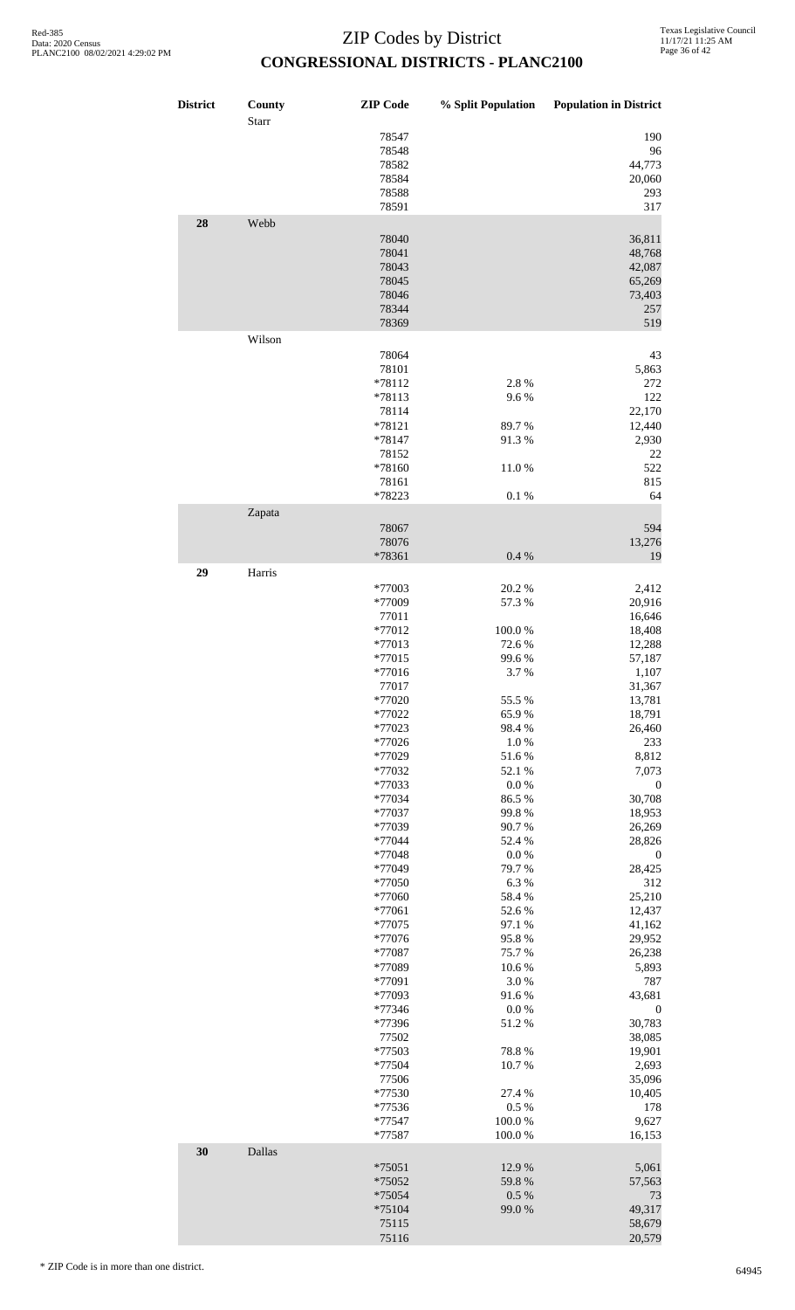| <b>District</b> | County<br>Starr | <b>ZIP</b> Code    | % Split Population  | <b>Population in District</b> |
|-----------------|-----------------|--------------------|---------------------|-------------------------------|
|                 |                 | 78547              |                     | 190                           |
|                 |                 | 78548<br>78582     |                     | 96<br>44,773                  |
|                 |                 | 78584              |                     | 20,060                        |
|                 |                 | 78588              |                     | 293                           |
|                 |                 | 78591              |                     | 317                           |
| 28              | Webb            |                    |                     |                               |
|                 |                 | 78040              |                     | 36,811<br>48,768              |
|                 |                 | 78041<br>78043     |                     | 42,087                        |
|                 |                 | 78045              |                     | 65,269                        |
|                 |                 | 78046              |                     | 73,403                        |
|                 |                 | 78344              |                     | 257                           |
|                 |                 | 78369              |                     | 519                           |
|                 | Wilson          | 78064              |                     | 43                            |
|                 |                 | 78101              |                     | 5,863                         |
|                 |                 | *78112             | 2.8%                | 272                           |
|                 |                 | *78113             | 9.6%                | 122                           |
|                 |                 | 78114              |                     | 22,170                        |
|                 |                 | *78121<br>*78147   | 89.7%<br>91.3%      | 12,440<br>2,930               |
|                 |                 | 78152              |                     | 22                            |
|                 |                 | *78160             | 11.0%               | 522                           |
|                 |                 | 78161              |                     | 815                           |
|                 |                 | *78223             | 0.1 %               | 64                            |
|                 | Zapata          | 78067              |                     | 594                           |
|                 |                 | 78076              |                     | 13,276                        |
|                 |                 | *78361             | 0.4%                | 19                            |
| 29              | Harris          |                    |                     |                               |
|                 |                 | *77003             | 20.2 %              | 2,412                         |
|                 |                 | *77009             | 57.3 %              | 20,916                        |
|                 |                 | 77011<br>*77012    | 100.0%              | 16,646<br>18,408              |
|                 |                 | *77013             | 72.6%               | 12,288                        |
|                 |                 | *77015             | 99.6%               | 57,187                        |
|                 |                 | *77016             | 3.7%                | 1,107                         |
|                 |                 | 77017<br>*77020    | 55.5 %              | 31,367<br>13,781              |
|                 |                 | *77022             | 65.9%               | 18,791                        |
|                 |                 | *77023             | 98.4%               | 26,460                        |
|                 |                 | *77026             | 1.0%                | 233                           |
|                 |                 | *77029<br>*77032   | 51.6%<br>52.1 %     | 8,812<br>7,073                |
|                 |                 | *77033             | $0.0\ \%$           | $\boldsymbol{0}$              |
|                 |                 | *77034             | 86.5 %              | 30,708                        |
|                 |                 | *77037             | 99.8%               | 18,953                        |
|                 |                 | *77039             | 90.7%               | 26,269                        |
|                 |                 | *77044<br>*77048   | 52.4 %<br>$0.0\ \%$ | 28,826<br>$\boldsymbol{0}$    |
|                 |                 | *77049             | 79.7%               | 28,425                        |
|                 |                 | *77050             | 6.3%                | 312                           |
|                 |                 | *77060             | 58.4%               | 25,210                        |
|                 |                 | *77061<br>*77075   | 52.6%<br>97.1 %     | 12,437<br>41,162              |
|                 |                 | *77076             | 95.8%               | 29,952                        |
|                 |                 | *77087             | 75.7%               | 26,238                        |
|                 |                 | *77089             | 10.6%               | 5,893                         |
|                 |                 | *77091<br>*77093   | 3.0%<br>91.6%       | 787<br>43,681                 |
|                 |                 | *77346             | $0.0\ \%$           | $\boldsymbol{0}$              |
|                 |                 | *77396             | 51.2%               | 30,783                        |
|                 |                 | 77502              |                     | 38,085                        |
|                 |                 | *77503<br>*77504   | 78.8%<br>10.7%      | 19,901<br>2,693               |
|                 |                 | 77506              |                     | 35,096                        |
|                 |                 | *77530             | 27.4 %              | 10,405                        |
|                 |                 | *77536             | 0.5%                | 178                           |
|                 |                 | $*77547$<br>*77587 | 100.0%<br>100.0%    | 9,627<br>16,153               |
| 30              | Dallas          |                    |                     |                               |
|                 |                 | *75051             | 12.9%               | 5,061                         |
|                 |                 | *75052             | 59.8%               | 57,563                        |
|                 |                 | *75054             | 0.5 %               | 73                            |
|                 |                 | $*75104$           | 99.0%               | 49,317                        |
|                 |                 | 75115<br>75116     |                     | 58,679<br>20,579              |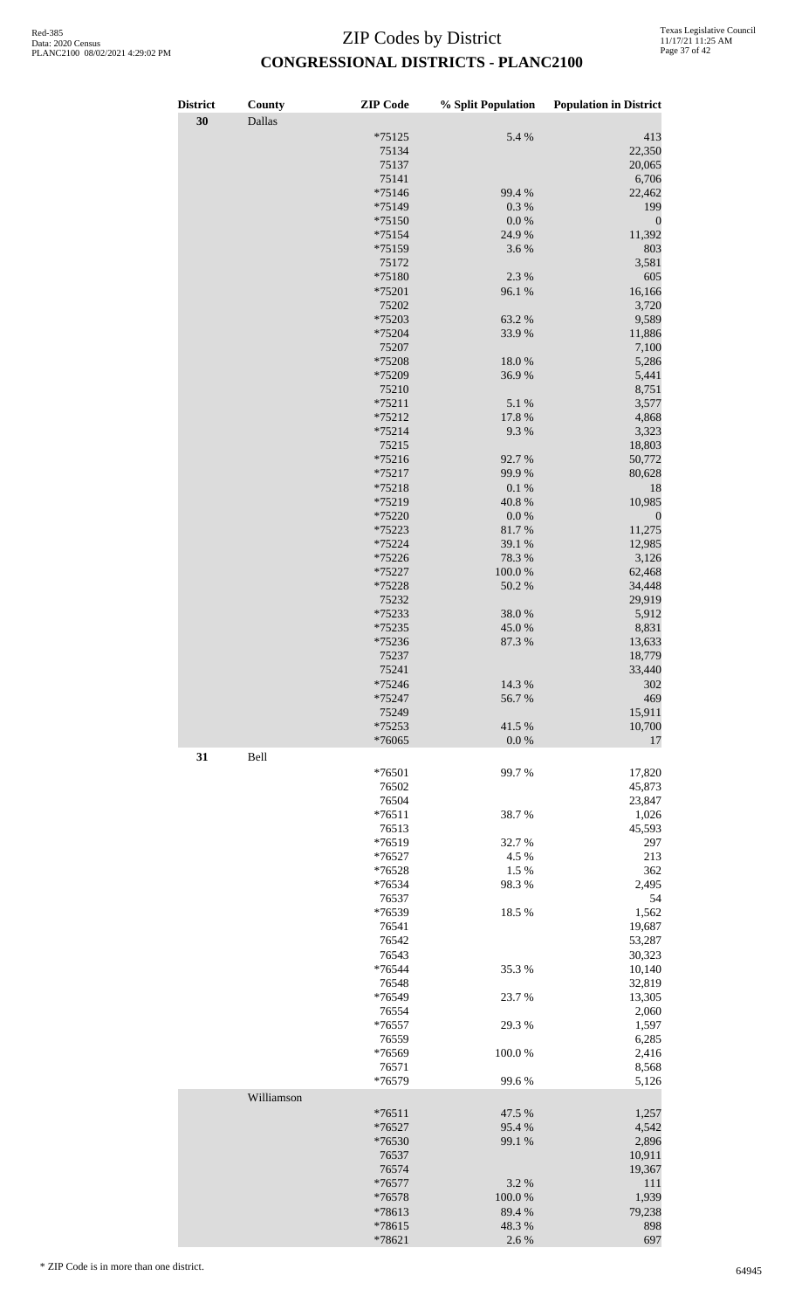| <b>District</b> | County     | <b>ZIP</b> Code  | % Split Population | <b>Population in District</b> |
|-----------------|------------|------------------|--------------------|-------------------------------|
| 30              | Dallas     |                  |                    |                               |
|                 |            | *75125           | 5.4 %              | 413                           |
|                 |            | 75134            |                    | 22,350                        |
|                 |            | 75137            |                    | 20,065                        |
|                 |            | 75141            |                    | 6,706                         |
|                 |            | $*75146$         | 99.4 %             | 22,462                        |
|                 |            | *75149           | 0.3 %              | 199                           |
|                 |            | $*75150$         | $0.0\ \%$          | $\boldsymbol{0}$              |
|                 |            | *75154           | 24.9%              | 11,392                        |
|                 |            | *75159           | 3.6 %              | 803                           |
|                 |            | 75172<br>*75180  | 2.3 %              | 3,581<br>605                  |
|                 |            | *75201           | 96.1 %             | 16,166                        |
|                 |            | 75202            |                    | 3,720                         |
|                 |            | *75203           | 63.2%              | 9,589                         |
|                 |            | *75204           | 33.9%              | 11,886                        |
|                 |            | 75207            |                    | 7,100                         |
|                 |            | *75208           | 18.0%              | 5,286                         |
|                 |            | *75209           | 36.9%              | 5,441                         |
|                 |            | 75210            |                    | 8,751                         |
|                 |            | $*75211$         | 5.1 %              | 3,577                         |
|                 |            | *75212           | 17.8%              | 4,868                         |
|                 |            | $*75214$         | 9.3%               | 3,323                         |
|                 |            | 75215            |                    | 18,803                        |
|                 |            | $*75216$         | 92.7%              | 50,772                        |
|                 |            | $*75217$         | 99.9%              | 80,628                        |
|                 |            | *75218           | $0.1~\%$           | 18                            |
|                 |            | *75219           | 40.8 %             | 10,985                        |
|                 |            | *75220           | $0.0\ \%$          | $\boldsymbol{0}$              |
|                 |            | *75223           | 81.7%              | 11,275                        |
|                 |            | *75224           | 39.1 %             | 12,985                        |
|                 |            | *75226           | 78.3%<br>100.0%    | 3,126                         |
|                 |            | *75227<br>*75228 | 50.2 %             | 62,468<br>34,448              |
|                 |            | 75232            |                    | 29,919                        |
|                 |            | *75233           | 38.0%              | 5,912                         |
|                 |            | *75235           | 45.0%              | 8,831                         |
|                 |            | *75236           | 87.3 %             | 13,633                        |
|                 |            | 75237            |                    | 18,779                        |
|                 |            | 75241            |                    | 33,440                        |
|                 |            | *75246           | 14.3 %             | 302                           |
|                 |            | *75247           | 56.7%              | 469                           |
|                 |            | 75249            |                    | 15,911                        |
|                 |            | *75253           | 41.5%              | 10,700                        |
|                 |            | *76065           | 0.0 %              | 17                            |
| 31              | Bell       |                  |                    |                               |
|                 |            | *76501           | 99.7%              | 17,820                        |
|                 |            | 76502            |                    | 45,873                        |
|                 |            | 76504            |                    | 23,847                        |
|                 |            | $*76511$         | 38.7%              | 1,026                         |
|                 |            | 76513            |                    | 45,593                        |
|                 |            | *76519           | 32.7%              | 297                           |
|                 |            | $*76527$         | 4.5 %              | 213                           |
|                 |            | *76528           | 1.5 %              | 362                           |
|                 |            | *76534           | 98.3%              | 2,495                         |
|                 |            | 76537            |                    | 54                            |
|                 |            | *76539           | 18.5 %             | 1,562                         |
|                 |            | 76541            |                    | 19,687                        |
|                 |            | 76542            |                    | 53,287                        |
|                 |            | 76543            |                    | 30,323                        |
|                 |            | *76544           | 35.3%              | 10,140                        |
|                 |            | 76548<br>*76549  |                    | 32,819                        |
|                 |            | 76554            | 23.7 %             | 13,305<br>2,060               |
|                 |            | $*76557$         | 29.3 %             | 1,597                         |
|                 |            | 76559            |                    | 6,285                         |
|                 |            | *76569           | 100.0%             | 2,416                         |
|                 |            | 76571            |                    | 8,568                         |
|                 |            | *76579           | 99.6%              | 5,126                         |
|                 | Williamson |                  |                    |                               |
|                 |            | $*76511$         | 47.5 %             | 1,257                         |
|                 |            | *76527           | 95.4%              | 4,542                         |
|                 |            | *76530           | 99.1 %             | 2,896                         |
|                 |            | 76537            |                    | 10,911                        |
|                 |            | 76574            |                    | 19,367                        |
|                 |            | *76577           | 3.2%               | 111                           |
|                 |            | $*76578$         | 100.0%             | 1,939                         |
|                 |            | *78613           | 89.4%              | 79,238                        |
|                 |            | *78615           | 48.3%              | 898                           |
|                 |            | *78621           | 2.6 %              | 697                           |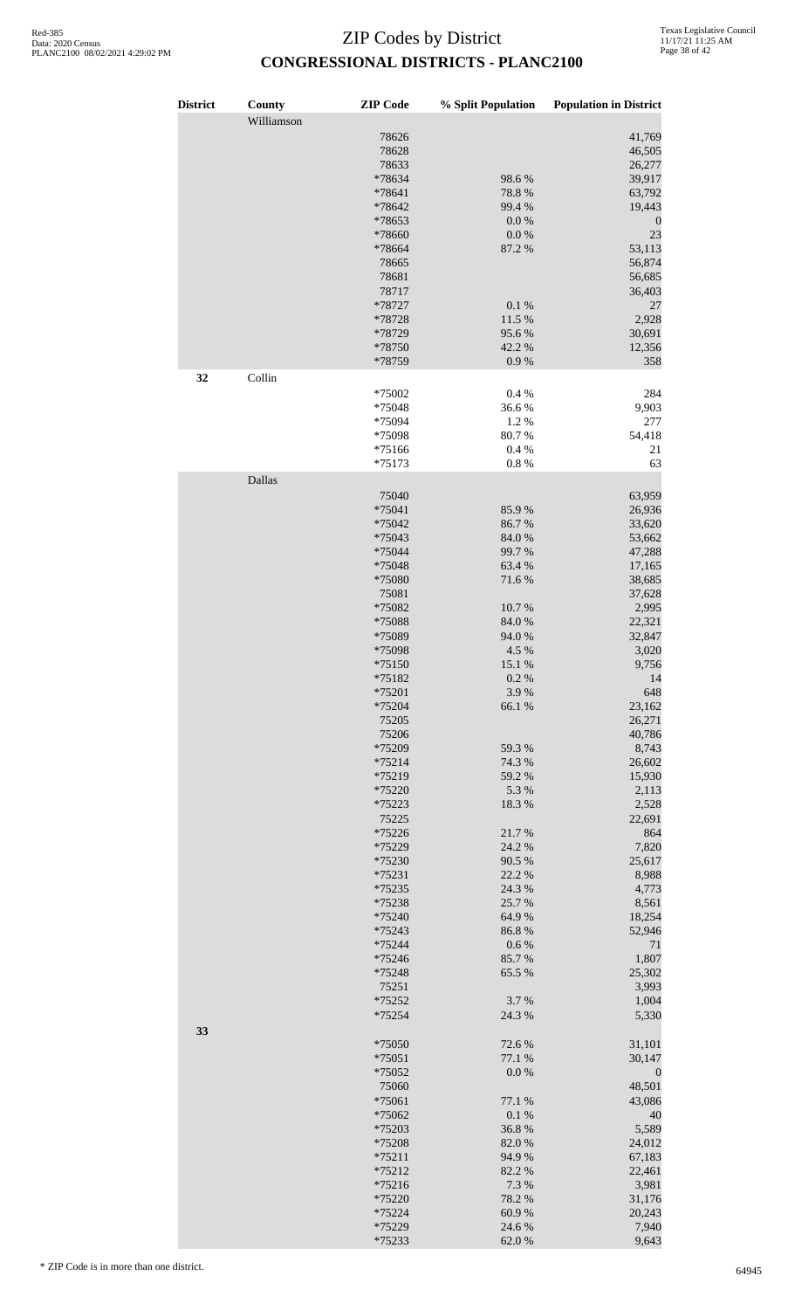| <b>District</b> | County     | <b>ZIP</b> Code    | % Split Population | <b>Population in District</b> |
|-----------------|------------|--------------------|--------------------|-------------------------------|
|                 | Williamson | 78626              |                    | 41,769                        |
|                 |            | 78628              |                    | 46,505                        |
|                 |            | 78633              |                    | 26,277                        |
|                 |            | *78634<br>*78641   | 98.6%<br>78.8%     | 39,917<br>63,792              |
|                 |            | *78642             | 99.4 %             | 19,443                        |
|                 |            | *78653             | 0.0 %              | $\mathbf{0}$                  |
|                 |            | *78660<br>*78664   | 0.0 %<br>87.2 %    | 23<br>53,113                  |
|                 |            | 78665              |                    | 56,874                        |
|                 |            | 78681              |                    | 56,685                        |
|                 |            | 78717<br>*78727    | 0.1 %              | 36,403                        |
|                 |            | *78728             | 11.5 %             | 27<br>2,928                   |
|                 |            | *78729             | 95.6%              | 30,691                        |
|                 |            | *78750             | 42.2 %             | 12,356                        |
| 32              | Collin     | *78759             | 0.9%               | 358                           |
|                 |            | *75002             | 0.4%               | 284                           |
|                 |            | *75048             | 36.6%              | 9,903                         |
|                 |            | *75094             | 1.2%               | 277                           |
|                 |            | *75098<br>$*75166$ | 80.7%<br>0.4%      | 54,418<br>21                  |
|                 |            | $*75173$           | 0.8%               | 63                            |
|                 | Dallas     |                    |                    |                               |
|                 |            | 75040<br>*75041    | 85.9%              | 63,959<br>26,936              |
|                 |            | *75042             | 86.7%              | 33,620                        |
|                 |            | *75043             | 84.0%              | 53,662                        |
|                 |            | *75044             | 99.7%              | 47,288                        |
|                 |            | *75048<br>*75080   | 63.4 %<br>71.6%    | 17,165<br>38,685              |
|                 |            | 75081              |                    | 37,628                        |
|                 |            | *75082             | 10.7%              | 2,995                         |
|                 |            | *75088<br>*75089   | 84.0%<br>94.0%     | 22,321<br>32,847              |
|                 |            | *75098             | 4.5 %              | 3,020                         |
|                 |            | *75150             | 15.1 %             | 9,756                         |
|                 |            | *75182<br>*75201   | 0.2 %<br>3.9%      | 14<br>648                     |
|                 |            | *75204             | 66.1%              | 23,162                        |
|                 |            | 75205              |                    | 26,271                        |
|                 |            | 75206              |                    | 40,786                        |
|                 |            | *75209<br>$*75214$ | 59.3%<br>74.3 %    | 8,743<br>26,602               |
|                 |            | *75219             | 59.2 %             | 15,930                        |
|                 |            | *75220             | 5.3 %              | 2,113                         |
|                 |            | *75223<br>75225    | 18.3%              | 2,528<br>22,691               |
|                 |            | *75226             | 21.7%              | 864                           |
|                 |            | *75229             | 24.2 %             | 7,820                         |
|                 |            | *75230<br>*75231   | 90.5 %<br>22.2 %   | 25,617<br>8,988               |
|                 |            | *75235             | 24.3 %             | 4,773                         |
|                 |            | *75238             | 25.7%              | 8,561                         |
|                 |            | *75240             | 64.9%              | 18,254                        |
|                 |            | *75243<br>*75244   | 86.8%<br>0.6 %     | 52,946<br>71                  |
|                 |            | *75246             | 85.7%              | 1,807                         |
|                 |            | *75248             | 65.5 %             | 25,302                        |
|                 |            | 75251<br>*75252    | 3.7%               | 3,993<br>1,004                |
|                 |            | *75254             | 24.3 %             | 5,330                         |
| 33              |            |                    |                    |                               |
|                 |            | *75050<br>$*75051$ | 72.6%<br>77.1 %    | 31,101<br>30,147              |
|                 |            | *75052             | 0.0 %              | $\boldsymbol{0}$              |
|                 |            | 75060              |                    | 48,501                        |
|                 |            | *75061<br>*75062   | 77.1 %<br>0.1 %    | 43,086<br>40                  |
|                 |            | *75203             | 36.8%              | 5,589                         |
|                 |            | *75208             | 82.0%              | 24,012                        |
|                 |            | $*75211$           | 94.9%<br>82.2%     | 67,183<br>22,461              |
|                 |            | *75212<br>$*75216$ | 7.3 %              | 3,981                         |
|                 |            | *75220             | 78.2 %             | 31,176                        |
|                 |            | *75224             | 60.9%              | 20,243                        |
|                 |            | *75229<br>*75233   | 24.6 %<br>62.0%    | 7,940<br>9,643                |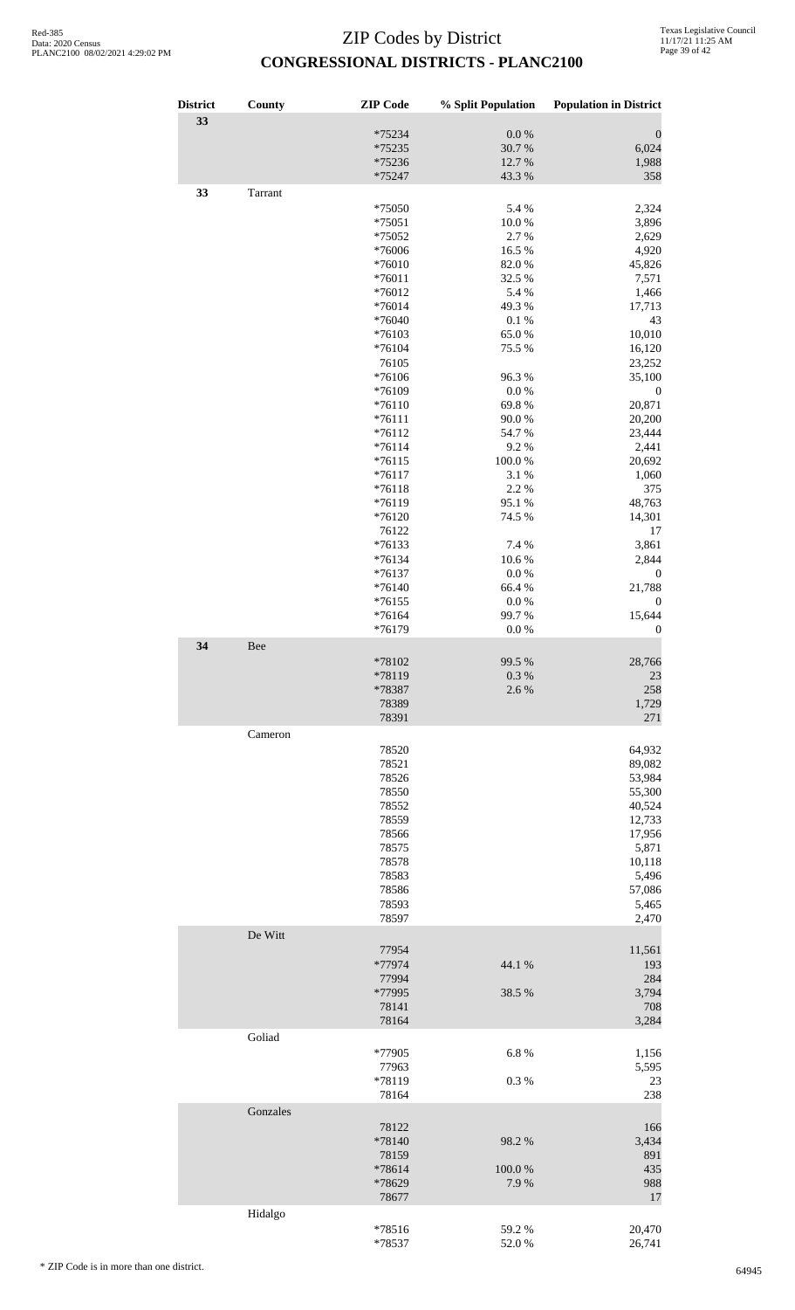| <b>District</b> | County   | <b>ZIP</b> Code  | % Split Population | <b>Population in District</b> |
|-----------------|----------|------------------|--------------------|-------------------------------|
| 33              |          |                  |                    |                               |
|                 |          | *75234           | $0.0\ \%$          | $\boldsymbol{0}$              |
|                 |          | *75235           | 30.7%              | 6,024                         |
|                 |          | *75236           | 12.7%              | 1,988                         |
| 33              |          | *75247           | 43.3 %             | 358                           |
|                 | Tarrant  |                  |                    |                               |
|                 |          | *75050           | 5.4 %              | 2,324                         |
|                 |          | *75051           | 10.0%              | 3,896                         |
|                 |          | *75052           | 2.7%<br>16.5%      | 2,629                         |
|                 |          | *76006<br>*76010 | 82.0%              | 4,920<br>45,826               |
|                 |          | $*76011$         | 32.5 %             | 7,571                         |
|                 |          | *76012           | 5.4 %              | 1,466                         |
|                 |          | $*76014$         | 49.3%              | 17,713                        |
|                 |          | *76040           | 0.1 %              | 43                            |
|                 |          | $*76103$         | 65.0%              | 10,010                        |
|                 |          | $*76104$         | 75.5 %             | 16,120                        |
|                 |          | 76105            |                    | 23,252                        |
|                 |          | *76106           | 96.3%              | 35,100                        |
|                 |          | *76109           | $0.0\ \%$          | $\boldsymbol{0}$              |
|                 |          | $*76110$         | 69.8%              | 20,871                        |
|                 |          | $*76111$         | 90.0%              | 20,200                        |
|                 |          | $*76112$         | 54.7%              | 23,444                        |
|                 |          | $*76114$         | 9.2%               | 2,441                         |
|                 |          | $*76115$         | 100.0%             | 20,692                        |
|                 |          | $*76117$         | 3.1%               | 1,060                         |
|                 |          | $*76118$         | 2.2 %              | 375                           |
|                 |          | $*76119$         | 95.1%              | 48,763                        |
|                 |          | *76120           | 74.5 %             | 14,301                        |
|                 |          | 76122            |                    | 17                            |
|                 |          | $*76133$         | 7.4 %              | 3,861                         |
|                 |          | $*76134$         | 10.6%              | 2,844                         |
|                 |          | $*76137$         | 0.0 %              | $\boldsymbol{0}$              |
|                 |          | $*76140$         | 66.4%              | 21,788                        |
|                 |          | $*76155$         | 0.0 %              | $\boldsymbol{0}$              |
|                 |          | $*76164$         | 99.7%              | 15,644                        |
|                 |          | *76179           | $0.0\ \%$          | $\boldsymbol{0}$              |
| 34              | Bee      |                  |                    |                               |
|                 |          |                  |                    |                               |
|                 |          | *78102           | 99.5 %             | 28,766                        |
|                 |          | *78119           | $0.3~\%$           | 23                            |
|                 |          | *78387           | 2.6%               | 258                           |
|                 |          | 78389<br>78391   |                    | 1,729<br>271                  |
|                 |          |                  |                    |                               |
|                 | Cameron  |                  |                    |                               |
|                 |          | 78520            |                    | 64,932                        |
|                 |          | 78521            |                    | 89,082                        |
|                 |          | 78526<br>78550   |                    | 53,984                        |
|                 |          | 78552            |                    | 55,300                        |
|                 |          | 78559            |                    | 40,524<br>12,733              |
|                 |          |                  |                    | 17,956                        |
|                 |          | 78566            |                    |                               |
|                 |          | 78575<br>78578   |                    | 5,871<br>10,118               |
|                 |          | 78583            |                    | 5,496                         |
|                 |          | 78586            |                    | 57,086                        |
|                 |          | 78593            |                    | 5,465                         |
|                 |          |                  |                    |                               |
|                 |          | 78597            |                    | 2,470                         |
|                 | De Witt  |                  |                    |                               |
|                 |          | 77954            |                    | 11,561                        |
|                 |          | *77974           | 44.1 %             | 193                           |
|                 |          | 77994            |                    | 284                           |
|                 |          | *77995           | 38.5 %             | 3,794                         |
|                 |          | 78141            |                    | 708                           |
|                 |          | 78164            |                    | 3,284                         |
|                 | Goliad   |                  |                    |                               |
|                 |          | *77905           | 6.8%               | 1,156                         |
|                 |          | 77963            |                    | 5,595                         |
|                 |          | *78119           | 0.3%               | 23                            |
|                 |          | 78164            |                    | 238                           |
|                 | Gonzales |                  |                    |                               |
|                 |          | 78122            |                    | 166                           |
|                 |          | *78140           | 98.2%              | 3,434                         |
|                 |          | 78159            |                    | 891                           |
|                 |          | *78614           | 100.0%             | 435                           |
|                 |          | *78629           | 7.9%               | 988                           |
|                 |          | 78677            |                    | 17                            |
|                 | Hidalgo  |                  |                    |                               |
|                 |          | $*78516$         | 59.2 %             | 20,470                        |
|                 |          | *78537           | 52.0%              | 26,741                        |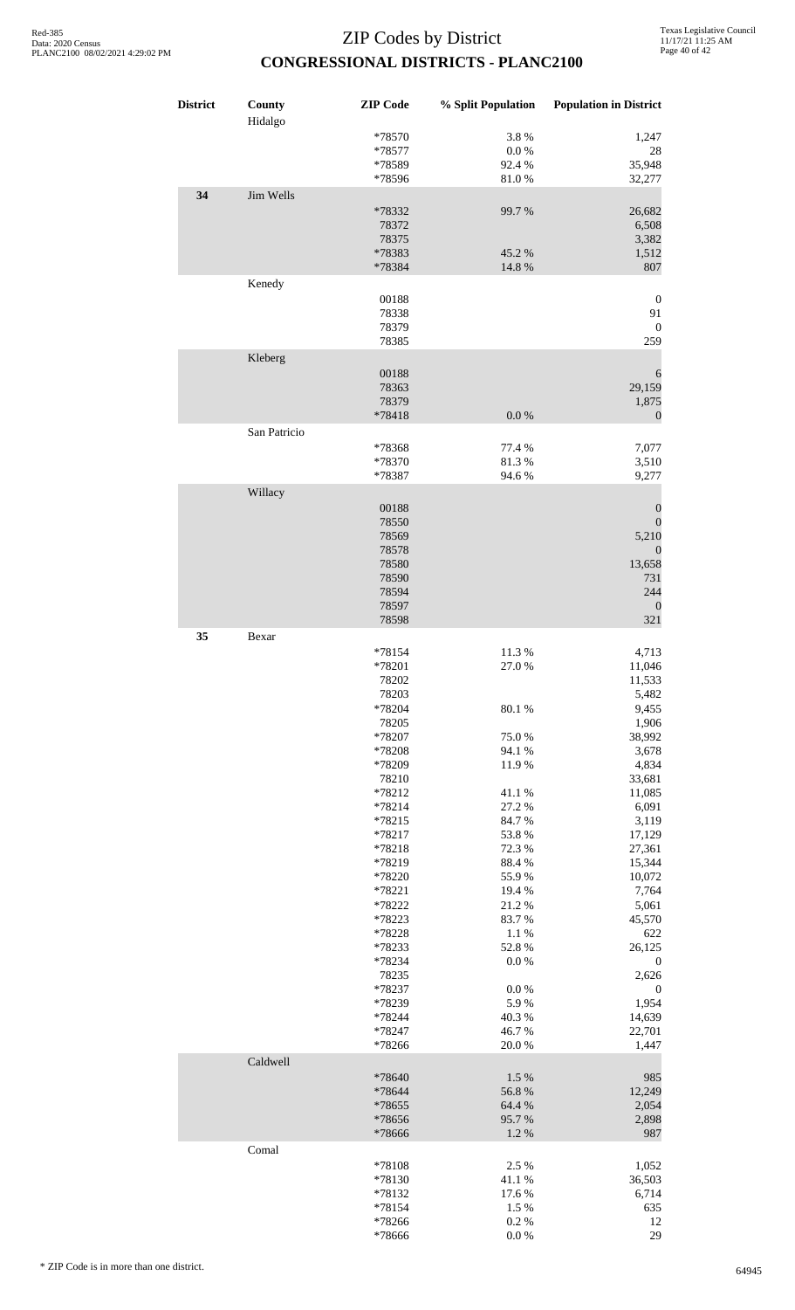| <b>District</b> | County<br>Hidalgo | <b>ZIP</b> Code  | % Split Population | <b>Population in District</b> |
|-----------------|-------------------|------------------|--------------------|-------------------------------|
|                 |                   | *78570           | 3.8%               | 1,247                         |
|                 |                   | *78577           | 0.0 %              | $28\,$                        |
|                 |                   | *78589           | 92.4 %             | 35,948                        |
|                 |                   | *78596           | 81.0%              | 32,277                        |
| 34              | Jim Wells         | *78332           | 99.7%              | 26,682                        |
|                 |                   | 78372            |                    | 6,508                         |
|                 |                   | 78375            |                    | 3,382                         |
|                 |                   | *78383           | 45.2%              | 1,512                         |
|                 |                   | *78384           | 14.8 %             | 807                           |
|                 | Kenedy            |                  |                    |                               |
|                 |                   | 00188            |                    | $\boldsymbol{0}$              |
|                 |                   | 78338            |                    | 91                            |
|                 |                   | 78379            |                    | $\boldsymbol{0}$              |
|                 |                   | 78385            |                    | 259                           |
|                 | Kleberg           |                  |                    |                               |
|                 |                   | 00188            |                    | 6                             |
|                 |                   | 78363            |                    | 29,159                        |
|                 |                   | 78379            |                    | 1,875                         |
|                 |                   | *78418           | $0.0\ \%$          | $\boldsymbol{0}$              |
|                 | San Patricio      |                  |                    |                               |
|                 |                   | *78368           | 77.4 %             | 7,077                         |
|                 |                   | *78370           | 81.3%              | 3,510                         |
|                 |                   | *78387           | 94.6%              | 9,277                         |
|                 | Willacy           |                  |                    |                               |
|                 |                   | 00188            |                    | $\boldsymbol{0}$              |
|                 |                   | 78550            |                    | $\boldsymbol{0}$              |
|                 |                   | 78569            |                    | 5,210                         |
|                 |                   | 78578            |                    | $\theta$                      |
|                 |                   | 78580            |                    | 13,658                        |
|                 |                   | 78590            |                    | 731                           |
|                 |                   | 78594            |                    | 244                           |
|                 |                   | 78597            |                    | $\boldsymbol{0}$              |
|                 |                   | 78598            |                    | 321                           |
| 35              | Bexar             |                  |                    |                               |
|                 |                   | *78154           | 11.3%              | 4,713                         |
|                 |                   | *78201           | 27.0 %             | 11,046                        |
|                 |                   | 78202            |                    | 11,533                        |
|                 |                   | 78203            |                    | 5,482                         |
|                 |                   | *78204           | 80.1%              | 9,455                         |
|                 |                   | 78205<br>*78207  |                    | 1,906                         |
|                 |                   | *78208           | 75.0%<br>94.1 %    | 38,992<br>3,678               |
|                 |                   | *78209           | 11.9%              | 4,834                         |
|                 |                   | 78210            |                    | 33,681                        |
|                 |                   | *78212           | 41.1%              | 11,085                        |
|                 |                   | *78214           | 27.2 %             | 6,091                         |
|                 |                   | *78215           | 84.7%              | 3,119                         |
|                 |                   | *78217           | 53.8%              | 17,129                        |
|                 |                   | *78218           | 72.3 %             | 27,361                        |
|                 |                   | *78219           | 88.4%              | 15,344                        |
|                 |                   | *78220           | 55.9%              | 10,072                        |
|                 |                   | *78221           | 19.4 %             | 7,764                         |
|                 |                   | *78222           | 21.2%              | 5,061                         |
|                 |                   | *78223           | 83.7%              | 45,570                        |
|                 |                   | *78228           | 1.1 %              | 622                           |
|                 |                   | *78233           | 52.8%              | 26,125                        |
|                 |                   | *78234           | $0.0\ \%$          | $\boldsymbol{0}$              |
|                 |                   | 78235            |                    | 2,626                         |
|                 |                   | *78237           | $0.0\ \%$          | $\boldsymbol{0}$<br>1,954     |
|                 |                   | *78239           | 5.9%               |                               |
|                 |                   | *78244<br>*78247 | 40.3%<br>46.7%     | 14,639<br>22,701              |
|                 |                   | *78266           | 20.0%              | 1,447                         |
|                 | Caldwell          |                  |                    |                               |
|                 |                   | *78640           | 1.5 %              | 985                           |
|                 |                   | *78644           | 56.8 %             | 12,249                        |
|                 |                   | *78655           | 64.4 %             | 2,054                         |
|                 |                   | *78656           | 95.7%              | 2,898                         |
|                 |                   | *78666           | 1.2%               | 987                           |
|                 | Comal             |                  |                    |                               |
|                 |                   |                  | 2.5 %              |                               |
|                 |                   | *78108<br>*78130 | 41.1%              | 1,052<br>36,503               |
|                 |                   | *78132           | 17.6 %             | 6,714                         |
|                 |                   | *78154           | 1.5 %              | 635                           |
|                 |                   | *78266           | 0.2%               | 12                            |
|                 |                   | *78666           | $0.0\ \%$          | 29                            |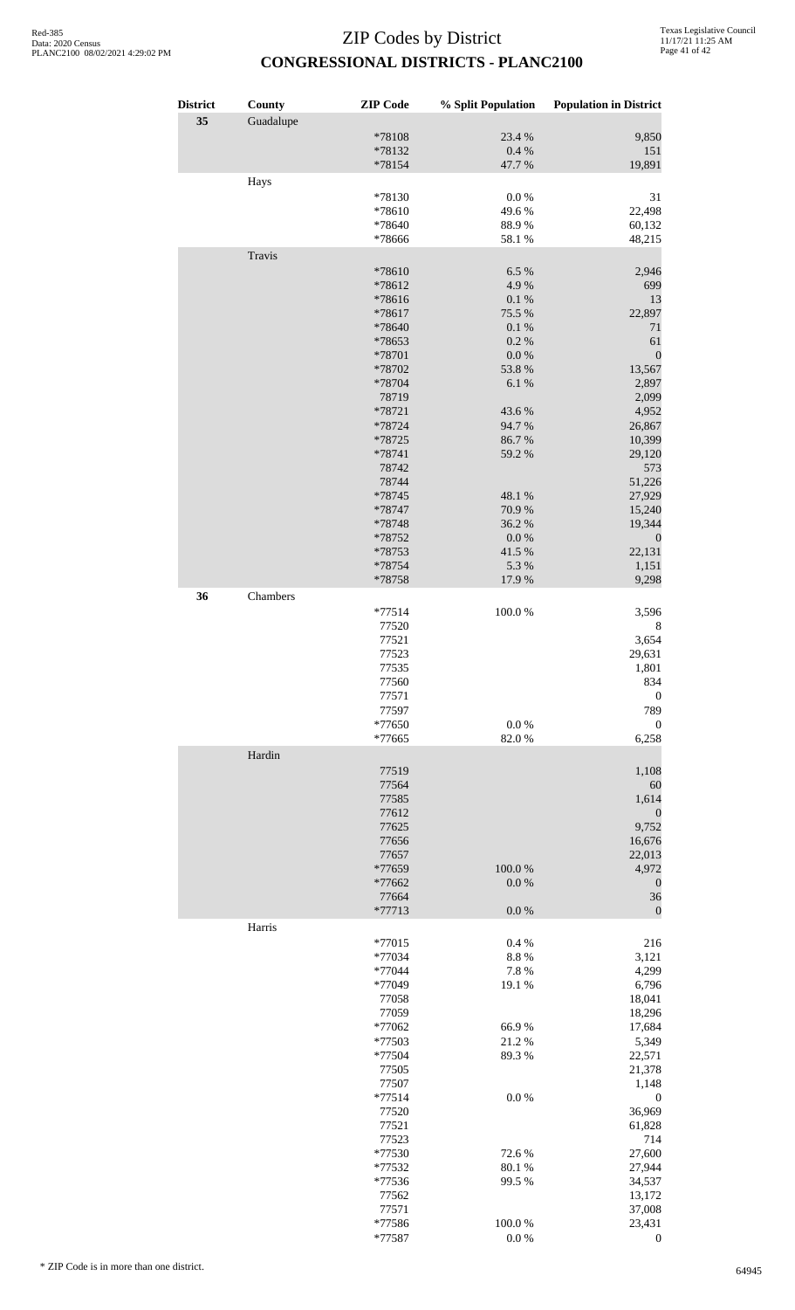| <b>District</b> | County    | <b>ZIP</b> Code   | % Split Population | <b>Population in District</b> |
|-----------------|-----------|-------------------|--------------------|-------------------------------|
| 35              | Guadalupe |                   |                    |                               |
|                 |           | *78108<br>*78132  | 23.4 %<br>0.4 %    | 9,850<br>151                  |
|                 |           | *78154            | 47.7 %             | 19,891                        |
|                 | Hays      |                   |                    |                               |
|                 |           | *78130            | 0.0 %              | 31                            |
|                 |           | *78610            | 49.6%              | 22,498                        |
|                 |           | *78640            | 88.9%              | 60,132                        |
|                 |           | *78666            | 58.1 %             | 48,215                        |
|                 | Travis    |                   |                    |                               |
|                 |           | *78610<br>*78612  | 6.5%               | 2,946                         |
|                 |           | *78616            | 4.9%<br>0.1 %      | 699<br>13                     |
|                 |           | *78617            | 75.5 %             | 22,897                        |
|                 |           | *78640            | 0.1 %              | 71                            |
|                 |           | *78653            | 0.2 %              | 61                            |
|                 |           | *78701            | $0.0\ \%$          | $\boldsymbol{0}$              |
|                 |           | *78702<br>*78704  | 53.8%<br>6.1%      | 13,567<br>2,897               |
|                 |           | 78719             |                    | 2,099                         |
|                 |           | *78721            | 43.6%              | 4,952                         |
|                 |           | *78724            | 94.7%              | 26,867                        |
|                 |           | *78725            | 86.7%              | 10,399                        |
|                 |           | *78741<br>78742   | 59.2 %             | 29,120<br>573                 |
|                 |           | 78744             |                    | 51,226                        |
|                 |           | *78745            | 48.1 %             | 27,929                        |
|                 |           | *78747            | 70.9%              | 15,240                        |
|                 |           | *78748            | 36.2%              | 19,344                        |
|                 |           | *78752            | $0.0\ \%$          | $\boldsymbol{0}$              |
|                 |           | *78753<br>*78754  | 41.5 %<br>5.3 %    | 22,131<br>1,151               |
|                 |           | *78758            | 17.9%              | 9,298                         |
| 36              | Chambers  |                   |                    |                               |
|                 |           | $*77514$          | $100.0~\%$         | 3,596                         |
|                 |           | 77520             |                    | 8                             |
|                 |           | 77521<br>77523    |                    | 3,654<br>29,631               |
|                 |           | 77535             |                    | 1,801                         |
|                 |           | 77560             |                    | 834                           |
|                 |           | 77571             |                    | $\boldsymbol{0}$              |
|                 |           | 77597             |                    | 789                           |
|                 |           | *77650<br>*77665  | $0.0\ \%$<br>82.0% | $\boldsymbol{0}$<br>6,258     |
|                 | Hardin    |                   |                    |                               |
|                 |           | 77519             |                    | 1,108                         |
|                 |           | 77564             |                    | 60                            |
|                 |           | 77585             |                    | 1,614                         |
|                 |           | 77612             |                    | $\boldsymbol{0}$              |
|                 |           | 77625<br>77656    |                    | 9,752<br>16,676               |
|                 |           | 77657             |                    | 22,013                        |
|                 |           | *77659            | 100.0%             | 4,972                         |
|                 |           | *77662            | $0.0\ \%$          | $\boldsymbol{0}$              |
|                 |           | 77664             |                    | 36                            |
|                 |           | $*77713$          | $0.0\ \%$          | $\boldsymbol{0}$              |
|                 | Harris    | *77015            | $0.4~\%$           | 216                           |
|                 |           | *77034            | $8.8\ \%$          | 3,121                         |
|                 |           | *77044            | 7.8 %              | 4,299                         |
|                 |           | *77049            | 19.1 %             | 6,796                         |
|                 |           | 77058             |                    | 18,041                        |
|                 |           | 77059<br>*77062   | 66.9%              | 18,296<br>17,684              |
|                 |           | *77503            | 21.2%              | 5,349                         |
|                 |           | *77504            | 89.3%              | 22,571                        |
|                 |           | 77505             |                    | 21,378                        |
|                 |           | 77507             |                    | 1,148                         |
|                 |           | $*77514$<br>77520 | 0.0 %              | $\boldsymbol{0}$<br>36,969    |
|                 |           | 77521             |                    | 61,828                        |
|                 |           | 77523             |                    | 714                           |
|                 |           | *77530            | 72.6%              | 27,600                        |
|                 |           | *77532            | 80.1 %             | 27,944                        |
|                 |           | *77536            | 99.5 %             | 34,537                        |
|                 |           | 77562<br>77571    |                    | 13,172<br>37,008              |
|                 |           | *77586            | 100.0%             | 23,431                        |
|                 |           | *77587            | $0.0\ \%$          | $\boldsymbol{0}$              |